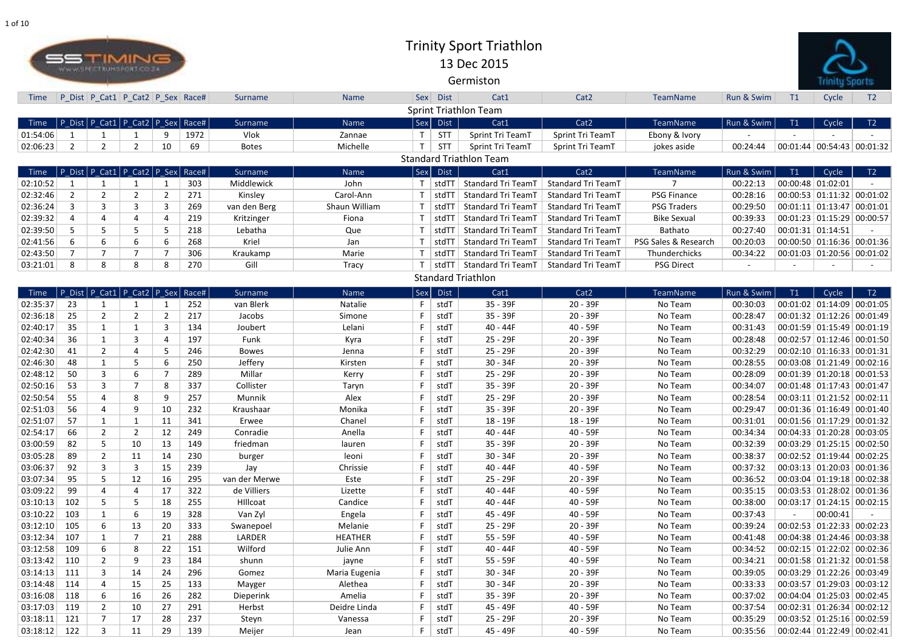

| Time           |                | P_Dist   P_Cat1   P_Cat2   P_Sex   Race# |    |    |      | Surname       | Name           |             | Sex Dist    | Cat1                           | Cat <sub>2</sub>          | <b>TeamName</b>      | Run & Swim | T1                | Cycle                            | T2 |
|----------------|----------------|------------------------------------------|----|----|------|---------------|----------------|-------------|-------------|--------------------------------|---------------------------|----------------------|------------|-------------------|----------------------------------|----|
|                |                |                                          |    |    |      |               |                |             |             | <b>Sprint Triathlon Team</b>   |                           |                      |            |                   |                                  |    |
| Time           |                | P Dist   P Cat1   P Cat2   P Sex   Race# |    |    |      | Surname       | Name           | $ $ Sex $ $ | <b>Dist</b> | Cat1                           | Cat <sub>2</sub>          | TeamName             | Run & Swim | T1                | Cycle                            | T2 |
| 01:54:06       |                |                                          |    |    | 1972 | Vlok          | Zannae         | $\top$      | <b>STT</b>  | Sprint Tri TeamT               | Sprint Tri TeamT          | Ebony & Ivory        |            |                   |                                  |    |
| 02:06:23       | $\overline{2}$ | $2^{\circ}$                              |    | 10 | 69   | <b>Botes</b>  | Michelle       |             | <b>STT</b>  | Sprint Tri TeamT               | Sprint Tri TeamT          | jokes aside          | 00:24:44   |                   | $00:01:44$ 00:54:43 00:01:32     |    |
|                |                |                                          |    |    |      |               |                |             |             | <b>Standard Triathlon Team</b> |                           |                      |            |                   |                                  |    |
| Time           |                | $ P$ Dist P Cat1 P Cat2 P Sex Race#      |    |    |      | Surname       | Name           | $ $ Sex $ $ | <b>Dist</b> | Cat1                           | Cat <sub>2</sub>          | <b>TeamName</b>      | Run & Swim | T1                | Cycle                            | T2 |
| 02:10:52       |                |                                          |    |    | 303  | Middlewick    | John           |             | stdTT       | Standard Tri TeamT             | <b>Standard Tri TeamT</b> |                      | 00:22:13   | 00:00:48 01:02:01 |                                  |    |
| 02:32:46       | $\overline{2}$ | $\overline{2}$                           | 2  | 2  | 271  | Kinsley       | Carol-Ann      |             | stdT        | <b>Standard Tri TeamT</b>      | Standard Tri TeamT        | <b>PSG Finance</b>   | 00:28:16   |                   | $00:00:53$ 01:11:32 00:01:02     |    |
| 02:36:24       | 3              | 3                                        | 3  | 3  | 269  | van den Berg  | Shaun William  |             | stdT        | <b>Standard Tri TeamT</b>      | Standard Tri TeamT        | <b>PSG Traders</b>   | 00:29:50   |                   | $00:01:11$ 01:13:47 00:01:01     |    |
| 02:39:32       | 4              | 4                                        |    |    | 219  | Kritzinger    | Fiona          |             | stdT        | <b>Standard Tri TeamT</b>      | Standard Tri TeamT        | <b>Bike Sexual</b>   | 00:39:33   |                   | $00:01:23$ 01:15:29 00:00:57     |    |
| 02:39:50       | 5              | 5                                        | 5  |    | 218  | Lebatha       | Que            |             | stdTl       | <b>Standard Tri TeamT</b>      | Standard Tri TeamT        | Bathato              | 00:27:40   | 00:01:31 01:14:51 |                                  |    |
| 02:41:56       | 6              | 6                                        | 6  | -6 | 268  | Kriel         | Jan            |             | stdTl       | <b>Standard Tri TeamT</b>      | Standard Tri TeamT        | PSG Sales & Research | 00:20:03   |                   | 00:00:50 01:16:36 00:01:36       |    |
| 02:43:50       |                | 7                                        |    |    | 306  | Kraukamp      | Marie          |             | stdTl       | <b>Standard Tri TeamT</b>      | Standard Tri TeamT        | Thunderchicks        | 00:34:22   |                   | $00:01:03$ 01:20:56 00:01:02     |    |
| 03:21:01       | 8              | 8                                        | 8  |    | 270  | Gill          | <b>Tracy</b>   |             | stdTT       | Standard Tri TeamT             | Standard Tri TeamT        | <b>PSG Direct</b>    |            |                   |                                  |    |
|                |                |                                          |    |    |      |               |                |             |             | <b>Standard Triathlon</b>      |                           |                      |            |                   |                                  |    |
| Time           |                | P Dist   P Cat1   P Cat2   P Sex   Race# |    |    |      | Surname       | Name           | Sex         | <b>Dist</b> | Cat1                           | Cat <sub>2</sub>          | TeamName             | Run & Swim | T1                | Cycle                            | T2 |
| 02:35:37       | 23             |                                          |    |    | 252  | van Blerk     | Natalie        |             | stdT        | 35 - 39F                       | 20 - 39F                  | No Team              | 00:30:03   |                   | 00:01:02 01:14:09 00:01:05       |    |
| 02:36:18       | 25             | $\overline{2}$                           |    |    | 217  | Jacobs        | Simone         |             | stdT        | 35 - 39F                       | $20 - 39F$                | No Team              | 00:28:47   |                   | 00:01:32 01:12:26 00:01:49       |    |
| 02:40:17       | 35             | 1                                        |    | 3  | 134  | Joubert       | Lelani         |             | stdT        | $40 - 44F$                     | 40 - 59F                  | No Team              | 00:31:43   |                   | 00:01:59 01:15:49 00:01:19       |    |
| 02:40:34       | 36             | $\mathbf{1}$                             | 3  |    | 197  | Funk          | Kyra           |             | stdT        | 25 - 29F                       | 20 - 39F                  | No Team              | 00:28:48   |                   | 00:02:57 01:12:46 00:01:50       |    |
| 02:42:30       | 41             | $2^{\circ}$                              |    |    | 246  | <b>Bowes</b>  | Jenna          |             | stdT        | 25 - 29F                       | $20 - 39F$                | No Team              | 00:32:29   |                   | $00:02:10$ 01:16:33 00:01:31     |    |
| 02:46:30       | 48             | $\mathbf{1}$                             |    |    | 250  | Jeffery       | Kirsten        |             | stdT        | $30 - 34F$                     | 20 - 39F                  | No Team              | 00:28:55   |                   | $00:03:08$ 01:21:49 00:02:16     |    |
| 02:48:12       | 50             | 3                                        | 6  |    | 289  | Millar        | Kerry          |             | stdT        | 25 - 29F                       | $20 - 39F$                | No Team              | 00:28:09   |                   | $00:01:39$ 01:20:18 00:01:53     |    |
| 02:50:16       | 53             | 3                                        |    | 8  | 337  | Collister     | Taryn          |             | stdT        | 35 - 39F                       | $20 - 39F$                | No Team              | 00:34:07   |                   | 00:01:48 01:17:43 00:01:47       |    |
| 02:50:54       | 55             | 4                                        | 8  |    | 257  | Munnik        | Alex           |             | stdT        | 25 - 29F                       | $20 - 39F$                | No Team              | 00:28:54   |                   | $00:03:11$ 01:21:52 00:02:11     |    |
| 02:51:03       | 56             | 4                                        | 9  | 10 | 232  | Kraushaar     | Monika         |             | stdT        | 35 - 39F                       | $20 - 39F$                | No Team              | 00:29:47   |                   | $00:01:36$ 01:16:49 00:01:40     |    |
| 02:51:07       | 57             | $\mathbf{1}$                             |    | 11 | 341  | Erwee         | Chanel         |             | stdT        | $18 - 19F$                     | 18 - 19F                  | No Team              | 00:31:01   |                   | $00:01:56$ $01:17:29$ $00:01:32$ |    |
| 02:54:17       | 66             | $\overline{2}$                           |    | 12 | 249  | Conradie      | Anella         | F           | stdT        | 40 - 44F                       | 40 - 59F                  | No Team              | 00:34:34   |                   | 00:04:33 01:20:28 00:03:05       |    |
| 03:00:59       | 82             | 5                                        | 10 | 13 | 149  | friedman      | lauren         |             | stdT        | $35 - 39F$                     | $20 - 39F$                | No Team              | 00:32:39   |                   | 00:03:29 01:25:15 00:02:50       |    |
| 03:05:28       | 89             | $\overline{2}$                           | 11 | 14 | 230  | burger        | leoni          | F.          | stdT        | $30 - 34F$                     | $20 - 39F$                | No Team              | 00:38:37   |                   | 00:02:52 01:19:44 00:02:25       |    |
| 03:06:37       | 92             | $\mathbf{3}$                             | 3  | 15 | 239  | Jay           | Chrissie       |             | stdT        | 40 - 44F                       | 40 - 59F                  | No Team              | 00:37:32   |                   | $00:03:13$ 01:20:03 00:01:36     |    |
| 03:07:34       | 95             | 5                                        | 12 | 16 | 295  | van der Merwe | Este           |             | stdT        | $25 - 29F$                     | $20 - 39F$                | No Team              | 00:36:52   |                   | $00:03:04$ 01:19:18 00:02:38     |    |
| 03:09:22       | 99             | 4                                        | 4  | 17 | 322  | de Villiers   | Lizette        |             | stdT        | 40 - 44F                       | 40 - 59F                  | No Team              | 00:35:15   |                   | 00:03:53 01:28:02 00:01:36       |    |
| 03:10:13       | 102            | 5                                        | 5  | 18 | 255  | HIllcoat      | Candice        |             | stdT        | 40 - 44F                       | 40 - 59F                  | No Team              | 00:38:00   |                   | $00:03:17$ 01:24:15 00:02:15     |    |
| 03:10:22       | 103            |                                          | 6  | 19 | 328  | Van Zyl       | Engela         |             | stdT        | 45 - 49F                       | 40 - 59F                  | No Team              | 00:37:43   | $\sim$            | 00:00:41                         |    |
| 03:12:10       | 105            | 6                                        | 13 | 20 | 333  | Swanepoel     | Melanie        |             | stdT        | $25 - 29F$                     | $20 - 39F$                | No Team              | 00:39:24   |                   | $00:02:53$ 01:22:33 00:02:23     |    |
| 03:12:34       | 107            | $\mathbf{1}$                             |    | 21 | 288  | LARDER        | <b>HEATHER</b> |             | stdT        | $55 - 59F$                     | 40 - 59F                  | No Team              | 00:41:48   |                   | $00:04:38$ 01:24:46 00:03:38     |    |
| 03:12:58       | 109            | 6                                        | 8  | 22 | 151  | Wilford       | Julie Ann      | F           | stdT        | 40 - 44F                       | 40 - 59F                  | No Team              | 00:34:52   |                   | $00:02:15$ 01:22:02 00:02:36     |    |
| $03:13:42$ 110 |                | $2^{\circ}$                              | 9  | 23 | 184  | shunn         | jayne          |             | stdT        | 55 - 59F                       | 40 - 59F                  | No Team              | 00:34:21   |                   | $00:01:58$ 01:21:32 00:01:58     |    |
| 03:14:13       | 111            | 3 <sup>1</sup>                           | 14 | 24 | 296  | Gomez         | Maria Eugenia  | F.          | stdT        | $30 - 34F$                     | $20 - 39F$                | No Team              | 00:39:05   |                   | $00:03:29$ 01:22:26 00:03:49     |    |
| 03:14:48       | 114            | 4                                        | 15 | 25 | 133  | Mayger        | Alethea        |             | stdT        | $30 - 34F$                     | $20 - 39F$                | No Team              | 00:33:33   |                   | $00:03:57$ 01:29:03 00:03:12     |    |
| 03:16:08       | 118            | 6                                        | 16 | 26 | 282  | Dieperink     | Amelia         |             | stdT        | $35 - 39F$                     | $20 - 39F$                | No Team              | 00:37:02   |                   | $00:04:04$ 01:25:03 00:02:45     |    |
| 03:17:03       | 119            | $\overline{2}$                           | 10 | 27 | 291  | Herbst        | Deidre Linda   |             | stdT        | 45 - 49F                       | 40 - 59F                  | No Team              | 00:37:54   |                   | $00:02:31$ 01:26:34 00:02:12     |    |
| 03:18:11       | 121            |                                          | 17 | 28 | 237  | Steyn         | Vanessa        |             | stdT        | $25 - 29F$                     | $20 - 39F$                | No Team              | 00:35:29   |                   | 00:03:52 01:25:16 00:02:59       |    |
| 03:18:12       | 122            | 3 <sup>1</sup>                           | 11 | 29 | 139  | Meijer        | Jean           | F           | stdT        | 45 - 49F                       | 40 - 59F                  | No Team              | 00:35:56   |                   | $00:02:44$ 01:22:49 00:02:41     |    |



## Trinity Sport Triathlon13 Dec 2015

Germiston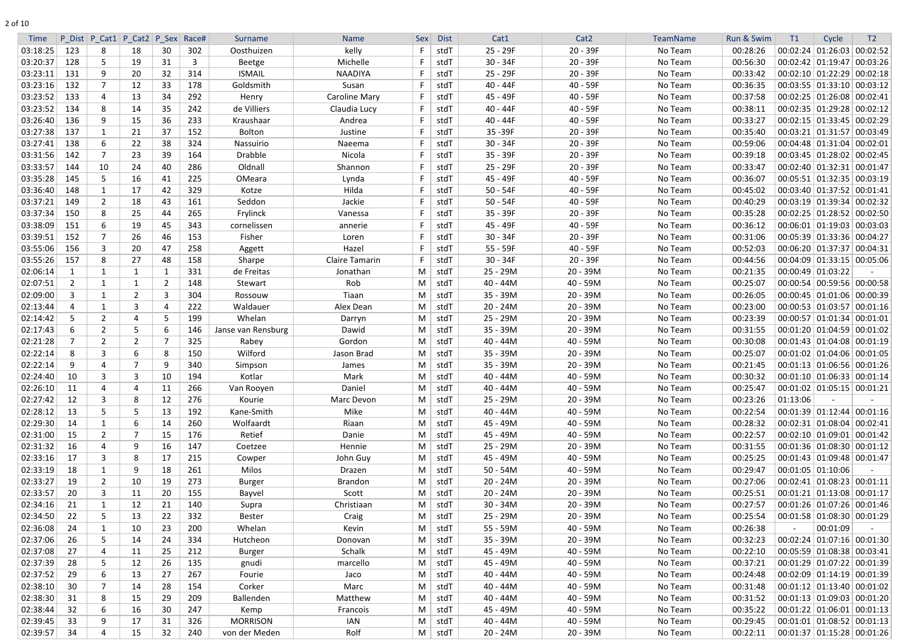| <b>Time</b>          |          | P Dist P Cat1 P Cat2 P Sex Race# |                |     |              | Surname            | <b>Name</b>    | Sex | <b>Dist</b>    | Cat1       | Cat <sub>2</sub> | TeamName | Run & Swim | T1       | Cycle                                                        | T <sub>2</sub> |
|----------------------|----------|----------------------------------|----------------|-----|--------------|--------------------|----------------|-----|----------------|------------|------------------|----------|------------|----------|--------------------------------------------------------------|----------------|
| 03:18:25             | 123      | 8                                | 18             | 30  | 302          | Oosthuizen         | kelly          |     | stdT           | 25 - 29F   | $20 - 39F$       | No Team  | 00:28:26   |          | 00:02:24 01:26:03 00:02:52                                   |                |
| 03:20:37             | 128      | 5                                | 19             | 31  | $\mathbf{3}$ | Beetge             | Michelle       |     | stdT           | $30 - 34F$ | 20 - 39F         | No Team  | 00:56:30   |          | $00:02:42$ 01:19:47 00:03:26                                 |                |
| 03:23:11             | 131      | 9                                | 20             | 32  | 314          | <b>ISMAIL</b>      | <b>NAADIYA</b> |     | stdT           | 25 - 29F   | $20 - 39F$       | No Team  | 00:33:42   |          | $00:02:10$ 01:22:29 00:02:18                                 |                |
| 03:23:16             | 132      | $\overline{7}$                   | 12             | 33  | 178          | Goldsmith          | Susan          |     | stdT           | $40 - 44F$ | 40 - 59F         | No Team  | 00:36:35   |          | $00:03:55$ 01:33:10 00:03:12                                 |                |
| 03:23:52             | 133      | 4                                | 13             | 34  | 292          | Henry              | Caroline Mary  |     | stdT           | 45 - 49F   | 40 - 59F         | No Team  | 00:37:58   |          | 00:02:25 01:26:08 00:02:41                                   |                |
| 03:23:52             | 134      | 8                                | 14             | 35  | 242          | de Villiers        | Claudia Lucy   |     | stdT           | $40 - 44F$ | 40 - 59F         | No Team  | 00:38:11   |          | $00:02:35$ 01:29:28 00:02:12                                 |                |
| 03:26:40             | 136      | 9                                | 15             | 36  | 233          | Kraushaar          | Andrea         |     | stdT           | $40 - 44F$ | 40 - 59F         | No Team  | 00:33:27   |          | $00:02:15$ 01:33:45 00:02:29                                 |                |
| 03:27:38             | 137      | 1                                | 21             | 37  | 152          | <b>Bolton</b>      | Justine        |     | stdT           | 35-39F     | $20 - 39F$       | No Team  | 00:35:40   |          | $00:03:21$ 01:31:57 00:03:49                                 |                |
| 03:27:41             | 138      | 6                                | 22             | 38  | 324          | Nassuirio          | Naeema         |     | stdT           | $30 - 34F$ | $20 - 39F$       | No Team  | 00:59:06   |          | 00:04:48 01:31:04 00:02:01                                   |                |
| 03:31:56             | 142      | $\overline{7}$                   | 23             | 39  | 164          | Drabble            | Nicola         |     | stdT           | 35 - 39F   | 20 - 39F         | No Team  | 00:39:18   |          | $00:03:45$ 01:28:02 00:02:45                                 |                |
| 03:33:57             | 144      | 10                               | 24             | 40  | 286          | Oldnall            | Shannon        |     | stdT           | 25 - 29F   | 20 - 39F         | No Team  | 00:33:47   |          | $00:02:40$ 01:32:31 00:01:47                                 |                |
| 03:35:28             | 145      | 5                                | 16             | 41  | 225          | OMeara             | Lynda          |     | stdT           | 45 - 49F   | 40 - 59F         | No Team  | 00:36:07   |          | $00:05:51$ 01:32:35 00:03:19                                 |                |
| 03:36:40             | 148      |                                  | 17             | 42  | 329          | Kotze              | Hilda          |     | stdT           | $50 - 54F$ | 40 - 59F         | No Team  | 00:45:02   |          | $00:03:40$ 01:37:52 00:01:41                                 |                |
| 03:37:21             | 149      | $\overline{2}$                   | 18             | 43  | 161          | Seddon             | Jackie         |     | stdT           | $50 - 54F$ | 40 - 59F         | No Team  | 00:40:29   |          | $00:03:19$ 01:39:34 00:02:32                                 |                |
| 03:37:34             | 150      | 8                                | 25             | 44  | 265          | Frylinck           | Vanessa        |     | stdT           | 35 - 39F   | $20 - 39F$       | No Team  | 00:35:28   |          | $00:02:25$ 01:28:52 00:02:50                                 |                |
| 03:38:09             | 151      | 6                                | 19             | 45  | 343          | cornelissen        | annerie        |     | stdT           | 45 - 49F   | 40 - 59F         | No Team  | 00:36:12   |          | $00:06:01$ 01:19:03 00:03:03                                 |                |
| 03:39:51             | 152      |                                  | 26             | 46  | 153          | Fisher             | Loren          |     | stdT           | $30 - 34F$ | $20 - 39F$       | No Team  | 00:31:06   |          | 00:05:39 01:33:36 00:04:27                                   |                |
| 03:55:06             | 156      | 3                                | 20             | 47  | 258          | Aggett             | Hazel          |     | stdT           | 55 - 59F   | 40 - 59F         | No Team  | 00:52:03   |          | 00:06:20 01:37:37 00:04:31                                   |                |
| 03:55:26             | 157      | 8                                | 27             | 48  | 158          | Sharpe             | Claire Tamarin | -F  | stdT           | $30 - 34F$ | 20 - 39F         | No Team  | 00:44:56   |          | 00:04:09 01:33:15 00:05:06                                   |                |
| 02:06:14             |          |                                  | -1             |     | 331          | de Freitas         | Jonathan       | M   | stdT           | 25 - 29M   | $20 - 39M$       | No Team  | 00:21:35   |          | $00:00:49$ 01:03:22                                          |                |
| 02:07:51             |          |                                  | -1             |     | 148          | Stewart            | Rob            | M   | stdT           | 40 - 44M   | 40 - 59M         | No Team  | 00:25:07   |          | 00:00:54 00:59:56 00:00:58                                   |                |
| 02:09:00             | -3       |                                  | $\overline{2}$ |     | 304          | Rossouw            | Tiaan          | M   | stdT           | 35 - 39M   | $20 - 39M$       | No Team  | 00:26:05   |          | $00:00:45$ 01:01:06 00:00:39                                 |                |
| 02:13:44             |          |                                  | 3              |     | 222          | Waldauer           | Alex Dean      | M   | stdT           | $20 - 24M$ | $20 - 39M$       | No Team  | 00:23:00   |          | $00:00:53$ 01:03:57 00:01:16                                 |                |
| 02:14:42             |          | $\overline{2}$                   | 4              |     | 199          | Whelan             | Darryn         | M   | stdT           | 25 - 29M   | $20 - 39M$       | No Team  | 00:23:39   |          | $00:00:57$ 01:01:34 00:01:01                                 |                |
| 02:17:43             | -6       | $\overline{2}$                   | 5              |     | 146          | Janse van Rensburg | Dawid          | M   | stdT           | 35 - 39M   | $20 - 39M$       | No Team  | 00:31:55   |          | $00:01:20$ 01:04:59 00:01:02                                 |                |
| 02:21:28             |          | $\overline{2}$                   | $\overline{2}$ |     | 325          | Rabey              | Gordon         | M   | stdT           | 40 - 44M   | 40 - 59M         | No Team  | 00:30:08   |          | $00:01:43$ 01:04:08 00:01:19                                 |                |
| 02:22:14             | -8       | 3                                | 6              |     | 150          | Wilford            | Jason Brad     | M   | stdT           | 35 - 39M   | $20 - 39M$       | No Team  | 00:25:07   |          | 00:01:02 01:04:06 00:01:05                                   |                |
| 02:22:14             | 9        |                                  | $\overline{7}$ | q   | 340          | Simpson            | James          | M   | stdT           | 35 - 39M   | $20 - 39M$       | No Team  | 00:21:45   |          | $00:01:13$ 01:06:56 00:01:26                                 |                |
| 02:24:40             | 10       | 3                                | 3              | 10  | 194          | Kotlar             | Mark           | M   | stdT           | 40 - 44M   | $40 - 59M$       | No Team  | 00:30:32   |          | $00:01:10$ 01:06:33 00:01:14                                 |                |
| 02:26:10             | 11       | 4                                | 4              | 11  | 266          | Van Rooyen         | Daniel         |     | $M \vert$ stdT | 40 - 44M   | 40 - 59M         | No Team  | 00:25:47   |          | $00:01:02$ 01:05:15 00:01:21                                 |                |
| 02:27:42             | 12       | 3                                | 8              | 12  | 276          | Kourie             | Marc Devon     |     | $M \vert$ stdT | 25 - 29M   | $20 - 39M$       | No Team  | 00:23:26   | 01:13:06 |                                                              |                |
| 02:28:12             | 13       | 5                                | 5              | 13  | 192          | Kane-Smith         | Mike           | M   | stdT           | 40 - 44M   | 40 - 59M         | No Team  | 00:22:54   |          | $00:01:39$ 01:12:44 00:01:16                                 |                |
| 02:29:30             | 14       |                                  | 6              | 14  | 260          | Wolfaardt          | Riaan          |     | $M \vert$ stdT | 45 - 49M   | 40 - 59M         | No Team  | 00:28:32   |          | $00:02:31$ 01:08:04 00:02:41                                 |                |
| 02:31:00             | 15       | $\overline{2}$                   | 7              | -15 | 176          | Retief             | Danie          |     | $M \vert$ stdT | 45 - 49M   | 40 - 59M         | No Team  | 00:22:57   |          | $00:02:10$ 01:09:01 00:01:42                                 |                |
| 02:31:32             | 16       | 4                                | 9              | 16  | 147          | Coetzee            | Hennie         | M   | stdT           | 25 - 29M   | $20 - 39M$       | No Team  | 00:31:55   |          | $00:01:36$ 01:08:30 00:01:12                                 |                |
| 02:33:16             | 17       | 3                                | 8              | 17  | 215          | Cowper             | John Guy       | M   | stdT           | 45 - 49M   | 40 - 59M         | No Team  | 00:25:25   |          | $00:01:43$ 01:09:48 00:01:47                                 |                |
| 02:33:19             | 18       |                                  | 9              | 18  | 261          | Milos              | Drazen         | M   |                | $50 - 54M$ | 40 - 59M         | No Team  | 00:29:47   |          | $00:01:05$ 01:10:06                                          |                |
|                      |          |                                  |                |     |              |                    |                |     | stdT           |            |                  |          |            |          |                                                              |                |
| 02:33:27<br>02:33:57 | 19<br>20 | $\overline{2}$                   | 10             | 19  | 273          | <b>Burger</b>      | <b>Brandon</b> | M   | stdT           | 20 - 24M   | 20 - 39M         | No Team  | 00:27:06   |          | $00:02:41$ 01:08:23 00:01:11<br>$00:01:21$ 01:13:08 00:01:17 |                |
|                      |          | 3                                | 11             | 20  | 155          | Bayvel             | Scott          | M   | stdT           | 20 - 24M   | 20 - 39M         | No Team  | 00:25:51   |          |                                                              |                |
| 02:34:16             | 21       | $\mathbf{1}$                     | 12             | 21  | 140          | Supra              | Christiaan     | M   | stdT           | $30 - 34M$ | 20 - 39M         | No Team  | 00:27:57   |          | 00:01:26 01:07:26 00:01:46                                   |                |
| 02:34:50             | 22       | 5                                | 13             | 22  | 332          | Bester             | Craig          | M   | stdT           | 25 - 29M   | 20 - 39M         | No Team  | 00:25:54   |          | $00:01:58$ 01:08:30 00:01:29                                 |                |
| 02:36:08             | 24       |                                  | 10             | 23  | 200          | Whelan             | Kevin          | M   | stdT           | 55 - 59M   | 40 - 59M         | No Team  | 00:26:38   |          | 00:01:09                                                     |                |
| 02:37:06             | 26       | 5                                | 14             | 24  | 334          | Hutcheon           | Donovan        | M   | stdT           | 35 - 39M   | 20 - 39M         | No Team  | 00:32:23   |          | $00:02:24$ 01:07:16 00:01:30                                 |                |
| 02:37:08             | 27       | 4                                | 11             | 25  | 212          | <b>Burger</b>      | Schalk         | M   | stdT           | 45 - 49M   | 40 - 59M         | No Team  | 00:22:10   |          | $00:05:59$ 01:08:38 00:03:41                                 |                |
| 02:37:39             | 28       | 5                                | 12             | 26  | 135          | gnudi              | marcello       |     | $M \vert$ stdT | 45 - 49M   | 40 - 59M         | No Team  | 00:37:21   |          | 00:01:29 01:07:22 00:01:39                                   |                |
| 02:37:52             | 29       | 6                                | 13             | 27  | 267          | Fourie             | Jaco           | M   | $\vert$ stdT   | 40 - 44M   | 40 - 59M         | No Team  | 00:24:48   |          | $00:02:09$ 01:14:19 00:01:39                                 |                |
| 02:38:10             | 30       | $\overline{7}$                   | 14             | 28  | 154          | Corker             | Marc           | M   | stdT           | 40 - 44M   | 40 - 59M         | No Team  | 00:31:48   |          | $00:01:12$ 01:13:40 00:01:02                                 |                |
| 02:38:30             | 31       | 8                                | 15             | 29  | 209          | Ballenden          | Matthew        |     | $M \vert$ stdT | 40 - 44M   | 40 - 59M         | No Team  | 00:31:52   |          | $00:01:13$ 01:09:03 00:01:20                                 |                |
| 02:38:44             | 32       | 6                                | 16             | 30  | 247          | Kemp               | Francois       | M   | stdT           | 45 - 49M   | 40 - 59M         | No Team  | 00:35:22   |          | $00:01:22$ 01:06:01 00:01:13                                 |                |
| 02:39:45             | 33       | 9                                | 17             | 31  | 326          | <b>MORRISON</b>    | IAN            | M   | stdT           | 40 - 44M   | 40 - 59M         | No Team  | 00:29:45   |          | $00:01:01$ 01:08:52 00:01:13                                 |                |
| 02:39:57             | 34       | 4                                | 15             | 32  | 240          | von der Meden      | Rolf           |     | $M \vert stdT$ | $20 - 24M$ | 20 - 39M         | No Team  | 00:22:11   |          | $00:01:37$ 01:15:28 00:01:26                                 |                |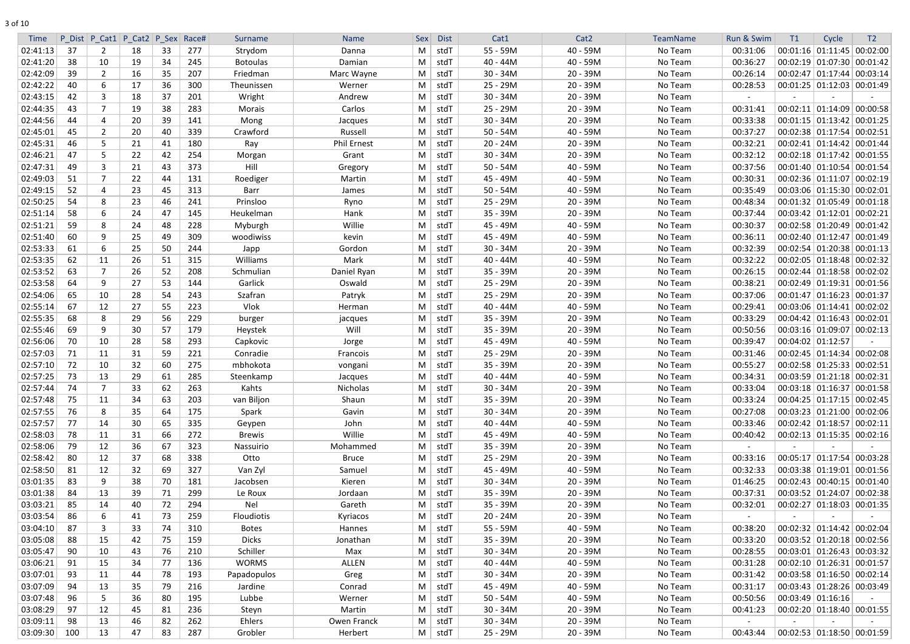|  | I |
|--|---|
|  |   |

| 40 - 59M<br>00:01:16 01:11:45 00:02:00<br>02:41:13<br>37<br>277<br>stdT<br>55 - 59M<br>No Team<br>00:31:06<br>2<br>18<br>Strydom<br>M<br>33<br>Danna<br>02:41:20<br>38<br>$40 - 44M$<br>40 - 59M<br>No Team<br>00:36:27<br>00:02:19 01:07:30 00:01:42<br>10<br>19<br>34<br>245<br><b>Botoulas</b><br>Damian<br>M<br>stdT<br>02:42:09<br>39<br>$\overline{2}$<br>207<br>Marc Wayne<br>$30 - 34M$<br>20 - 39M<br>No Team<br>00:26:14<br>$00:02:47$ 01:17:44 00:03:14<br>16<br>35<br>Friedman<br>M<br>stdT<br>02:42:22<br>40<br>6<br>17<br>36<br>300<br>stdT<br>25 - 29M<br>20 - 39M<br>No Team<br>$00:01:25$ 01:12:03 00:01:49<br>Werner<br>М<br>00:28:53<br>Theunissen<br>02:43:15<br>42<br>3<br>201<br>$30 - 34M$<br>20 - 39M<br>No Team<br>18<br>37<br>Wright<br>Andrew<br>stdT<br>M<br>02:44:35<br>20 - 39M<br>$00:02:11$ 01:14:09 00:00:58<br>43<br>-7<br>38<br>283<br>Carlos<br>stdT<br>25 - 29M<br>No Team<br>00:31:41<br>19<br>М<br>Morais<br>02:44:56<br>20<br>39<br>141<br>$30 - 34M$<br>20 - 39M<br>No Team<br>00:33:38<br>$00:01:15$ 01:13:42 00:01:25<br>44<br>Mong<br>M<br>stdT<br>4<br>Jacques<br>02:45:01<br>No Team<br>00:37:27<br>$00:02:38$ 01:17:54 00:02:51<br>45<br>339<br>Crawford<br>Russell<br>stdT<br>$50 - 54M$<br>40 - 59M<br>2<br>20<br>40<br>M<br>02:45:31<br>180<br><b>Phil Ernest</b><br>$20 - 24M$<br>$20 - 39M$<br>00:32:21<br>$00:02:41$ 01:14:42 00:01:44<br>46<br>5<br>21<br>41<br>M<br>stdT<br>No Team<br>Ray<br>20 - 39M<br>02:46:21<br>$30 - 34M$<br>No Team<br>00:32:12<br>47<br>5<br>22<br>42<br>254<br>Grant<br>$00:02:18$ 01:17:42 00:01:55<br>Morgan<br>M<br>stdT<br>373<br>02:47:31<br>49<br>3<br>43<br>Hill<br>$50 - 54M$<br>40 - 59M<br>00:37:56<br>00:01:40   01:10:54   00:01:54<br>21<br>M<br>stdT<br>No Team<br>Gregory<br>02:49:03<br>00:30:31<br>$00:02:36$ 01:11:07 00:02:19<br>51<br>7<br>22<br>44<br>131<br>45 - 49M<br>40 - 59M<br>Roediger<br>Martin<br>M<br>stdT<br>No Team<br>$00:03:06$ 01:15:30 00:02:01<br>02:49:15<br>52<br>23<br>45<br>313<br>stdT<br>$50 - 54M$<br>40 - 59M<br>No Team<br>00:35:49<br>M<br>4<br>Barr<br>James<br>02:50:25<br>54<br>8<br>23<br>25 - 29M<br>20 - 39M<br>$00:01:32$ 01:05:49 00:01:18<br>46<br>241<br>Prinsloo<br>Ryno<br>No Team<br>00:48:34<br>M<br>stdT<br>20 - 39M<br>$00:03:42$ 01:12:01 00:02:21<br>02:51:14<br>58<br>6<br>47<br>145<br>Hank<br>stdT<br>35 - 39M<br>No Team<br>00:37:44<br>24<br>Heukelman<br>M<br>Willie<br>02:51:21<br>59<br>8<br>24<br>228<br>stdT<br>45 - 49M<br>40 - 59M<br>No Team<br>00:30:37<br>$00:02:58$ 01:20:49 00:01:42<br>48<br>Myburgh<br>M<br>02:51:40<br>60<br>9<br>49<br>309<br>stdT<br>45 - 49M<br>40 - 59M<br>No Team<br>00:36:11<br>$00:02:40$ 01:12:47 00:01:49<br>25<br>woodiwiss<br>kevin<br>М<br>02:53:33<br>$30 - 34M$<br>20 - 39M<br>00:32:39<br>$00:02:54$ 01:20:38 00:01:13<br>61<br>6<br>25<br>50<br>244<br>No Team<br>Japp<br>Gordon<br>M<br>stdT<br>02:53:35<br>62<br>$00:02:05$ 01:18:48 00:02:32<br>11<br>315<br>Williams<br>Mark<br>stdT<br>$40 - 44M$<br>40 - 59M<br>No Team<br>00:32:22<br>26<br>51<br>M<br>02:53:52<br>63<br>7<br>208<br>Daniel Ryan<br>35 - 39M<br>20 - 39M<br>No Team<br>00:26:15<br>$00:02:44$   $01:18:58$   $00:02:02$<br>26<br>52<br>Schmulian<br>M<br>stdT<br>02:53:58<br>9<br>53<br>Garlick<br>25 - 29M<br>$20 - 39M$<br>No Team<br>00:38:21<br>$00:02:49$ 01:19:31 00:01:56<br>64<br>27<br>Oswald<br>stdT<br>144<br>M<br>02:54:06<br>10<br>54<br>243<br>Szafran<br>25 - 29M<br>20 - 39M<br>00:37:06<br>$00:01:47$ 01:16:23 00:01:37<br>65<br>28<br>Patryk<br>M<br>stdT<br>No Team<br>02:55:14<br>Vlok<br>40 - 59M<br>67<br>12<br>27<br>55<br>223<br>stdT<br>$40 - 44M$<br>No Team<br>00:29:41<br>$00:03:06$ 01:14:41 00:02:02<br>Herman<br>M<br>229<br>02:55:35<br>68<br>8<br>29<br>56<br>stdT<br>35 - 39M<br>$20 - 39M$<br>00:33:29<br>$00:04:42$ 01:16:43 00:02:01<br>M<br>No Team<br>burger<br>jacques<br>9<br>Will<br>35 - 39M<br>$00:03:16$ 01:09:07 00:02:13<br>02:55:46<br>69<br>30<br>57<br>179<br>stdT<br>$20 - 39M$<br>No Team<br>00:50:56<br>Heystek<br>M<br>$00:04:02$ 01:12:57<br>02:56:06<br>70<br>10<br>58<br>293<br>45 - 49M<br>40 - 59M<br>00:39:47<br>28<br>M<br>stdT<br>No Team<br>Capkovic<br>Jorge<br>02:57:03<br>25 - 29M<br>$20 - 39M$<br>$00:02:45$ 01:14:34 00:02:08<br>71<br>11<br>31<br>59<br>221<br>Francois<br>stdT<br>No Team<br>00:31:46<br>Conradie<br>M<br>02:57:10<br>72<br>10<br>32<br>mbhokota<br>stdT<br>$20 - 39M$<br>$00:02:58$   01:25:33   00:02:51<br>60<br>275<br>M<br>35 - 39M<br>No Team<br>00:55:27<br>vongani<br>13<br>29<br>02:57:25<br>- 73<br>61<br>285<br>Steenkamp<br>$40 - 44M$<br>40 - 59M<br>No Team<br>00:34:31<br>$00:03:59 \mid 01:21:18 \mid 00:02:31$<br>M<br>stdT<br>Jacques<br>02:57:44<br>$00:03:18$ 01:16:37 00:01:58<br>Kahts<br>Nicholas<br>stdT<br>$30 - 34M$<br>20 - 39M<br>No Team<br>00:33:04<br>-74<br>33<br>62<br>263<br>M<br>02:57:48<br>203<br>van Biljon<br>Shaun<br>35 - 39M<br>20 - 39M<br>00:33:24<br>$00:04:25$ 01:17:15 00:02:45<br>75<br>11<br>34<br>63<br>stdT<br>No Team<br>M<br>$00:03:23$ 01:21:00 00:02:06<br>02:57:55<br>76<br>$30 - 34M$<br>$20 - 39M$<br>No Team<br>00:27:08<br>8<br>35<br>64<br>175<br>Spark<br>Gavin<br>M<br>stdT<br>02:57:57<br>335<br>John<br>$40 - 44M$<br>40 - 59M<br>00:33:46<br>$00:02:42$ 01:18:57 00:02:11<br>-77<br>14<br>30<br>65<br>M<br>stdT<br>No Team<br>Geypen<br>Willie<br>$00:02:13$ 01:15:35 00:02:16<br>02:58:03<br>45 - 49M<br>40 - 59M<br>00:40:42<br>78<br>11<br>31<br>66<br>272<br><b>Brewis</b><br>M<br>stdT<br>No Team<br>02:58:06<br>323<br>35 - 39M<br>$20 - 39M$<br>79<br>12<br>36<br>67<br>Mohammed<br>M<br>stdT<br>No Team<br>Nassuirio<br>02:58:42<br>80<br>12<br>37<br>68<br>338<br>25 - 29M<br>20 - 39M<br>00:05:17 01:17:54 00:03:28<br>Otto<br><b>Bruce</b><br>M<br>No Team<br>00:33:16<br>stdT<br>02:58:50<br>12<br>327<br>45 - 49M<br>40 - 59M<br>00:32:33<br>$00:03:38$ 01:19:01 00:01:56<br>81<br>32<br>69<br>Van Zyl<br>Samuel<br>M<br>stdT<br>No Team<br>03:01:35<br>$00:02:43$ 00:40:15 00:01:40<br>83<br>9<br>38<br>$30 - 34M$<br>20 - 39M<br>181<br>Kieren<br>M<br>stdT<br>No Team<br>01:46:25<br>70<br>Jacobsen<br>00:03:52 01:24:07 00:02:38<br>03:01:38<br>13<br>$20 - 39M$<br>84<br>39<br>71<br>299<br>M<br>stdT<br>35 - 39M<br>No Team<br>00:37:31<br>Le Roux<br>Jordaan<br>03:03:21<br>294<br>Nel<br>35 - 39M<br>$20 - 39M$<br>$00:02:27$ 01:18:03 00:01:35<br>85<br>14<br>40<br>72<br>Gareth<br>M<br>stdT<br>No Team<br>00:32:01<br>03:03:54<br>86<br>$20 - 24M$<br>20 - 39M<br>6<br>73<br>259<br><b>Floudiotis</b><br>M<br>stdT<br>No Team<br>41<br>Kyriacos<br>$\sim$<br>03:04:10<br>87<br>3<br>55 - 59M<br>40 - 59M<br>$00:02:32$ 01:14:42 00:02:04<br>33<br>74<br>310<br>No Team<br>00:38:20<br><b>Botes</b><br>Hannes<br>M<br>stdT<br>03:05:08<br>00:03:52 01:20:18 00:02:56<br>88<br>15<br>20 - 39M<br>00:33:20<br>42<br>75<br>159<br><b>Dicks</b><br>M<br>stdT<br>35 - 39M<br>No Team<br>Jonathan<br>$00:03:01$ 01:26:43 00:03:32<br>03:05:47<br>90<br>10<br>Schiller<br>$30 - 34M$<br>20 - 39M<br>00:28:55<br>76<br>210<br>Max<br>M<br>stdT<br>No Team<br>43<br>$00:02:10$ 01:26:31 00:01:57<br>03:06:21<br>91<br>15<br><b>WORMS</b><br>$40 - 44M$<br>40 - 59M<br>No Team<br>00:31:28<br>34<br>136<br>ALLEN<br>M<br>stdT<br>77<br>03:07:01<br>93<br>193<br>$30 - 34M$<br>20 - 39M<br>$00:03:58$ 01:16:50 00:02:14<br>11<br>78<br>Papadopulos<br>Greg<br>M<br>stdT<br>No Team<br>00:31:42<br>44<br>03:07:09<br>$00:03:43$ 01:28:26 00:03:49<br>94<br>13<br>35<br>216<br>45 - 49M<br>40 - 59M<br>No Team<br>00:31:17<br>79<br>Jardine<br>Conrad<br>M<br>stdT<br>03:07:48<br>Lubbe<br>$50 - 54M$<br>40 - 59M<br>$00:03:49$ 01:16:16<br>96<br>195<br>Werner<br>M<br>stdT<br>No Team<br>00:50:56<br>5.<br>36<br>80<br>03:08:29<br>97<br>12<br>$30 - 34M$<br>$00:02:20$ 01:18:40 00:01:55<br>45<br>81<br>236<br>Martin<br>M<br>$20 - 39M$<br>No Team<br>00:41:23<br>Steyn<br>stdT<br>03:09:11<br>98<br>13<br>262<br>Ehlers<br>Owen Franck<br>M<br>stdT<br>$30 - 34M$<br>$20 - 39M$<br>No Team<br>46<br>82<br>$\sim$<br>$\sim$<br>03:09:30<br>100<br>13<br>47<br>287<br>Grobler<br>Herbert<br>$M \mid stdT$<br>25 - 29M<br>$20 - 39M$<br>No Team<br> 00:02:53 01:18:50 00:01:59<br>83<br>00:43:44 | <b>Time</b> | P Dist P Cat1 P Cat2 P Sex Race# |  | Surname | <b>Name</b> | Sex | <b>Dist</b> | Cat1 | Cat <sub>2</sub> | TeamName | Run & Swim | T1 | Cycle | T <sub>2</sub> |
|-----------------------------------------------------------------------------------------------------------------------------------------------------------------------------------------------------------------------------------------------------------------------------------------------------------------------------------------------------------------------------------------------------------------------------------------------------------------------------------------------------------------------------------------------------------------------------------------------------------------------------------------------------------------------------------------------------------------------------------------------------------------------------------------------------------------------------------------------------------------------------------------------------------------------------------------------------------------------------------------------------------------------------------------------------------------------------------------------------------------------------------------------------------------------------------------------------------------------------------------------------------------------------------------------------------------------------------------------------------------------------------------------------------------------------------------------------------------------------------------------------------------------------------------------------------------------------------------------------------------------------------------------------------------------------------------------------------------------------------------------------------------------------------------------------------------------------------------------------------------------------------------------------------------------------------------------------------------------------------------------------------------------------------------------------------------------------------------------------------------------------------------------------------------------------------------------------------------------------------------------------------------------------------------------------------------------------------------------------------------------------------------------------------------------------------------------------------------------------------------------------------------------------------------------------------------------------------------------------------------------------------------------------------------------------------------------------------------------------------------------------------------------------------------------------------------------------------------------------------------------------------------------------------------------------------------------------------------------------------------------------------------------------------------------------------------------------------------------------------------------------------------------------------------------------------------------------------------------------------------------------------------------------------------------------------------------------------------------------------------------------------------------------------------------------------------------------------------------------------------------------------------------------------------------------------------------------------------------------------------------------------------------------------------------------------------------------------------------------------------------------------------------------------------------------------------------------------------------------------------------------------------------------------------------------------------------------------------------------------------------------------------------------------------------------------------------------------------------------------------------------------------------------------------------------------------------------------------------------------------------------------------------------------------------------------------------------------------------------------------------------------------------------------------------------------------------------------------------------------------------------------------------------------------------------------------------------------------------------------------------------------------------------------------------------------------------------------------------------------------------------------------------------------------------------------------------------------------------------------------------------------------------------------------------------------------------------------------------------------------------------------------------------------------------------------------------------------------------------------------------------------------------------------------------------------------------------------------------------------------------------------------------------------------------------------------------------------------------------------------------------------------------------------------------------------------------------------------------------------------------------------------------------------------------------------------------------------------------------------------------------------------------------------------------------------------------------------------------------------------------------------------------------------------------------------------------------------------------------------------------------------------------------------------------------------------------------------------------------------------------------------------------------------------------------------------------------------------------------------------------------------------------------------------------------------------------------------------------------------------------------------------------------------------------------------------------------------------------------------------------------------------------------------------------------------------------------------------------------------------------------------------------------------------------------------------------------------------------------------------------------------------------------------------------------------------------------------------------------------------------------------------------------------------------------------------------------------------------------------------------------------------------------------------------------------------------------------------------------------------------------------------------------------------------------------------------------------------------------------------------------------------------------------------------------------------------------------------------------------------------------------------------------------------------------------------------------------------------------------------------------------------------------------------------------------------------------------------------------------------------------------------------------------------------------------------------------------------------------------------------------------------------------------------------------------------------------------------------------------------------------------------------------------------------------------------------------------------------------------------------------------------------------------------------------------------------------------------------------------------------------------------------------------------------------------------------------------------------------------------------------------------------------------------------------------------------------------------------------------------------------|-------------|----------------------------------|--|---------|-------------|-----|-------------|------|------------------|----------|------------|----|-------|----------------|
|                                                                                                                                                                                                                                                                                                                                                                                                                                                                                                                                                                                                                                                                                                                                                                                                                                                                                                                                                                                                                                                                                                                                                                                                                                                                                                                                                                                                                                                                                                                                                                                                                                                                                                                                                                                                                                                                                                                                                                                                                                                                                                                                                                                                                                                                                                                                                                                                                                                                                                                                                                                                                                                                                                                                                                                                                                                                                                                                                                                                                                                                                                                                                                                                                                                                                                                                                                                                                                                                                                                                                                                                                                                                                                                                                                                                                                                                                                                                                                                                                                                                                                                                                                                                                                                                                                                                                                                                                                                                                                                                                                                                                                                                                                                                                                                                                                                                                                                                                                                                                                                                                                                                                                                                                                                                                                                                                                                                                                                                                                                                                                                                                                                                                                                                                                                                                                                                                                                                                                                                                                                                                                                                                                                                                                                                                                                                                                                                                                                                                                                                                                                                                                                                                                                                                                                                                                                                                                                                                                                                                                                                                                                                                                                                                                                                                                                                                                                                                                                                                                                                                                                                                                                                                                                                                                                                                                                                                                                                                                                                                                                                                                                                                                                                                                                     |             |                                  |  |         |             |     |             |      |                  |          |            |    |       |                |
|                                                                                                                                                                                                                                                                                                                                                                                                                                                                                                                                                                                                                                                                                                                                                                                                                                                                                                                                                                                                                                                                                                                                                                                                                                                                                                                                                                                                                                                                                                                                                                                                                                                                                                                                                                                                                                                                                                                                                                                                                                                                                                                                                                                                                                                                                                                                                                                                                                                                                                                                                                                                                                                                                                                                                                                                                                                                                                                                                                                                                                                                                                                                                                                                                                                                                                                                                                                                                                                                                                                                                                                                                                                                                                                                                                                                                                                                                                                                                                                                                                                                                                                                                                                                                                                                                                                                                                                                                                                                                                                                                                                                                                                                                                                                                                                                                                                                                                                                                                                                                                                                                                                                                                                                                                                                                                                                                                                                                                                                                                                                                                                                                                                                                                                                                                                                                                                                                                                                                                                                                                                                                                                                                                                                                                                                                                                                                                                                                                                                                                                                                                                                                                                                                                                                                                                                                                                                                                                                                                                                                                                                                                                                                                                                                                                                                                                                                                                                                                                                                                                                                                                                                                                                                                                                                                                                                                                                                                                                                                                                                                                                                                                                                                                                                                                     |             |                                  |  |         |             |     |             |      |                  |          |            |    |       |                |
|                                                                                                                                                                                                                                                                                                                                                                                                                                                                                                                                                                                                                                                                                                                                                                                                                                                                                                                                                                                                                                                                                                                                                                                                                                                                                                                                                                                                                                                                                                                                                                                                                                                                                                                                                                                                                                                                                                                                                                                                                                                                                                                                                                                                                                                                                                                                                                                                                                                                                                                                                                                                                                                                                                                                                                                                                                                                                                                                                                                                                                                                                                                                                                                                                                                                                                                                                                                                                                                                                                                                                                                                                                                                                                                                                                                                                                                                                                                                                                                                                                                                                                                                                                                                                                                                                                                                                                                                                                                                                                                                                                                                                                                                                                                                                                                                                                                                                                                                                                                                                                                                                                                                                                                                                                                                                                                                                                                                                                                                                                                                                                                                                                                                                                                                                                                                                                                                                                                                                                                                                                                                                                                                                                                                                                                                                                                                                                                                                                                                                                                                                                                                                                                                                                                                                                                                                                                                                                                                                                                                                                                                                                                                                                                                                                                                                                                                                                                                                                                                                                                                                                                                                                                                                                                                                                                                                                                                                                                                                                                                                                                                                                                                                                                                                                                     |             |                                  |  |         |             |     |             |      |                  |          |            |    |       |                |
|                                                                                                                                                                                                                                                                                                                                                                                                                                                                                                                                                                                                                                                                                                                                                                                                                                                                                                                                                                                                                                                                                                                                                                                                                                                                                                                                                                                                                                                                                                                                                                                                                                                                                                                                                                                                                                                                                                                                                                                                                                                                                                                                                                                                                                                                                                                                                                                                                                                                                                                                                                                                                                                                                                                                                                                                                                                                                                                                                                                                                                                                                                                                                                                                                                                                                                                                                                                                                                                                                                                                                                                                                                                                                                                                                                                                                                                                                                                                                                                                                                                                                                                                                                                                                                                                                                                                                                                                                                                                                                                                                                                                                                                                                                                                                                                                                                                                                                                                                                                                                                                                                                                                                                                                                                                                                                                                                                                                                                                                                                                                                                                                                                                                                                                                                                                                                                                                                                                                                                                                                                                                                                                                                                                                                                                                                                                                                                                                                                                                                                                                                                                                                                                                                                                                                                                                                                                                                                                                                                                                                                                                                                                                                                                                                                                                                                                                                                                                                                                                                                                                                                                                                                                                                                                                                                                                                                                                                                                                                                                                                                                                                                                                                                                                                                                     |             |                                  |  |         |             |     |             |      |                  |          |            |    |       |                |
|                                                                                                                                                                                                                                                                                                                                                                                                                                                                                                                                                                                                                                                                                                                                                                                                                                                                                                                                                                                                                                                                                                                                                                                                                                                                                                                                                                                                                                                                                                                                                                                                                                                                                                                                                                                                                                                                                                                                                                                                                                                                                                                                                                                                                                                                                                                                                                                                                                                                                                                                                                                                                                                                                                                                                                                                                                                                                                                                                                                                                                                                                                                                                                                                                                                                                                                                                                                                                                                                                                                                                                                                                                                                                                                                                                                                                                                                                                                                                                                                                                                                                                                                                                                                                                                                                                                                                                                                                                                                                                                                                                                                                                                                                                                                                                                                                                                                                                                                                                                                                                                                                                                                                                                                                                                                                                                                                                                                                                                                                                                                                                                                                                                                                                                                                                                                                                                                                                                                                                                                                                                                                                                                                                                                                                                                                                                                                                                                                                                                                                                                                                                                                                                                                                                                                                                                                                                                                                                                                                                                                                                                                                                                                                                                                                                                                                                                                                                                                                                                                                                                                                                                                                                                                                                                                                                                                                                                                                                                                                                                                                                                                                                                                                                                                                                     |             |                                  |  |         |             |     |             |      |                  |          |            |    |       |                |
|                                                                                                                                                                                                                                                                                                                                                                                                                                                                                                                                                                                                                                                                                                                                                                                                                                                                                                                                                                                                                                                                                                                                                                                                                                                                                                                                                                                                                                                                                                                                                                                                                                                                                                                                                                                                                                                                                                                                                                                                                                                                                                                                                                                                                                                                                                                                                                                                                                                                                                                                                                                                                                                                                                                                                                                                                                                                                                                                                                                                                                                                                                                                                                                                                                                                                                                                                                                                                                                                                                                                                                                                                                                                                                                                                                                                                                                                                                                                                                                                                                                                                                                                                                                                                                                                                                                                                                                                                                                                                                                                                                                                                                                                                                                                                                                                                                                                                                                                                                                                                                                                                                                                                                                                                                                                                                                                                                                                                                                                                                                                                                                                                                                                                                                                                                                                                                                                                                                                                                                                                                                                                                                                                                                                                                                                                                                                                                                                                                                                                                                                                                                                                                                                                                                                                                                                                                                                                                                                                                                                                                                                                                                                                                                                                                                                                                                                                                                                                                                                                                                                                                                                                                                                                                                                                                                                                                                                                                                                                                                                                                                                                                                                                                                                                                                     |             |                                  |  |         |             |     |             |      |                  |          |            |    |       |                |
|                                                                                                                                                                                                                                                                                                                                                                                                                                                                                                                                                                                                                                                                                                                                                                                                                                                                                                                                                                                                                                                                                                                                                                                                                                                                                                                                                                                                                                                                                                                                                                                                                                                                                                                                                                                                                                                                                                                                                                                                                                                                                                                                                                                                                                                                                                                                                                                                                                                                                                                                                                                                                                                                                                                                                                                                                                                                                                                                                                                                                                                                                                                                                                                                                                                                                                                                                                                                                                                                                                                                                                                                                                                                                                                                                                                                                                                                                                                                                                                                                                                                                                                                                                                                                                                                                                                                                                                                                                                                                                                                                                                                                                                                                                                                                                                                                                                                                                                                                                                                                                                                                                                                                                                                                                                                                                                                                                                                                                                                                                                                                                                                                                                                                                                                                                                                                                                                                                                                                                                                                                                                                                                                                                                                                                                                                                                                                                                                                                                                                                                                                                                                                                                                                                                                                                                                                                                                                                                                                                                                                                                                                                                                                                                                                                                                                                                                                                                                                                                                                                                                                                                                                                                                                                                                                                                                                                                                                                                                                                                                                                                                                                                                                                                                                                                     |             |                                  |  |         |             |     |             |      |                  |          |            |    |       |                |
|                                                                                                                                                                                                                                                                                                                                                                                                                                                                                                                                                                                                                                                                                                                                                                                                                                                                                                                                                                                                                                                                                                                                                                                                                                                                                                                                                                                                                                                                                                                                                                                                                                                                                                                                                                                                                                                                                                                                                                                                                                                                                                                                                                                                                                                                                                                                                                                                                                                                                                                                                                                                                                                                                                                                                                                                                                                                                                                                                                                                                                                                                                                                                                                                                                                                                                                                                                                                                                                                                                                                                                                                                                                                                                                                                                                                                                                                                                                                                                                                                                                                                                                                                                                                                                                                                                                                                                                                                                                                                                                                                                                                                                                                                                                                                                                                                                                                                                                                                                                                                                                                                                                                                                                                                                                                                                                                                                                                                                                                                                                                                                                                                                                                                                                                                                                                                                                                                                                                                                                                                                                                                                                                                                                                                                                                                                                                                                                                                                                                                                                                                                                                                                                                                                                                                                                                                                                                                                                                                                                                                                                                                                                                                                                                                                                                                                                                                                                                                                                                                                                                                                                                                                                                                                                                                                                                                                                                                                                                                                                                                                                                                                                                                                                                                                                     |             |                                  |  |         |             |     |             |      |                  |          |            |    |       |                |
|                                                                                                                                                                                                                                                                                                                                                                                                                                                                                                                                                                                                                                                                                                                                                                                                                                                                                                                                                                                                                                                                                                                                                                                                                                                                                                                                                                                                                                                                                                                                                                                                                                                                                                                                                                                                                                                                                                                                                                                                                                                                                                                                                                                                                                                                                                                                                                                                                                                                                                                                                                                                                                                                                                                                                                                                                                                                                                                                                                                                                                                                                                                                                                                                                                                                                                                                                                                                                                                                                                                                                                                                                                                                                                                                                                                                                                                                                                                                                                                                                                                                                                                                                                                                                                                                                                                                                                                                                                                                                                                                                                                                                                                                                                                                                                                                                                                                                                                                                                                                                                                                                                                                                                                                                                                                                                                                                                                                                                                                                                                                                                                                                                                                                                                                                                                                                                                                                                                                                                                                                                                                                                                                                                                                                                                                                                                                                                                                                                                                                                                                                                                                                                                                                                                                                                                                                                                                                                                                                                                                                                                                                                                                                                                                                                                                                                                                                                                                                                                                                                                                                                                                                                                                                                                                                                                                                                                                                                                                                                                                                                                                                                                                                                                                                                                     |             |                                  |  |         |             |     |             |      |                  |          |            |    |       |                |
|                                                                                                                                                                                                                                                                                                                                                                                                                                                                                                                                                                                                                                                                                                                                                                                                                                                                                                                                                                                                                                                                                                                                                                                                                                                                                                                                                                                                                                                                                                                                                                                                                                                                                                                                                                                                                                                                                                                                                                                                                                                                                                                                                                                                                                                                                                                                                                                                                                                                                                                                                                                                                                                                                                                                                                                                                                                                                                                                                                                                                                                                                                                                                                                                                                                                                                                                                                                                                                                                                                                                                                                                                                                                                                                                                                                                                                                                                                                                                                                                                                                                                                                                                                                                                                                                                                                                                                                                                                                                                                                                                                                                                                                                                                                                                                                                                                                                                                                                                                                                                                                                                                                                                                                                                                                                                                                                                                                                                                                                                                                                                                                                                                                                                                                                                                                                                                                                                                                                                                                                                                                                                                                                                                                                                                                                                                                                                                                                                                                                                                                                                                                                                                                                                                                                                                                                                                                                                                                                                                                                                                                                                                                                                                                                                                                                                                                                                                                                                                                                                                                                                                                                                                                                                                                                                                                                                                                                                                                                                                                                                                                                                                                                                                                                                                                     |             |                                  |  |         |             |     |             |      |                  |          |            |    |       |                |
|                                                                                                                                                                                                                                                                                                                                                                                                                                                                                                                                                                                                                                                                                                                                                                                                                                                                                                                                                                                                                                                                                                                                                                                                                                                                                                                                                                                                                                                                                                                                                                                                                                                                                                                                                                                                                                                                                                                                                                                                                                                                                                                                                                                                                                                                                                                                                                                                                                                                                                                                                                                                                                                                                                                                                                                                                                                                                                                                                                                                                                                                                                                                                                                                                                                                                                                                                                                                                                                                                                                                                                                                                                                                                                                                                                                                                                                                                                                                                                                                                                                                                                                                                                                                                                                                                                                                                                                                                                                                                                                                                                                                                                                                                                                                                                                                                                                                                                                                                                                                                                                                                                                                                                                                                                                                                                                                                                                                                                                                                                                                                                                                                                                                                                                                                                                                                                                                                                                                                                                                                                                                                                                                                                                                                                                                                                                                                                                                                                                                                                                                                                                                                                                                                                                                                                                                                                                                                                                                                                                                                                                                                                                                                                                                                                                                                                                                                                                                                                                                                                                                                                                                                                                                                                                                                                                                                                                                                                                                                                                                                                                                                                                                                                                                                                                     |             |                                  |  |         |             |     |             |      |                  |          |            |    |       |                |
|                                                                                                                                                                                                                                                                                                                                                                                                                                                                                                                                                                                                                                                                                                                                                                                                                                                                                                                                                                                                                                                                                                                                                                                                                                                                                                                                                                                                                                                                                                                                                                                                                                                                                                                                                                                                                                                                                                                                                                                                                                                                                                                                                                                                                                                                                                                                                                                                                                                                                                                                                                                                                                                                                                                                                                                                                                                                                                                                                                                                                                                                                                                                                                                                                                                                                                                                                                                                                                                                                                                                                                                                                                                                                                                                                                                                                                                                                                                                                                                                                                                                                                                                                                                                                                                                                                                                                                                                                                                                                                                                                                                                                                                                                                                                                                                                                                                                                                                                                                                                                                                                                                                                                                                                                                                                                                                                                                                                                                                                                                                                                                                                                                                                                                                                                                                                                                                                                                                                                                                                                                                                                                                                                                                                                                                                                                                                                                                                                                                                                                                                                                                                                                                                                                                                                                                                                                                                                                                                                                                                                                                                                                                                                                                                                                                                                                                                                                                                                                                                                                                                                                                                                                                                                                                                                                                                                                                                                                                                                                                                                                                                                                                                                                                                                                                     |             |                                  |  |         |             |     |             |      |                  |          |            |    |       |                |
|                                                                                                                                                                                                                                                                                                                                                                                                                                                                                                                                                                                                                                                                                                                                                                                                                                                                                                                                                                                                                                                                                                                                                                                                                                                                                                                                                                                                                                                                                                                                                                                                                                                                                                                                                                                                                                                                                                                                                                                                                                                                                                                                                                                                                                                                                                                                                                                                                                                                                                                                                                                                                                                                                                                                                                                                                                                                                                                                                                                                                                                                                                                                                                                                                                                                                                                                                                                                                                                                                                                                                                                                                                                                                                                                                                                                                                                                                                                                                                                                                                                                                                                                                                                                                                                                                                                                                                                                                                                                                                                                                                                                                                                                                                                                                                                                                                                                                                                                                                                                                                                                                                                                                                                                                                                                                                                                                                                                                                                                                                                                                                                                                                                                                                                                                                                                                                                                                                                                                                                                                                                                                                                                                                                                                                                                                                                                                                                                                                                                                                                                                                                                                                                                                                                                                                                                                                                                                                                                                                                                                                                                                                                                                                                                                                                                                                                                                                                                                                                                                                                                                                                                                                                                                                                                                                                                                                                                                                                                                                                                                                                                                                                                                                                                                                                     |             |                                  |  |         |             |     |             |      |                  |          |            |    |       |                |
|                                                                                                                                                                                                                                                                                                                                                                                                                                                                                                                                                                                                                                                                                                                                                                                                                                                                                                                                                                                                                                                                                                                                                                                                                                                                                                                                                                                                                                                                                                                                                                                                                                                                                                                                                                                                                                                                                                                                                                                                                                                                                                                                                                                                                                                                                                                                                                                                                                                                                                                                                                                                                                                                                                                                                                                                                                                                                                                                                                                                                                                                                                                                                                                                                                                                                                                                                                                                                                                                                                                                                                                                                                                                                                                                                                                                                                                                                                                                                                                                                                                                                                                                                                                                                                                                                                                                                                                                                                                                                                                                                                                                                                                                                                                                                                                                                                                                                                                                                                                                                                                                                                                                                                                                                                                                                                                                                                                                                                                                                                                                                                                                                                                                                                                                                                                                                                                                                                                                                                                                                                                                                                                                                                                                                                                                                                                                                                                                                                                                                                                                                                                                                                                                                                                                                                                                                                                                                                                                                                                                                                                                                                                                                                                                                                                                                                                                                                                                                                                                                                                                                                                                                                                                                                                                                                                                                                                                                                                                                                                                                                                                                                                                                                                                                                                     |             |                                  |  |         |             |     |             |      |                  |          |            |    |       |                |
|                                                                                                                                                                                                                                                                                                                                                                                                                                                                                                                                                                                                                                                                                                                                                                                                                                                                                                                                                                                                                                                                                                                                                                                                                                                                                                                                                                                                                                                                                                                                                                                                                                                                                                                                                                                                                                                                                                                                                                                                                                                                                                                                                                                                                                                                                                                                                                                                                                                                                                                                                                                                                                                                                                                                                                                                                                                                                                                                                                                                                                                                                                                                                                                                                                                                                                                                                                                                                                                                                                                                                                                                                                                                                                                                                                                                                                                                                                                                                                                                                                                                                                                                                                                                                                                                                                                                                                                                                                                                                                                                                                                                                                                                                                                                                                                                                                                                                                                                                                                                                                                                                                                                                                                                                                                                                                                                                                                                                                                                                                                                                                                                                                                                                                                                                                                                                                                                                                                                                                                                                                                                                                                                                                                                                                                                                                                                                                                                                                                                                                                                                                                                                                                                                                                                                                                                                                                                                                                                                                                                                                                                                                                                                                                                                                                                                                                                                                                                                                                                                                                                                                                                                                                                                                                                                                                                                                                                                                                                                                                                                                                                                                                                                                                                                                                     |             |                                  |  |         |             |     |             |      |                  |          |            |    |       |                |
|                                                                                                                                                                                                                                                                                                                                                                                                                                                                                                                                                                                                                                                                                                                                                                                                                                                                                                                                                                                                                                                                                                                                                                                                                                                                                                                                                                                                                                                                                                                                                                                                                                                                                                                                                                                                                                                                                                                                                                                                                                                                                                                                                                                                                                                                                                                                                                                                                                                                                                                                                                                                                                                                                                                                                                                                                                                                                                                                                                                                                                                                                                                                                                                                                                                                                                                                                                                                                                                                                                                                                                                                                                                                                                                                                                                                                                                                                                                                                                                                                                                                                                                                                                                                                                                                                                                                                                                                                                                                                                                                                                                                                                                                                                                                                                                                                                                                                                                                                                                                                                                                                                                                                                                                                                                                                                                                                                                                                                                                                                                                                                                                                                                                                                                                                                                                                                                                                                                                                                                                                                                                                                                                                                                                                                                                                                                                                                                                                                                                                                                                                                                                                                                                                                                                                                                                                                                                                                                                                                                                                                                                                                                                                                                                                                                                                                                                                                                                                                                                                                                                                                                                                                                                                                                                                                                                                                                                                                                                                                                                                                                                                                                                                                                                                                                     |             |                                  |  |         |             |     |             |      |                  |          |            |    |       |                |
|                                                                                                                                                                                                                                                                                                                                                                                                                                                                                                                                                                                                                                                                                                                                                                                                                                                                                                                                                                                                                                                                                                                                                                                                                                                                                                                                                                                                                                                                                                                                                                                                                                                                                                                                                                                                                                                                                                                                                                                                                                                                                                                                                                                                                                                                                                                                                                                                                                                                                                                                                                                                                                                                                                                                                                                                                                                                                                                                                                                                                                                                                                                                                                                                                                                                                                                                                                                                                                                                                                                                                                                                                                                                                                                                                                                                                                                                                                                                                                                                                                                                                                                                                                                                                                                                                                                                                                                                                                                                                                                                                                                                                                                                                                                                                                                                                                                                                                                                                                                                                                                                                                                                                                                                                                                                                                                                                                                                                                                                                                                                                                                                                                                                                                                                                                                                                                                                                                                                                                                                                                                                                                                                                                                                                                                                                                                                                                                                                                                                                                                                                                                                                                                                                                                                                                                                                                                                                                                                                                                                                                                                                                                                                                                                                                                                                                                                                                                                                                                                                                                                                                                                                                                                                                                                                                                                                                                                                                                                                                                                                                                                                                                                                                                                                                                     |             |                                  |  |         |             |     |             |      |                  |          |            |    |       |                |
|                                                                                                                                                                                                                                                                                                                                                                                                                                                                                                                                                                                                                                                                                                                                                                                                                                                                                                                                                                                                                                                                                                                                                                                                                                                                                                                                                                                                                                                                                                                                                                                                                                                                                                                                                                                                                                                                                                                                                                                                                                                                                                                                                                                                                                                                                                                                                                                                                                                                                                                                                                                                                                                                                                                                                                                                                                                                                                                                                                                                                                                                                                                                                                                                                                                                                                                                                                                                                                                                                                                                                                                                                                                                                                                                                                                                                                                                                                                                                                                                                                                                                                                                                                                                                                                                                                                                                                                                                                                                                                                                                                                                                                                                                                                                                                                                                                                                                                                                                                                                                                                                                                                                                                                                                                                                                                                                                                                                                                                                                                                                                                                                                                                                                                                                                                                                                                                                                                                                                                                                                                                                                                                                                                                                                                                                                                                                                                                                                                                                                                                                                                                                                                                                                                                                                                                                                                                                                                                                                                                                                                                                                                                                                                                                                                                                                                                                                                                                                                                                                                                                                                                                                                                                                                                                                                                                                                                                                                                                                                                                                                                                                                                                                                                                                                                     |             |                                  |  |         |             |     |             |      |                  |          |            |    |       |                |
|                                                                                                                                                                                                                                                                                                                                                                                                                                                                                                                                                                                                                                                                                                                                                                                                                                                                                                                                                                                                                                                                                                                                                                                                                                                                                                                                                                                                                                                                                                                                                                                                                                                                                                                                                                                                                                                                                                                                                                                                                                                                                                                                                                                                                                                                                                                                                                                                                                                                                                                                                                                                                                                                                                                                                                                                                                                                                                                                                                                                                                                                                                                                                                                                                                                                                                                                                                                                                                                                                                                                                                                                                                                                                                                                                                                                                                                                                                                                                                                                                                                                                                                                                                                                                                                                                                                                                                                                                                                                                                                                                                                                                                                                                                                                                                                                                                                                                                                                                                                                                                                                                                                                                                                                                                                                                                                                                                                                                                                                                                                                                                                                                                                                                                                                                                                                                                                                                                                                                                                                                                                                                                                                                                                                                                                                                                                                                                                                                                                                                                                                                                                                                                                                                                                                                                                                                                                                                                                                                                                                                                                                                                                                                                                                                                                                                                                                                                                                                                                                                                                                                                                                                                                                                                                                                                                                                                                                                                                                                                                                                                                                                                                                                                                                                                                     |             |                                  |  |         |             |     |             |      |                  |          |            |    |       |                |
|                                                                                                                                                                                                                                                                                                                                                                                                                                                                                                                                                                                                                                                                                                                                                                                                                                                                                                                                                                                                                                                                                                                                                                                                                                                                                                                                                                                                                                                                                                                                                                                                                                                                                                                                                                                                                                                                                                                                                                                                                                                                                                                                                                                                                                                                                                                                                                                                                                                                                                                                                                                                                                                                                                                                                                                                                                                                                                                                                                                                                                                                                                                                                                                                                                                                                                                                                                                                                                                                                                                                                                                                                                                                                                                                                                                                                                                                                                                                                                                                                                                                                                                                                                                                                                                                                                                                                                                                                                                                                                                                                                                                                                                                                                                                                                                                                                                                                                                                                                                                                                                                                                                                                                                                                                                                                                                                                                                                                                                                                                                                                                                                                                                                                                                                                                                                                                                                                                                                                                                                                                                                                                                                                                                                                                                                                                                                                                                                                                                                                                                                                                                                                                                                                                                                                                                                                                                                                                                                                                                                                                                                                                                                                                                                                                                                                                                                                                                                                                                                                                                                                                                                                                                                                                                                                                                                                                                                                                                                                                                                                                                                                                                                                                                                                                                     |             |                                  |  |         |             |     |             |      |                  |          |            |    |       |                |
|                                                                                                                                                                                                                                                                                                                                                                                                                                                                                                                                                                                                                                                                                                                                                                                                                                                                                                                                                                                                                                                                                                                                                                                                                                                                                                                                                                                                                                                                                                                                                                                                                                                                                                                                                                                                                                                                                                                                                                                                                                                                                                                                                                                                                                                                                                                                                                                                                                                                                                                                                                                                                                                                                                                                                                                                                                                                                                                                                                                                                                                                                                                                                                                                                                                                                                                                                                                                                                                                                                                                                                                                                                                                                                                                                                                                                                                                                                                                                                                                                                                                                                                                                                                                                                                                                                                                                                                                                                                                                                                                                                                                                                                                                                                                                                                                                                                                                                                                                                                                                                                                                                                                                                                                                                                                                                                                                                                                                                                                                                                                                                                                                                                                                                                                                                                                                                                                                                                                                                                                                                                                                                                                                                                                                                                                                                                                                                                                                                                                                                                                                                                                                                                                                                                                                                                                                                                                                                                                                                                                                                                                                                                                                                                                                                                                                                                                                                                                                                                                                                                                                                                                                                                                                                                                                                                                                                                                                                                                                                                                                                                                                                                                                                                                                                                     |             |                                  |  |         |             |     |             |      |                  |          |            |    |       |                |
|                                                                                                                                                                                                                                                                                                                                                                                                                                                                                                                                                                                                                                                                                                                                                                                                                                                                                                                                                                                                                                                                                                                                                                                                                                                                                                                                                                                                                                                                                                                                                                                                                                                                                                                                                                                                                                                                                                                                                                                                                                                                                                                                                                                                                                                                                                                                                                                                                                                                                                                                                                                                                                                                                                                                                                                                                                                                                                                                                                                                                                                                                                                                                                                                                                                                                                                                                                                                                                                                                                                                                                                                                                                                                                                                                                                                                                                                                                                                                                                                                                                                                                                                                                                                                                                                                                                                                                                                                                                                                                                                                                                                                                                                                                                                                                                                                                                                                                                                                                                                                                                                                                                                                                                                                                                                                                                                                                                                                                                                                                                                                                                                                                                                                                                                                                                                                                                                                                                                                                                                                                                                                                                                                                                                                                                                                                                                                                                                                                                                                                                                                                                                                                                                                                                                                                                                                                                                                                                                                                                                                                                                                                                                                                                                                                                                                                                                                                                                                                                                                                                                                                                                                                                                                                                                                                                                                                                                                                                                                                                                                                                                                                                                                                                                                                                     |             |                                  |  |         |             |     |             |      |                  |          |            |    |       |                |
|                                                                                                                                                                                                                                                                                                                                                                                                                                                                                                                                                                                                                                                                                                                                                                                                                                                                                                                                                                                                                                                                                                                                                                                                                                                                                                                                                                                                                                                                                                                                                                                                                                                                                                                                                                                                                                                                                                                                                                                                                                                                                                                                                                                                                                                                                                                                                                                                                                                                                                                                                                                                                                                                                                                                                                                                                                                                                                                                                                                                                                                                                                                                                                                                                                                                                                                                                                                                                                                                                                                                                                                                                                                                                                                                                                                                                                                                                                                                                                                                                                                                                                                                                                                                                                                                                                                                                                                                                                                                                                                                                                                                                                                                                                                                                                                                                                                                                                                                                                                                                                                                                                                                                                                                                                                                                                                                                                                                                                                                                                                                                                                                                                                                                                                                                                                                                                                                                                                                                                                                                                                                                                                                                                                                                                                                                                                                                                                                                                                                                                                                                                                                                                                                                                                                                                                                                                                                                                                                                                                                                                                                                                                                                                                                                                                                                                                                                                                                                                                                                                                                                                                                                                                                                                                                                                                                                                                                                                                                                                                                                                                                                                                                                                                                                                                     |             |                                  |  |         |             |     |             |      |                  |          |            |    |       |                |
|                                                                                                                                                                                                                                                                                                                                                                                                                                                                                                                                                                                                                                                                                                                                                                                                                                                                                                                                                                                                                                                                                                                                                                                                                                                                                                                                                                                                                                                                                                                                                                                                                                                                                                                                                                                                                                                                                                                                                                                                                                                                                                                                                                                                                                                                                                                                                                                                                                                                                                                                                                                                                                                                                                                                                                                                                                                                                                                                                                                                                                                                                                                                                                                                                                                                                                                                                                                                                                                                                                                                                                                                                                                                                                                                                                                                                                                                                                                                                                                                                                                                                                                                                                                                                                                                                                                                                                                                                                                                                                                                                                                                                                                                                                                                                                                                                                                                                                                                                                                                                                                                                                                                                                                                                                                                                                                                                                                                                                                                                                                                                                                                                                                                                                                                                                                                                                                                                                                                                                                                                                                                                                                                                                                                                                                                                                                                                                                                                                                                                                                                                                                                                                                                                                                                                                                                                                                                                                                                                                                                                                                                                                                                                                                                                                                                                                                                                                                                                                                                                                                                                                                                                                                                                                                                                                                                                                                                                                                                                                                                                                                                                                                                                                                                                                                     |             |                                  |  |         |             |     |             |      |                  |          |            |    |       |                |
|                                                                                                                                                                                                                                                                                                                                                                                                                                                                                                                                                                                                                                                                                                                                                                                                                                                                                                                                                                                                                                                                                                                                                                                                                                                                                                                                                                                                                                                                                                                                                                                                                                                                                                                                                                                                                                                                                                                                                                                                                                                                                                                                                                                                                                                                                                                                                                                                                                                                                                                                                                                                                                                                                                                                                                                                                                                                                                                                                                                                                                                                                                                                                                                                                                                                                                                                                                                                                                                                                                                                                                                                                                                                                                                                                                                                                                                                                                                                                                                                                                                                                                                                                                                                                                                                                                                                                                                                                                                                                                                                                                                                                                                                                                                                                                                                                                                                                                                                                                                                                                                                                                                                                                                                                                                                                                                                                                                                                                                                                                                                                                                                                                                                                                                                                                                                                                                                                                                                                                                                                                                                                                                                                                                                                                                                                                                                                                                                                                                                                                                                                                                                                                                                                                                                                                                                                                                                                                                                                                                                                                                                                                                                                                                                                                                                                                                                                                                                                                                                                                                                                                                                                                                                                                                                                                                                                                                                                                                                                                                                                                                                                                                                                                                                                                                     |             |                                  |  |         |             |     |             |      |                  |          |            |    |       |                |
|                                                                                                                                                                                                                                                                                                                                                                                                                                                                                                                                                                                                                                                                                                                                                                                                                                                                                                                                                                                                                                                                                                                                                                                                                                                                                                                                                                                                                                                                                                                                                                                                                                                                                                                                                                                                                                                                                                                                                                                                                                                                                                                                                                                                                                                                                                                                                                                                                                                                                                                                                                                                                                                                                                                                                                                                                                                                                                                                                                                                                                                                                                                                                                                                                                                                                                                                                                                                                                                                                                                                                                                                                                                                                                                                                                                                                                                                                                                                                                                                                                                                                                                                                                                                                                                                                                                                                                                                                                                                                                                                                                                                                                                                                                                                                                                                                                                                                                                                                                                                                                                                                                                                                                                                                                                                                                                                                                                                                                                                                                                                                                                                                                                                                                                                                                                                                                                                                                                                                                                                                                                                                                                                                                                                                                                                                                                                                                                                                                                                                                                                                                                                                                                                                                                                                                                                                                                                                                                                                                                                                                                                                                                                                                                                                                                                                                                                                                                                                                                                                                                                                                                                                                                                                                                                                                                                                                                                                                                                                                                                                                                                                                                                                                                                                                                     |             |                                  |  |         |             |     |             |      |                  |          |            |    |       |                |
|                                                                                                                                                                                                                                                                                                                                                                                                                                                                                                                                                                                                                                                                                                                                                                                                                                                                                                                                                                                                                                                                                                                                                                                                                                                                                                                                                                                                                                                                                                                                                                                                                                                                                                                                                                                                                                                                                                                                                                                                                                                                                                                                                                                                                                                                                                                                                                                                                                                                                                                                                                                                                                                                                                                                                                                                                                                                                                                                                                                                                                                                                                                                                                                                                                                                                                                                                                                                                                                                                                                                                                                                                                                                                                                                                                                                                                                                                                                                                                                                                                                                                                                                                                                                                                                                                                                                                                                                                                                                                                                                                                                                                                                                                                                                                                                                                                                                                                                                                                                                                                                                                                                                                                                                                                                                                                                                                                                                                                                                                                                                                                                                                                                                                                                                                                                                                                                                                                                                                                                                                                                                                                                                                                                                                                                                                                                                                                                                                                                                                                                                                                                                                                                                                                                                                                                                                                                                                                                                                                                                                                                                                                                                                                                                                                                                                                                                                                                                                                                                                                                                                                                                                                                                                                                                                                                                                                                                                                                                                                                                                                                                                                                                                                                                                                                     |             |                                  |  |         |             |     |             |      |                  |          |            |    |       |                |
|                                                                                                                                                                                                                                                                                                                                                                                                                                                                                                                                                                                                                                                                                                                                                                                                                                                                                                                                                                                                                                                                                                                                                                                                                                                                                                                                                                                                                                                                                                                                                                                                                                                                                                                                                                                                                                                                                                                                                                                                                                                                                                                                                                                                                                                                                                                                                                                                                                                                                                                                                                                                                                                                                                                                                                                                                                                                                                                                                                                                                                                                                                                                                                                                                                                                                                                                                                                                                                                                                                                                                                                                                                                                                                                                                                                                                                                                                                                                                                                                                                                                                                                                                                                                                                                                                                                                                                                                                                                                                                                                                                                                                                                                                                                                                                                                                                                                                                                                                                                                                                                                                                                                                                                                                                                                                                                                                                                                                                                                                                                                                                                                                                                                                                                                                                                                                                                                                                                                                                                                                                                                                                                                                                                                                                                                                                                                                                                                                                                                                                                                                                                                                                                                                                                                                                                                                                                                                                                                                                                                                                                                                                                                                                                                                                                                                                                                                                                                                                                                                                                                                                                                                                                                                                                                                                                                                                                                                                                                                                                                                                                                                                                                                                                                                                                     |             |                                  |  |         |             |     |             |      |                  |          |            |    |       |                |
|                                                                                                                                                                                                                                                                                                                                                                                                                                                                                                                                                                                                                                                                                                                                                                                                                                                                                                                                                                                                                                                                                                                                                                                                                                                                                                                                                                                                                                                                                                                                                                                                                                                                                                                                                                                                                                                                                                                                                                                                                                                                                                                                                                                                                                                                                                                                                                                                                                                                                                                                                                                                                                                                                                                                                                                                                                                                                                                                                                                                                                                                                                                                                                                                                                                                                                                                                                                                                                                                                                                                                                                                                                                                                                                                                                                                                                                                                                                                                                                                                                                                                                                                                                                                                                                                                                                                                                                                                                                                                                                                                                                                                                                                                                                                                                                                                                                                                                                                                                                                                                                                                                                                                                                                                                                                                                                                                                                                                                                                                                                                                                                                                                                                                                                                                                                                                                                                                                                                                                                                                                                                                                                                                                                                                                                                                                                                                                                                                                                                                                                                                                                                                                                                                                                                                                                                                                                                                                                                                                                                                                                                                                                                                                                                                                                                                                                                                                                                                                                                                                                                                                                                                                                                                                                                                                                                                                                                                                                                                                                                                                                                                                                                                                                                                                                     |             |                                  |  |         |             |     |             |      |                  |          |            |    |       |                |
|                                                                                                                                                                                                                                                                                                                                                                                                                                                                                                                                                                                                                                                                                                                                                                                                                                                                                                                                                                                                                                                                                                                                                                                                                                                                                                                                                                                                                                                                                                                                                                                                                                                                                                                                                                                                                                                                                                                                                                                                                                                                                                                                                                                                                                                                                                                                                                                                                                                                                                                                                                                                                                                                                                                                                                                                                                                                                                                                                                                                                                                                                                                                                                                                                                                                                                                                                                                                                                                                                                                                                                                                                                                                                                                                                                                                                                                                                                                                                                                                                                                                                                                                                                                                                                                                                                                                                                                                                                                                                                                                                                                                                                                                                                                                                                                                                                                                                                                                                                                                                                                                                                                                                                                                                                                                                                                                                                                                                                                                                                                                                                                                                                                                                                                                                                                                                                                                                                                                                                                                                                                                                                                                                                                                                                                                                                                                                                                                                                                                                                                                                                                                                                                                                                                                                                                                                                                                                                                                                                                                                                                                                                                                                                                                                                                                                                                                                                                                                                                                                                                                                                                                                                                                                                                                                                                                                                                                                                                                                                                                                                                                                                                                                                                                                                                     |             |                                  |  |         |             |     |             |      |                  |          |            |    |       |                |
|                                                                                                                                                                                                                                                                                                                                                                                                                                                                                                                                                                                                                                                                                                                                                                                                                                                                                                                                                                                                                                                                                                                                                                                                                                                                                                                                                                                                                                                                                                                                                                                                                                                                                                                                                                                                                                                                                                                                                                                                                                                                                                                                                                                                                                                                                                                                                                                                                                                                                                                                                                                                                                                                                                                                                                                                                                                                                                                                                                                                                                                                                                                                                                                                                                                                                                                                                                                                                                                                                                                                                                                                                                                                                                                                                                                                                                                                                                                                                                                                                                                                                                                                                                                                                                                                                                                                                                                                                                                                                                                                                                                                                                                                                                                                                                                                                                                                                                                                                                                                                                                                                                                                                                                                                                                                                                                                                                                                                                                                                                                                                                                                                                                                                                                                                                                                                                                                                                                                                                                                                                                                                                                                                                                                                                                                                                                                                                                                                                                                                                                                                                                                                                                                                                                                                                                                                                                                                                                                                                                                                                                                                                                                                                                                                                                                                                                                                                                                                                                                                                                                                                                                                                                                                                                                                                                                                                                                                                                                                                                                                                                                                                                                                                                                                                                     |             |                                  |  |         |             |     |             |      |                  |          |            |    |       |                |
|                                                                                                                                                                                                                                                                                                                                                                                                                                                                                                                                                                                                                                                                                                                                                                                                                                                                                                                                                                                                                                                                                                                                                                                                                                                                                                                                                                                                                                                                                                                                                                                                                                                                                                                                                                                                                                                                                                                                                                                                                                                                                                                                                                                                                                                                                                                                                                                                                                                                                                                                                                                                                                                                                                                                                                                                                                                                                                                                                                                                                                                                                                                                                                                                                                                                                                                                                                                                                                                                                                                                                                                                                                                                                                                                                                                                                                                                                                                                                                                                                                                                                                                                                                                                                                                                                                                                                                                                                                                                                                                                                                                                                                                                                                                                                                                                                                                                                                                                                                                                                                                                                                                                                                                                                                                                                                                                                                                                                                                                                                                                                                                                                                                                                                                                                                                                                                                                                                                                                                                                                                                                                                                                                                                                                                                                                                                                                                                                                                                                                                                                                                                                                                                                                                                                                                                                                                                                                                                                                                                                                                                                                                                                                                                                                                                                                                                                                                                                                                                                                                                                                                                                                                                                                                                                                                                                                                                                                                                                                                                                                                                                                                                                                                                                                                                     |             |                                  |  |         |             |     |             |      |                  |          |            |    |       |                |
|                                                                                                                                                                                                                                                                                                                                                                                                                                                                                                                                                                                                                                                                                                                                                                                                                                                                                                                                                                                                                                                                                                                                                                                                                                                                                                                                                                                                                                                                                                                                                                                                                                                                                                                                                                                                                                                                                                                                                                                                                                                                                                                                                                                                                                                                                                                                                                                                                                                                                                                                                                                                                                                                                                                                                                                                                                                                                                                                                                                                                                                                                                                                                                                                                                                                                                                                                                                                                                                                                                                                                                                                                                                                                                                                                                                                                                                                                                                                                                                                                                                                                                                                                                                                                                                                                                                                                                                                                                                                                                                                                                                                                                                                                                                                                                                                                                                                                                                                                                                                                                                                                                                                                                                                                                                                                                                                                                                                                                                                                                                                                                                                                                                                                                                                                                                                                                                                                                                                                                                                                                                                                                                                                                                                                                                                                                                                                                                                                                                                                                                                                                                                                                                                                                                                                                                                                                                                                                                                                                                                                                                                                                                                                                                                                                                                                                                                                                                                                                                                                                                                                                                                                                                                                                                                                                                                                                                                                                                                                                                                                                                                                                                                                                                                                                                     |             |                                  |  |         |             |     |             |      |                  |          |            |    |       |                |
|                                                                                                                                                                                                                                                                                                                                                                                                                                                                                                                                                                                                                                                                                                                                                                                                                                                                                                                                                                                                                                                                                                                                                                                                                                                                                                                                                                                                                                                                                                                                                                                                                                                                                                                                                                                                                                                                                                                                                                                                                                                                                                                                                                                                                                                                                                                                                                                                                                                                                                                                                                                                                                                                                                                                                                                                                                                                                                                                                                                                                                                                                                                                                                                                                                                                                                                                                                                                                                                                                                                                                                                                                                                                                                                                                                                                                                                                                                                                                                                                                                                                                                                                                                                                                                                                                                                                                                                                                                                                                                                                                                                                                                                                                                                                                                                                                                                                                                                                                                                                                                                                                                                                                                                                                                                                                                                                                                                                                                                                                                                                                                                                                                                                                                                                                                                                                                                                                                                                                                                                                                                                                                                                                                                                                                                                                                                                                                                                                                                                                                                                                                                                                                                                                                                                                                                                                                                                                                                                                                                                                                                                                                                                                                                                                                                                                                                                                                                                                                                                                                                                                                                                                                                                                                                                                                                                                                                                                                                                                                                                                                                                                                                                                                                                                                                     |             |                                  |  |         |             |     |             |      |                  |          |            |    |       |                |
|                                                                                                                                                                                                                                                                                                                                                                                                                                                                                                                                                                                                                                                                                                                                                                                                                                                                                                                                                                                                                                                                                                                                                                                                                                                                                                                                                                                                                                                                                                                                                                                                                                                                                                                                                                                                                                                                                                                                                                                                                                                                                                                                                                                                                                                                                                                                                                                                                                                                                                                                                                                                                                                                                                                                                                                                                                                                                                                                                                                                                                                                                                                                                                                                                                                                                                                                                                                                                                                                                                                                                                                                                                                                                                                                                                                                                                                                                                                                                                                                                                                                                                                                                                                                                                                                                                                                                                                                                                                                                                                                                                                                                                                                                                                                                                                                                                                                                                                                                                                                                                                                                                                                                                                                                                                                                                                                                                                                                                                                                                                                                                                                                                                                                                                                                                                                                                                                                                                                                                                                                                                                                                                                                                                                                                                                                                                                                                                                                                                                                                                                                                                                                                                                                                                                                                                                                                                                                                                                                                                                                                                                                                                                                                                                                                                                                                                                                                                                                                                                                                                                                                                                                                                                                                                                                                                                                                                                                                                                                                                                                                                                                                                                                                                                                                                     |             |                                  |  |         |             |     |             |      |                  |          |            |    |       |                |
|                                                                                                                                                                                                                                                                                                                                                                                                                                                                                                                                                                                                                                                                                                                                                                                                                                                                                                                                                                                                                                                                                                                                                                                                                                                                                                                                                                                                                                                                                                                                                                                                                                                                                                                                                                                                                                                                                                                                                                                                                                                                                                                                                                                                                                                                                                                                                                                                                                                                                                                                                                                                                                                                                                                                                                                                                                                                                                                                                                                                                                                                                                                                                                                                                                                                                                                                                                                                                                                                                                                                                                                                                                                                                                                                                                                                                                                                                                                                                                                                                                                                                                                                                                                                                                                                                                                                                                                                                                                                                                                                                                                                                                                                                                                                                                                                                                                                                                                                                                                                                                                                                                                                                                                                                                                                                                                                                                                                                                                                                                                                                                                                                                                                                                                                                                                                                                                                                                                                                                                                                                                                                                                                                                                                                                                                                                                                                                                                                                                                                                                                                                                                                                                                                                                                                                                                                                                                                                                                                                                                                                                                                                                                                                                                                                                                                                                                                                                                                                                                                                                                                                                                                                                                                                                                                                                                                                                                                                                                                                                                                                                                                                                                                                                                                                                     |             |                                  |  |         |             |     |             |      |                  |          |            |    |       |                |
|                                                                                                                                                                                                                                                                                                                                                                                                                                                                                                                                                                                                                                                                                                                                                                                                                                                                                                                                                                                                                                                                                                                                                                                                                                                                                                                                                                                                                                                                                                                                                                                                                                                                                                                                                                                                                                                                                                                                                                                                                                                                                                                                                                                                                                                                                                                                                                                                                                                                                                                                                                                                                                                                                                                                                                                                                                                                                                                                                                                                                                                                                                                                                                                                                                                                                                                                                                                                                                                                                                                                                                                                                                                                                                                                                                                                                                                                                                                                                                                                                                                                                                                                                                                                                                                                                                                                                                                                                                                                                                                                                                                                                                                                                                                                                                                                                                                                                                                                                                                                                                                                                                                                                                                                                                                                                                                                                                                                                                                                                                                                                                                                                                                                                                                                                                                                                                                                                                                                                                                                                                                                                                                                                                                                                                                                                                                                                                                                                                                                                                                                                                                                                                                                                                                                                                                                                                                                                                                                                                                                                                                                                                                                                                                                                                                                                                                                                                                                                                                                                                                                                                                                                                                                                                                                                                                                                                                                                                                                                                                                                                                                                                                                                                                                                                                     |             |                                  |  |         |             |     |             |      |                  |          |            |    |       |                |
|                                                                                                                                                                                                                                                                                                                                                                                                                                                                                                                                                                                                                                                                                                                                                                                                                                                                                                                                                                                                                                                                                                                                                                                                                                                                                                                                                                                                                                                                                                                                                                                                                                                                                                                                                                                                                                                                                                                                                                                                                                                                                                                                                                                                                                                                                                                                                                                                                                                                                                                                                                                                                                                                                                                                                                                                                                                                                                                                                                                                                                                                                                                                                                                                                                                                                                                                                                                                                                                                                                                                                                                                                                                                                                                                                                                                                                                                                                                                                                                                                                                                                                                                                                                                                                                                                                                                                                                                                                                                                                                                                                                                                                                                                                                                                                                                                                                                                                                                                                                                                                                                                                                                                                                                                                                                                                                                                                                                                                                                                                                                                                                                                                                                                                                                                                                                                                                                                                                                                                                                                                                                                                                                                                                                                                                                                                                                                                                                                                                                                                                                                                                                                                                                                                                                                                                                                                                                                                                                                                                                                                                                                                                                                                                                                                                                                                                                                                                                                                                                                                                                                                                                                                                                                                                                                                                                                                                                                                                                                                                                                                                                                                                                                                                                                                                     |             |                                  |  |         |             |     |             |      |                  |          |            |    |       |                |
|                                                                                                                                                                                                                                                                                                                                                                                                                                                                                                                                                                                                                                                                                                                                                                                                                                                                                                                                                                                                                                                                                                                                                                                                                                                                                                                                                                                                                                                                                                                                                                                                                                                                                                                                                                                                                                                                                                                                                                                                                                                                                                                                                                                                                                                                                                                                                                                                                                                                                                                                                                                                                                                                                                                                                                                                                                                                                                                                                                                                                                                                                                                                                                                                                                                                                                                                                                                                                                                                                                                                                                                                                                                                                                                                                                                                                                                                                                                                                                                                                                                                                                                                                                                                                                                                                                                                                                                                                                                                                                                                                                                                                                                                                                                                                                                                                                                                                                                                                                                                                                                                                                                                                                                                                                                                                                                                                                                                                                                                                                                                                                                                                                                                                                                                                                                                                                                                                                                                                                                                                                                                                                                                                                                                                                                                                                                                                                                                                                                                                                                                                                                                                                                                                                                                                                                                                                                                                                                                                                                                                                                                                                                                                                                                                                                                                                                                                                                                                                                                                                                                                                                                                                                                                                                                                                                                                                                                                                                                                                                                                                                                                                                                                                                                                                                     |             |                                  |  |         |             |     |             |      |                  |          |            |    |       |                |
|                                                                                                                                                                                                                                                                                                                                                                                                                                                                                                                                                                                                                                                                                                                                                                                                                                                                                                                                                                                                                                                                                                                                                                                                                                                                                                                                                                                                                                                                                                                                                                                                                                                                                                                                                                                                                                                                                                                                                                                                                                                                                                                                                                                                                                                                                                                                                                                                                                                                                                                                                                                                                                                                                                                                                                                                                                                                                                                                                                                                                                                                                                                                                                                                                                                                                                                                                                                                                                                                                                                                                                                                                                                                                                                                                                                                                                                                                                                                                                                                                                                                                                                                                                                                                                                                                                                                                                                                                                                                                                                                                                                                                                                                                                                                                                                                                                                                                                                                                                                                                                                                                                                                                                                                                                                                                                                                                                                                                                                                                                                                                                                                                                                                                                                                                                                                                                                                                                                                                                                                                                                                                                                                                                                                                                                                                                                                                                                                                                                                                                                                                                                                                                                                                                                                                                                                                                                                                                                                                                                                                                                                                                                                                                                                                                                                                                                                                                                                                                                                                                                                                                                                                                                                                                                                                                                                                                                                                                                                                                                                                                                                                                                                                                                                                                                     |             |                                  |  |         |             |     |             |      |                  |          |            |    |       |                |
|                                                                                                                                                                                                                                                                                                                                                                                                                                                                                                                                                                                                                                                                                                                                                                                                                                                                                                                                                                                                                                                                                                                                                                                                                                                                                                                                                                                                                                                                                                                                                                                                                                                                                                                                                                                                                                                                                                                                                                                                                                                                                                                                                                                                                                                                                                                                                                                                                                                                                                                                                                                                                                                                                                                                                                                                                                                                                                                                                                                                                                                                                                                                                                                                                                                                                                                                                                                                                                                                                                                                                                                                                                                                                                                                                                                                                                                                                                                                                                                                                                                                                                                                                                                                                                                                                                                                                                                                                                                                                                                                                                                                                                                                                                                                                                                                                                                                                                                                                                                                                                                                                                                                                                                                                                                                                                                                                                                                                                                                                                                                                                                                                                                                                                                                                                                                                                                                                                                                                                                                                                                                                                                                                                                                                                                                                                                                                                                                                                                                                                                                                                                                                                                                                                                                                                                                                                                                                                                                                                                                                                                                                                                                                                                                                                                                                                                                                                                                                                                                                                                                                                                                                                                                                                                                                                                                                                                                                                                                                                                                                                                                                                                                                                                                                                                     |             |                                  |  |         |             |     |             |      |                  |          |            |    |       |                |
|                                                                                                                                                                                                                                                                                                                                                                                                                                                                                                                                                                                                                                                                                                                                                                                                                                                                                                                                                                                                                                                                                                                                                                                                                                                                                                                                                                                                                                                                                                                                                                                                                                                                                                                                                                                                                                                                                                                                                                                                                                                                                                                                                                                                                                                                                                                                                                                                                                                                                                                                                                                                                                                                                                                                                                                                                                                                                                                                                                                                                                                                                                                                                                                                                                                                                                                                                                                                                                                                                                                                                                                                                                                                                                                                                                                                                                                                                                                                                                                                                                                                                                                                                                                                                                                                                                                                                                                                                                                                                                                                                                                                                                                                                                                                                                                                                                                                                                                                                                                                                                                                                                                                                                                                                                                                                                                                                                                                                                                                                                                                                                                                                                                                                                                                                                                                                                                                                                                                                                                                                                                                                                                                                                                                                                                                                                                                                                                                                                                                                                                                                                                                                                                                                                                                                                                                                                                                                                                                                                                                                                                                                                                                                                                                                                                                                                                                                                                                                                                                                                                                                                                                                                                                                                                                                                                                                                                                                                                                                                                                                                                                                                                                                                                                                                                     |             |                                  |  |         |             |     |             |      |                  |          |            |    |       |                |
|                                                                                                                                                                                                                                                                                                                                                                                                                                                                                                                                                                                                                                                                                                                                                                                                                                                                                                                                                                                                                                                                                                                                                                                                                                                                                                                                                                                                                                                                                                                                                                                                                                                                                                                                                                                                                                                                                                                                                                                                                                                                                                                                                                                                                                                                                                                                                                                                                                                                                                                                                                                                                                                                                                                                                                                                                                                                                                                                                                                                                                                                                                                                                                                                                                                                                                                                                                                                                                                                                                                                                                                                                                                                                                                                                                                                                                                                                                                                                                                                                                                                                                                                                                                                                                                                                                                                                                                                                                                                                                                                                                                                                                                                                                                                                                                                                                                                                                                                                                                                                                                                                                                                                                                                                                                                                                                                                                                                                                                                                                                                                                                                                                                                                                                                                                                                                                                                                                                                                                                                                                                                                                                                                                                                                                                                                                                                                                                                                                                                                                                                                                                                                                                                                                                                                                                                                                                                                                                                                                                                                                                                                                                                                                                                                                                                                                                                                                                                                                                                                                                                                                                                                                                                                                                                                                                                                                                                                                                                                                                                                                                                                                                                                                                                                                                     |             |                                  |  |         |             |     |             |      |                  |          |            |    |       |                |
|                                                                                                                                                                                                                                                                                                                                                                                                                                                                                                                                                                                                                                                                                                                                                                                                                                                                                                                                                                                                                                                                                                                                                                                                                                                                                                                                                                                                                                                                                                                                                                                                                                                                                                                                                                                                                                                                                                                                                                                                                                                                                                                                                                                                                                                                                                                                                                                                                                                                                                                                                                                                                                                                                                                                                                                                                                                                                                                                                                                                                                                                                                                                                                                                                                                                                                                                                                                                                                                                                                                                                                                                                                                                                                                                                                                                                                                                                                                                                                                                                                                                                                                                                                                                                                                                                                                                                                                                                                                                                                                                                                                                                                                                                                                                                                                                                                                                                                                                                                                                                                                                                                                                                                                                                                                                                                                                                                                                                                                                                                                                                                                                                                                                                                                                                                                                                                                                                                                                                                                                                                                                                                                                                                                                                                                                                                                                                                                                                                                                                                                                                                                                                                                                                                                                                                                                                                                                                                                                                                                                                                                                                                                                                                                                                                                                                                                                                                                                                                                                                                                                                                                                                                                                                                                                                                                                                                                                                                                                                                                                                                                                                                                                                                                                                                                     |             |                                  |  |         |             |     |             |      |                  |          |            |    |       |                |
|                                                                                                                                                                                                                                                                                                                                                                                                                                                                                                                                                                                                                                                                                                                                                                                                                                                                                                                                                                                                                                                                                                                                                                                                                                                                                                                                                                                                                                                                                                                                                                                                                                                                                                                                                                                                                                                                                                                                                                                                                                                                                                                                                                                                                                                                                                                                                                                                                                                                                                                                                                                                                                                                                                                                                                                                                                                                                                                                                                                                                                                                                                                                                                                                                                                                                                                                                                                                                                                                                                                                                                                                                                                                                                                                                                                                                                                                                                                                                                                                                                                                                                                                                                                                                                                                                                                                                                                                                                                                                                                                                                                                                                                                                                                                                                                                                                                                                                                                                                                                                                                                                                                                                                                                                                                                                                                                                                                                                                                                                                                                                                                                                                                                                                                                                                                                                                                                                                                                                                                                                                                                                                                                                                                                                                                                                                                                                                                                                                                                                                                                                                                                                                                                                                                                                                                                                                                                                                                                                                                                                                                                                                                                                                                                                                                                                                                                                                                                                                                                                                                                                                                                                                                                                                                                                                                                                                                                                                                                                                                                                                                                                                                                                                                                                                                     |             |                                  |  |         |             |     |             |      |                  |          |            |    |       |                |
|                                                                                                                                                                                                                                                                                                                                                                                                                                                                                                                                                                                                                                                                                                                                                                                                                                                                                                                                                                                                                                                                                                                                                                                                                                                                                                                                                                                                                                                                                                                                                                                                                                                                                                                                                                                                                                                                                                                                                                                                                                                                                                                                                                                                                                                                                                                                                                                                                                                                                                                                                                                                                                                                                                                                                                                                                                                                                                                                                                                                                                                                                                                                                                                                                                                                                                                                                                                                                                                                                                                                                                                                                                                                                                                                                                                                                                                                                                                                                                                                                                                                                                                                                                                                                                                                                                                                                                                                                                                                                                                                                                                                                                                                                                                                                                                                                                                                                                                                                                                                                                                                                                                                                                                                                                                                                                                                                                                                                                                                                                                                                                                                                                                                                                                                                                                                                                                                                                                                                                                                                                                                                                                                                                                                                                                                                                                                                                                                                                                                                                                                                                                                                                                                                                                                                                                                                                                                                                                                                                                                                                                                                                                                                                                                                                                                                                                                                                                                                                                                                                                                                                                                                                                                                                                                                                                                                                                                                                                                                                                                                                                                                                                                                                                                                                                     |             |                                  |  |         |             |     |             |      |                  |          |            |    |       |                |
|                                                                                                                                                                                                                                                                                                                                                                                                                                                                                                                                                                                                                                                                                                                                                                                                                                                                                                                                                                                                                                                                                                                                                                                                                                                                                                                                                                                                                                                                                                                                                                                                                                                                                                                                                                                                                                                                                                                                                                                                                                                                                                                                                                                                                                                                                                                                                                                                                                                                                                                                                                                                                                                                                                                                                                                                                                                                                                                                                                                                                                                                                                                                                                                                                                                                                                                                                                                                                                                                                                                                                                                                                                                                                                                                                                                                                                                                                                                                                                                                                                                                                                                                                                                                                                                                                                                                                                                                                                                                                                                                                                                                                                                                                                                                                                                                                                                                                                                                                                                                                                                                                                                                                                                                                                                                                                                                                                                                                                                                                                                                                                                                                                                                                                                                                                                                                                                                                                                                                                                                                                                                                                                                                                                                                                                                                                                                                                                                                                                                                                                                                                                                                                                                                                                                                                                                                                                                                                                                                                                                                                                                                                                                                                                                                                                                                                                                                                                                                                                                                                                                                                                                                                                                                                                                                                                                                                                                                                                                                                                                                                                                                                                                                                                                                                                     |             |                                  |  |         |             |     |             |      |                  |          |            |    |       |                |
|                                                                                                                                                                                                                                                                                                                                                                                                                                                                                                                                                                                                                                                                                                                                                                                                                                                                                                                                                                                                                                                                                                                                                                                                                                                                                                                                                                                                                                                                                                                                                                                                                                                                                                                                                                                                                                                                                                                                                                                                                                                                                                                                                                                                                                                                                                                                                                                                                                                                                                                                                                                                                                                                                                                                                                                                                                                                                                                                                                                                                                                                                                                                                                                                                                                                                                                                                                                                                                                                                                                                                                                                                                                                                                                                                                                                                                                                                                                                                                                                                                                                                                                                                                                                                                                                                                                                                                                                                                                                                                                                                                                                                                                                                                                                                                                                                                                                                                                                                                                                                                                                                                                                                                                                                                                                                                                                                                                                                                                                                                                                                                                                                                                                                                                                                                                                                                                                                                                                                                                                                                                                                                                                                                                                                                                                                                                                                                                                                                                                                                                                                                                                                                                                                                                                                                                                                                                                                                                                                                                                                                                                                                                                                                                                                                                                                                                                                                                                                                                                                                                                                                                                                                                                                                                                                                                                                                                                                                                                                                                                                                                                                                                                                                                                                                                     |             |                                  |  |         |             |     |             |      |                  |          |            |    |       |                |
|                                                                                                                                                                                                                                                                                                                                                                                                                                                                                                                                                                                                                                                                                                                                                                                                                                                                                                                                                                                                                                                                                                                                                                                                                                                                                                                                                                                                                                                                                                                                                                                                                                                                                                                                                                                                                                                                                                                                                                                                                                                                                                                                                                                                                                                                                                                                                                                                                                                                                                                                                                                                                                                                                                                                                                                                                                                                                                                                                                                                                                                                                                                                                                                                                                                                                                                                                                                                                                                                                                                                                                                                                                                                                                                                                                                                                                                                                                                                                                                                                                                                                                                                                                                                                                                                                                                                                                                                                                                                                                                                                                                                                                                                                                                                                                                                                                                                                                                                                                                                                                                                                                                                                                                                                                                                                                                                                                                                                                                                                                                                                                                                                                                                                                                                                                                                                                                                                                                                                                                                                                                                                                                                                                                                                                                                                                                                                                                                                                                                                                                                                                                                                                                                                                                                                                                                                                                                                                                                                                                                                                                                                                                                                                                                                                                                                                                                                                                                                                                                                                                                                                                                                                                                                                                                                                                                                                                                                                                                                                                                                                                                                                                                                                                                                                                     |             |                                  |  |         |             |     |             |      |                  |          |            |    |       |                |
|                                                                                                                                                                                                                                                                                                                                                                                                                                                                                                                                                                                                                                                                                                                                                                                                                                                                                                                                                                                                                                                                                                                                                                                                                                                                                                                                                                                                                                                                                                                                                                                                                                                                                                                                                                                                                                                                                                                                                                                                                                                                                                                                                                                                                                                                                                                                                                                                                                                                                                                                                                                                                                                                                                                                                                                                                                                                                                                                                                                                                                                                                                                                                                                                                                                                                                                                                                                                                                                                                                                                                                                                                                                                                                                                                                                                                                                                                                                                                                                                                                                                                                                                                                                                                                                                                                                                                                                                                                                                                                                                                                                                                                                                                                                                                                                                                                                                                                                                                                                                                                                                                                                                                                                                                                                                                                                                                                                                                                                                                                                                                                                                                                                                                                                                                                                                                                                                                                                                                                                                                                                                                                                                                                                                                                                                                                                                                                                                                                                                                                                                                                                                                                                                                                                                                                                                                                                                                                                                                                                                                                                                                                                                                                                                                                                                                                                                                                                                                                                                                                                                                                                                                                                                                                                                                                                                                                                                                                                                                                                                                                                                                                                                                                                                                                                     |             |                                  |  |         |             |     |             |      |                  |          |            |    |       |                |
|                                                                                                                                                                                                                                                                                                                                                                                                                                                                                                                                                                                                                                                                                                                                                                                                                                                                                                                                                                                                                                                                                                                                                                                                                                                                                                                                                                                                                                                                                                                                                                                                                                                                                                                                                                                                                                                                                                                                                                                                                                                                                                                                                                                                                                                                                                                                                                                                                                                                                                                                                                                                                                                                                                                                                                                                                                                                                                                                                                                                                                                                                                                                                                                                                                                                                                                                                                                                                                                                                                                                                                                                                                                                                                                                                                                                                                                                                                                                                                                                                                                                                                                                                                                                                                                                                                                                                                                                                                                                                                                                                                                                                                                                                                                                                                                                                                                                                                                                                                                                                                                                                                                                                                                                                                                                                                                                                                                                                                                                                                                                                                                                                                                                                                                                                                                                                                                                                                                                                                                                                                                                                                                                                                                                                                                                                                                                                                                                                                                                                                                                                                                                                                                                                                                                                                                                                                                                                                                                                                                                                                                                                                                                                                                                                                                                                                                                                                                                                                                                                                                                                                                                                                                                                                                                                                                                                                                                                                                                                                                                                                                                                                                                                                                                                                                     |             |                                  |  |         |             |     |             |      |                  |          |            |    |       |                |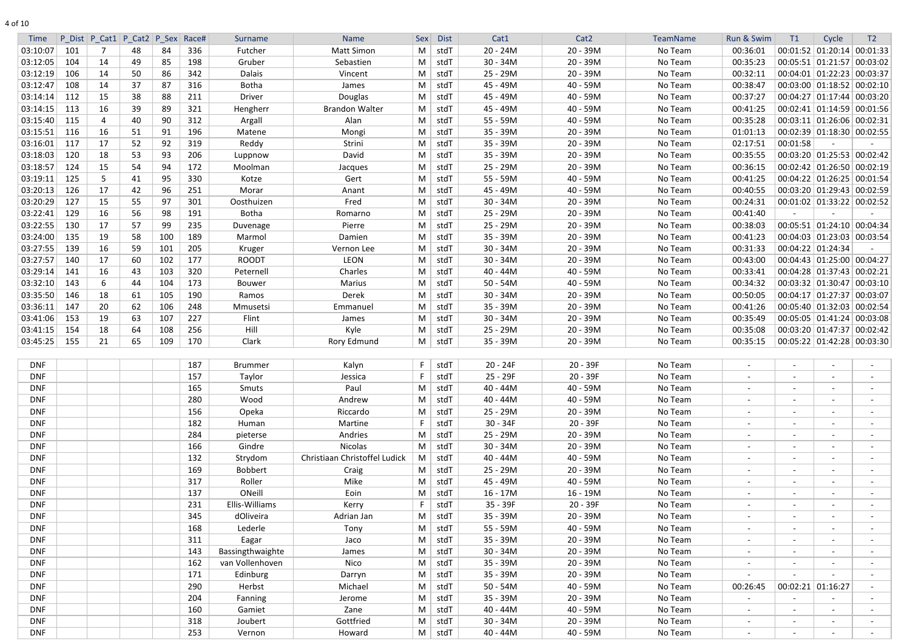| 10<br>ΩT |
|----------|
|----------|

| <b>Time</b> |     | P Dist P Cat1 P Cat2 P Sex |    |     | Race# | Surname          | Name                          | Sex      | <b>Dist</b>    | Cat1       | Cat <sub>2</sub> | <b>TeamName</b> | Run & Swim     | T1                       | Cycle                                | T <sub>2</sub> |
|-------------|-----|----------------------------|----|-----|-------|------------------|-------------------------------|----------|----------------|------------|------------------|-----------------|----------------|--------------------------|--------------------------------------|----------------|
| 03:10:07    | 101 |                            | 48 | 84  | 336   | Futcher          | Matt Simon                    | M        | stdT           | $20 - 24M$ | 20 - 39M         | No Team         | 00:36:01       |                          | $00:01:52$   $01:20:14$   $00:01:33$ |                |
| 03:12:05    | 104 | 14                         | 49 | 85  | 198   | Gruber           | Sebastien                     | M        | stdT           | $30 - 34M$ | $20 - 39M$       | No Team         | 00:35:23       |                          | 00:05:51 01:21:57 00:03:02           |                |
| 03:12:19    | 106 | 14                         | 50 | 86  | 342   | Dalais           | Vincent                       | M        | stdT           | $25 - 29M$ | $20 - 39M$       | No Team         | 00:32:11       |                          | 00:04:01 01:22:23 00:03:37           |                |
| 03:12:47    | 108 | 14                         | 37 | 87  | 316   | Botha            | James                         | M        | stdT           | 45 - 49M   | 40 - 59M         | No Team         | 00:38:47       |                          | $00:03:00$ 01:18:52 00:02:10         |                |
| 03:14:14    | 112 | 15                         | 38 | 88  | 211   | Driver           | Douglas                       | M        | stdT           | 45 - 49M   | $40 - 59M$       | No Team         | 00:37:27       |                          | 00:04:27 01:17:44 00:03:20           |                |
| 03:14:15    | 113 | 16                         | 39 | 89  | 321   | Hengherr         | <b>Brandon Walter</b>         | M        | stdT           | 45 - 49M   | $40 - 59M$       | No Team         | 00:41:25       |                          | 00:02:41 01:14:59 00:01:56           |                |
| 03:15:40    | 115 | 4                          | 40 | 90  | 312   | Argall           | Alan                          | M        | stdT           | 55 - 59M   | $40 - 59M$       | No Team         | 00:35:28       |                          | $00:03:11$ 01:26:06 00:02:31         |                |
| 03:15:51    | 116 | 16                         | 51 | 91  | 196   | Matene           | Mongi                         | M        | stdT           | 35 - 39M   | $20 - 39M$       | No Team         | 01:01:13       |                          | 00:02:39 01:18:30 00:02:55           |                |
| 03:16:01    | 117 | 17                         | 52 | 92  | 319   | Reddy            | Strini                        | M        | stdT           | 35 - 39M   | $20 - 39M$       | No Team         | 02:17:51       | 00:01:58                 |                                      |                |
| 03:18:03    | 120 | 18                         | 53 | 93  | 206   | Luppnow          | David                         | M        | stdT           | 35 - 39M   | 20 - 39M         | No Team         | 00:35:55       |                          | $00:03:20$ 01:25:53 00:02:42         |                |
| 03:18:57    | 124 | 15                         | 54 | 94  | 172   | Moolman          | Jacques                       | M        | stdT           | 25 - 29M   | $20 - 39M$       | No Team         | 00:36:15       |                          | $00:02:42$ 01:26:50 00:02:19         |                |
| 03:19:11    | 125 | 5                          | 41 | 95  | 330   | Kotze            | Gert                          | М        | stdT           | 55 - 59M   | 40 - 59M         | No Team         | 00:41:25       |                          | 00:04:22 01:26:25 00:01:54           |                |
| 03:20:13    | 126 | 17                         | 42 | 96  | 251   | Morar            | Anant                         | M        | stdT           | 45 - 49M   | 40 - 59M         | No Team         | 00:40:55       |                          | $00:03:20$ 01:29:43 00:02:59         |                |
| 03:20:29    | 127 | 15                         | 55 | 97  | 301   | Oosthuizen       | Fred                          | M        | stdT           | $30 - 34M$ | $20 - 39M$       | No Team         | 00:24:31       |                          | 00:01:02 01:33:22 00:02:52           |                |
| 03:22:41    | 129 | 16                         | 56 | 98  | 191   | <b>Botha</b>     | Romarno                       | M        | stdT           | $25 - 29M$ | $20 - 39M$       | No Team         | 00:41:40       |                          |                                      |                |
| 03:22:55    | 130 | 17                         | 57 | 99  | 235   | Duvenage         | Pierre                        | M        | stdT           | 25 - 29M   | $20 - 39M$       | No Team         | 00:38:03       |                          | 00:05:51 01:24:10 00:04:34           |                |
| 03:24:00    | 135 | 19                         | 58 | 100 | 189   | Marmol           | Damien                        | M        | stdT           | 35 - 39M   | $20 - 39M$       | No Team         | 00:41:23       |                          | 00:04:03 01:23:03 00:03:54           |                |
| 03:27:55    | 139 | 16                         | 59 | 101 | 205   | Kruger           | Vernon Lee                    | M        | stdT           | $30 - 34M$ | $20 - 39M$       | No Team         | 00:31:33       |                          | $00:04:22 \mid 01:24:34$             |                |
| 03:27:57    | 140 | 17                         | 60 | 102 | 177   | <b>ROODT</b>     | LEON                          | M        | stdT           | $30 - 34M$ | $20 - 39M$       | No Team         | 00:43:00       |                          | 00:04:43 01:25:00 00:04:27           |                |
| 03:29:14    | 141 | 16                         | 43 | 103 | 320   | Peternell        | Charles                       | M        | stdT           | 40 - 44M   | 40 - 59M         | No Team         | 00:33:41       |                          | 00:04:28 01:37:43 00:02:21           |                |
| 03:32:10    | 143 | 6                          | 44 | 104 | 173   | Bouwer           | Marius                        | M        | stdT           | $50 - 54M$ | 40 - 59M         | No Team         | 00:34:32       |                          | $00:03:32$ 01:30:47 00:03:10         |                |
| 03:35:50    | 146 | 18                         | 61 | 105 | 190   | Ramos            | Derek                         | M        | stdT           | $30 - 34M$ | $20 - 39M$       | No Team         | 00:50:05       |                          | 00:04:17 01:27:37 00:03:07           |                |
| 03:36:11    | 147 | 20                         | 62 | 106 | 248   | Mmusetsi         | Emmanuel                      | M        | stdT           | 35 - 39M   | $20 - 39M$       | No Team         | 00:41:26       |                          | 00:05:40 01:32:03 00:02:54           |                |
| 03:41:06    | 153 | 19                         | 63 | 107 | 227   | Flint            | James                         | M        | stdT           | $30 - 34M$ | $20 - 39M$       | No Team         | 00:35:49       |                          | 00:05:05   01:41:24   00:03:08       |                |
| 03:41:15    | 154 | 18                         | 64 | 108 | 256   | Hill             | Kyle                          | M        | stdT           | 25 - 29M   | 20 - 39M         | No Team         | 00:35:08       |                          | 00:03:20 01:47:37 00:02:42           |                |
| 03:45:25    | 155 | 21                         | 65 | 109 | 170   | Clark            | Rory Edmund                   |          | $M \mid stdT$  | 35 - 39M   | $20 - 39M$       | No Team         | 00:35:15       |                          | $00:05:22$   01:42:28   00:03:30     |                |
|             |     |                            |    |     |       |                  |                               |          |                |            |                  |                 |                |                          |                                      |                |
|             |     |                            |    |     |       |                  |                               |          |                |            |                  |                 |                |                          |                                      |                |
| DNF         |     |                            |    |     | 187   | <b>Brummer</b>   | Kalyn                         |          | stdT           | $20 - 24F$ | 20 - 39F         | No Team         |                |                          |                                      |                |
| <b>DNF</b>  |     |                            |    |     | 157   | Taylor           | Jessica                       |          | stdT           | 25 - 29F   | $20 - 39F$       | No Team         | $\sim$         | $\overline{\phantom{a}}$ |                                      |                |
| DNF         |     |                            |    |     | 165   | Smuts            | Paul                          | M        | stdT           | $40 - 44M$ | 40 - 59M         | No Team         |                | $\overline{\phantom{a}}$ |                                      |                |
| DNF         |     |                            |    |     | 280   | Wood             | Andrew                        | M        | stdT           | $40 - 44M$ | 40 - 59M         | No Team         | $\sim$         | $\blacksquare$           |                                      |                |
| <b>DNF</b>  |     |                            |    |     | 156   | Opeka            | Riccardo                      | M        | stdT           | 25 - 29M   | 20 - 39M         | No Team         | $\sim$         | $\sim$                   |                                      |                |
| DNF         |     |                            |    |     | 182   | Human            | Martine                       |          | stdT           | $30 - 34F$ | $20 - 39F$       | No Team         | $\sim$         | $\sim$                   |                                      |                |
| DNF         |     |                            |    |     | 284   | pieterse         | Andries                       | M        | stdT           | 25 - 29M   | 20 - 39M         | No Team         | $\sim$         | $\sim$                   | $\sim$                               |                |
| <b>DNF</b>  |     |                            |    |     | 166   | Gindre           | Nicolas                       | M        | stdT           | $30 - 34M$ | 20 - 39M         | No Team         | $\sim$         | $\sim$                   | $\sim$                               |                |
| <b>DNF</b>  |     |                            |    |     | 132   | Strydom          | Christiaan Christoffel Ludick |          | $M \vert$ stdT | $40 - 44M$ | 40 - 59M         | No Team         | $\sim$         | $\sim$                   |                                      |                |
| <b>DNF</b>  |     |                            |    |     | 169   | Bobbert          | Craig                         | M        | stdT           | 25 - 29M   | 20 - 39M         | No Team         | $\sim$         | $\sim$                   |                                      |                |
| DNF         |     |                            |    |     | 317   | Roller           | Mike                          | M        | stdT           | 45 - 49M   | 40 - 59M         | No Team         | $\sim$         | $\sim$                   | $\sim$                               |                |
| <b>DNF</b>  |     |                            |    |     | 137   | ONeill           | Eoin                          | M        | stdT           | $16 - 17M$ | 16 - 19M         | No Team         | $\sim$         | $\sim$                   | $\sim$                               |                |
| DNF         |     |                            |    |     | 231   | Ellis-Williams   | Kerry                         |          | stdT           | 35 - 39F   | 20 - 39F         | No Team         | $\sim$         | $\sim$                   | $\sim$                               |                |
| DNF         |     |                            |    |     | 345   | dOliveira        | Adrian Jan                    | M        | stdT           | 35 - 39M   | 20 - 39M         | No Team         | $\sim$         | $\overline{\phantom{a}}$ |                                      |                |
| DNF         |     |                            |    |     | 168   | Lederle          | Tony                          | M        | stdT           | 55 - 59M   | 40 - 59M         | No Team         | $\sim$         | $\blacksquare$           | $\sim$                               |                |
| DNF         |     |                            |    |     | 311   | Eagar            | Jaco                          | M        | stdT           | 35 - 39M   | 20 - 39M         | No Team         | $\sim$         | $\overline{\phantom{a}}$ |                                      |                |
| DNF         |     |                            |    |     | 143   | Bassingthwaighte | James                         | M        | stdT           | $30 - 34M$ | 20 - 39M         | No Team         | $\sim$         | $\blacksquare$           |                                      |                |
| DNF         |     |                            |    |     | 162   | van Vollenhoven  | Nico                          | M        | stdT           | 35 - 39M   | 20 - 39M         | No Team         | $\blacksquare$ | $\sim$                   |                                      |                |
| DNF         |     |                            |    |     | 171   | Edinburg         | Darryn                        | M        | stdT           | 35 - 39M   | 20 - 39M         | No Team         |                | $\overline{\phantom{a}}$ |                                      |                |
| DNF         |     |                            |    |     | 290   | Herbst           | Michael                       | $M \mid$ | stdT           | $50 - 54M$ | 40 - 59M         | No Team         | 00:26:45       | $00:02:21$ 01:16:27      |                                      |                |
| <b>DNF</b>  |     |                            |    |     | 204   | Fanning          | Jerome                        | M        | stdT           | 35 - 39M   | 20 - 39M         | No Team         | $\sim$         | $\blacksquare$           |                                      |                |
| <b>DNF</b>  |     |                            |    |     | 160   | Gamiet           | Zane                          | M        | stdT           | $40 - 44M$ | 40 - 59M         | No Team         | $\sim$         | $\sim$                   | $\sim$                               |                |
| <b>DNF</b>  |     |                            |    |     | 318   | Joubert          | Gottfried                     | M        | stdT           | $30 - 34M$ | 20 - 39M         | No Team         | $\sim$         | $\sim$                   | $\sim$                               |                |
| DNF         |     |                            |    |     | 253   | Vernon           | Howard                        |          | $M \vert$ stdT | $40 - 44M$ | 40 - 59M         | No Team         | $\sim$         | $\blacksquare$           | $\sim$                               |                |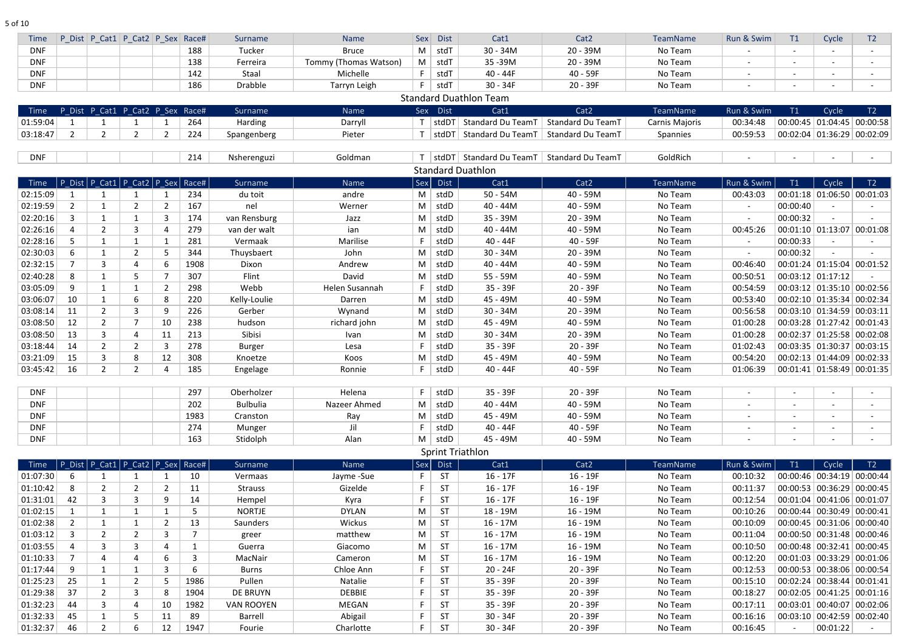5 of 10

| <b>Time</b> |                | P Dist P Cat1 P Cat2 P Sex Race#         |                |                |                | Surname           | <b>Name</b>           | Sex         | <b>Dist</b>    | Cat1                                  | Cat <sub>2</sub>         | TeamName        | Run & Swim | T1                       | Cycle                          | T <sub>2</sub> |
|-------------|----------------|------------------------------------------|----------------|----------------|----------------|-------------------|-----------------------|-------------|----------------|---------------------------------------|--------------------------|-----------------|------------|--------------------------|--------------------------------|----------------|
| <b>DNF</b>  |                |                                          |                |                | 188            | Tucker            | <b>Bruce</b>          | M           | stdT           | $30 - 34M$                            | $20 - 39M$               | No Team         |            | $\sim$                   |                                | $\sim$         |
| <b>DNF</b>  |                |                                          |                |                | 138            | Ferreira          | Tommy (Thomas Watson) |             | $M \mid stdT$  | 35-39M                                | $20 - 39M$               | No Team         |            |                          |                                |                |
| <b>DNF</b>  |                |                                          |                |                | 142            | Staal             | Michelle              | F.          | stdT           | $40 - 44F$                            | 40 - 59F                 | No Team         |            | $\overline{\phantom{a}}$ |                                |                |
| <b>DNF</b>  |                |                                          |                |                | 186            | Drabble           | Tarryn Leigh          |             | stdT           | $30 - 34F$                            | 20 - 39F                 | No Team         |            |                          |                                |                |
|             |                |                                          |                |                |                |                   |                       |             |                | <b>Standard Duathlon Team</b>         |                          |                 |            |                          |                                |                |
| Time        |                | P Dist P Cat1 P Cat2 P Sex Race#         |                |                |                | Surname           | Name                  |             | Sex Dist       | Cat1                                  | Cat <sub>2</sub>         | TeamName        | Run & Swim | T1                       | Cycle                          | T2             |
| 01:59:04    |                |                                          |                |                | 264            | Harding           | Darryll               |             | stdDT          | <b>Standard Du TeamT</b>              | <b>Standard Du TeamT</b> | Carnis Majoris  | 00:34:48   |                          | $00:00:45$ 01:04:45 00:00:58   |                |
| 03:18:47    | $\overline{2}$ | $\overline{2}$                           | $\overline{2}$ |                | 224            | Spangenberg       | Pieter                |             | stdDT          | <b>Standard Du TeamT</b>              | <b>Standard Du TeamT</b> | <b>Spannies</b> | 00:59:53   |                          | $00:02:04$ 01:36:29 00:02:09   |                |
|             |                |                                          |                |                |                |                   |                       |             |                |                                       |                          |                 |            |                          |                                |                |
| <b>DNF</b>  |                |                                          |                |                | 214            | Nsherenguzi       | Goldman               |             | $ $ stdDT $ $  | Standard Du TeamT   Standard Du TeamT |                          | GoldRich        |            |                          |                                |                |
|             |                |                                          |                |                |                |                   |                       |             |                | <b>Standard Duathlon</b>              |                          |                 |            |                          |                                |                |
| Time        |                | P_Dist   P_Cat1   P_Cat2   P_Sex   Race# |                |                |                | <b>Surname</b>    | Name                  |             | Sex Dist       | Cat1                                  | Cat <sub>2</sub>         | TeamName        | Run & Swim | T1                       | Cycle                          | T2             |
| 02:15:09    | - 1            |                                          |                |                | 234            | du toit           | andre                 |             | $M \vert$ stdD | $50 - 54M$                            | 40 - 59M                 | No Team         | 00:43:03   |                          | $00:01:18$ 01:06:50 00:01:03   |                |
| 02:19:59    | $\overline{2}$ | 1                                        | $\overline{2}$ |                | 167            | nel               | Werner                | M           | $ $ stdD       | 40 - 44M                              | 40 - 59M                 | No Team         | $\sim$     | 00:00:40                 |                                |                |
| 02:20:16    | $\overline{3}$ | $\mathbf{1}$                             | $\mathbf{1}$   | $\overline{3}$ | 174            | van Rensburg      | Jazz                  | M           | stdD           | 35 - 39M                              | 20 - 39M                 | No Team         |            | 00:00:32                 |                                |                |
| 02:26:16    | 4              | $\overline{2}$                           | 3              |                | 279            | van der walt      | ian                   | M           | stdD           | 40 - 44M                              | 40 - 59M                 | No Team         | 00:45:26   |                          | $00:01:10$ 01:13:07 00:01:08   |                |
| 02:28:16    | 5              | $\mathbf 1$                              | $\mathbf 1$    |                | 281            | Vermaak           | Marilise              |             | stdD           | $40 - 44F$                            | 40 - 59F                 | No Team         |            | 00:00:33                 |                                |                |
| 02:30:03    | -6             | $\mathbf 1$                              | $\overline{2}$ |                | 344            | Thuysbaert        | John                  | M           | stdD           | $30 - 34M$                            | 20 - 39M                 | No Team         |            | 00:00:32                 |                                |                |
| 02:32:15    |                | 3                                        | 4              |                | 1908           | Dixon             | Andrew                | M           | stdD           | 40 - 44M                              | 40 - 59M                 | No Team         | 00:46:40   |                          | 00:01:24 01:15:04 00:01:52     |                |
| 02:40:28    | 8              |                                          | 5              |                | 307            | Flint             | David                 | M           | stdD           | 55 - 59M                              | 40 - 59M                 | No Team         | 00:50:51   |                          | $00:03:12$ 01:17:12            |                |
| 03:05:09    | -9             | $\mathbf 1$                              | 1              |                | 298            | Webb              | Helen Susannah        |             | stdD           | 35 - 39F                              | $20 - 39F$               | No Team         | 00:54:59   |                          | 00:03:12 01:35:10 00:02:56     |                |
| 03:06:07    | 10             | $\mathbf{1}$                             | 6              | 8              | 220            | Kelly-Loulie      | Darren                | M           | stdD           | 45 - 49M                              | 40 - 59M                 | No Team         | 00:53:40   |                          | $00:02:10$ 01:35:34 00:02:34   |                |
| 03:08:14    | 11             | $\overline{2}$                           | $\overline{3}$ | 9              | 226            | Gerber            | Wynand                | M           | stdD           | $30 - 34M$                            | $20 - 39M$               | No Team         | 00:56:58   |                          | $00:03:10$ 01:34:59 00:03:11   |                |
| 03:08:50    | 12             | $\overline{2}$                           | 7              | 10             | 238            | hudson            | richard john          | M           | stdD           | 45 - 49M                              | 40 - 59M                 | No Team         | 01:00:28   |                          | 00:03:28 01:27:42 00:01:43     |                |
| 03:08:50    | 13             | 3                                        | 4              | 11             | 213            | Sibisi            | Ivan                  | M           | stdD           | $30 - 34M$                            | 20 - 39M                 | No Team         | 01:00:28   |                          | 00:02:37 01:25:58 00:02:08     |                |
| 03:18:44    | 14             | $\overline{2}$                           | $\overline{2}$ | 3              | 278            | <b>Burger</b>     | Lesa                  |             | stdD           | 35 - 39F                              | 20 - 39F                 | No Team         | 01:02:43   |                          | $00:03:35$ 01:30:37 00:03:15   |                |
| 03:21:09    | 15             | 3                                        | 8              | 12             | 308            | Knoetze           | Koos                  | M           | stdD           | 45 - 49M                              | $40 - 59M$               | No Team         | 00:54:20   |                          | $00:02:13$ 01:44:09 00:02:33   |                |
| 03:45:42    | 16             | 2                                        | $\overline{2}$ |                | 185            | Engelage          | Ronnie                | F.          | stdD           | $40 - 44F$                            | 40 - 59F                 | No Team         | 01:06:39   |                          | $00:01:41$ 01:58:49 00:01:35   |                |
|             |                |                                          |                |                |                |                   |                       |             |                |                                       |                          |                 |            |                          |                                |                |
| <b>DNF</b>  |                |                                          |                |                | 297            | Oberholzer        | Helena                | F.          | stdD           | 35 - 39F                              | 20 - 39F                 | No Team         |            |                          |                                |                |
| <b>DNF</b>  |                |                                          |                |                | 202            | <b>Bulbulia</b>   | Nazeer Ahmed          | M           | stdD           | 40 - 44M                              | 40 - 59M                 | No Team         |            | $\overline{\phantom{a}}$ |                                |                |
| <b>DNF</b>  |                |                                          |                |                | 1983           | Cranston          | Ray                   | M           | stdD           | 45 - 49M                              | 40 - 59M                 | No Team         |            | $\sim$                   |                                |                |
| <b>DNF</b>  |                |                                          |                |                | 274            | Munger            | Jil                   | F           | stdD           | $40 - 44F$                            | 40 - 59F                 | No Team         |            | $\sim$                   |                                |                |
| <b>DNF</b>  |                |                                          |                |                | 163            | Stidolph          | Alan                  | M           | stdD           | 45 - 49M                              | 40 - 59M                 | No Team         | $\sim$     | $\sim$                   |                                |                |
|             |                |                                          |                |                |                |                   |                       |             |                | <b>Sprint Triathlon</b>               |                          |                 |            |                          |                                |                |
| Time        |                | P_Dist   P_Cat1   P_Cat2   P_Sex   Race# |                |                |                | Surname           | Name                  | $ $ Sex $ $ | <b>Dist</b>    | Cat1                                  | Cat <sub>2</sub>         | TeamName        | Run & Swim | T1                       | Cycle                          | T2             |
| 01:07:30    | 6              |                                          | -1             |                | 10             | Vermaas           | Jayme -Sue            | F.          | <b>ST</b>      | $16 - 17F$                            | $16 - 19F$               | No Team         | 00:10:32   |                          | 00:00:46 00:34:19 00:00:44     |                |
| 01:10:42    | 8              | $\overline{2}$                           | $\overline{2}$ | 2              | 11             | <b>Strauss</b>    | Gizelde               | F           | <b>ST</b>      | $16 - 17F$                            | $16 - 19F$               | No Team         | 00:11:37   |                          | 00:00:53   00:36:29   00:00:45 |                |
| 01:31:01    | 42             | 3                                        | $\overline{3}$ |                | 14             | Hempel            | Kyra                  | F           | <b>ST</b>      | $16 - 17F$                            | $16 - 19F$               | No Team         | 00:12:54   |                          | $00:01:04$ 00:41:06 00:01:07   |                |
| 01:02:15    | -1             | $\mathbf{1}$                             | $\mathbf{1}$   | $\mathbf 1$    | 5              | <b>NORTJE</b>     | <b>DYLAN</b>          | M           | <b>ST</b>      | 18 - 19M                              | $16 - 19M$               | No Team         | 00:10:26   |                          | $00:00:44$ 00:30:49 00:00:41   |                |
| 01:02:38    | $\overline{2}$ | $\mathbf{1}$                             | $\mathbf{1}$   | $\overline{2}$ | 13             | Saunders          | Wickus                | M           | <b>ST</b>      | $16 - 17M$                            | $16 - 19M$               | No Team         | 00:10:09   |                          | 00:00:45 00:31:06 00:00:40     |                |
| 01:03:12    | $\overline{3}$ | $\overline{2}$                           | $\overline{2}$ | 3              | $\overline{7}$ | greer             | matthew               | M           | <b>ST</b>      | $16 - 17M$                            | $16 - 19M$               | No Team         | 00:11:04   |                          | $00:00:50$ 00:31:48 00:00:46   |                |
| 01:03:55    |                | 3                                        | $\overline{3}$ |                | $\mathbf{1}$   | Guerra            | Giacomo               | M           | <b>ST</b>      | $16 - 17M$                            | $16 - 19M$               | No Team         | 00:10:50   |                          | $00:00:48$ 00:32:41 00:00:45   |                |
| 01:10:33    | 7              | 4                                        | 4              | 6              | $\overline{3}$ | MacNair           | Cameron               | M           | <b>ST</b>      | $16 - 17M$                            | $16 - 19M$               | No Team         | 00:12:20   |                          | $00:01:03$ 00:33:29 00:01:06   |                |
| 01:17:44    | 9              | $\mathbf{1}$                             | $\mathbf{1}$   | 3              | 6              | <b>Burns</b>      | Chloe Ann             | F           | <b>ST</b>      | $20 - 24F$                            | 20 - 39F                 | No Team         | 00:12:53   |                          | 00:00:53 00:38:06 00:00:54     |                |
| 01:25:23    | 25             | $\mathbf{1}$                             | $\overline{2}$ | 5              | 1986           | Pullen            | Natalie               |             | <b>ST</b>      | 35 - 39F                              | 20 - 39F                 | No Team         | 00:15:10   |                          | $00:02:24$ 00:38:44 00:01:41   |                |
| 01:29:38    | 37             | $\overline{2}$                           | $\overline{3}$ | 8              | 1904           | DE BRUYN          | <b>DEBBIE</b>         | F           | <b>ST</b>      | 35 - 39F                              | 20 - 39F                 | No Team         | 00:18:27   |                          | $00:02:05$ 00:41:25 00:01:16   |                |
| 01:32:23    | 44             | 3                                        | 4              | 10             | 1982           | <b>VAN ROOYEN</b> | <b>MEGAN</b>          | F           | <b>ST</b>      | 35 - 39F                              | 20 - 39F                 | No Team         | 00:17:11   |                          | 00:03:01 00:40:07 00:02:06     |                |
| 01:32:33    | 45             | $\mathbf{1}$                             | 5              | 11             | 89             | <b>Barrell</b>    | Abigail               | F           | <b>ST</b>      | $30 - 34F$                            | 20 - 39F                 | No Team         | 00:16:16   |                          | $00:03:10$ 00:42:59 00:02:40   |                |
| 01:32:37    | 46             | $\overline{2}$                           | 6              | 12             | 1947           | Fourie            | Charlotte             | F.          | <b>ST</b>      | $30 - 34F$                            | 20 - 39F                 | No Team         | 00:16:45   | $\overline{\phantom{a}}$ | 00:01:22                       |                |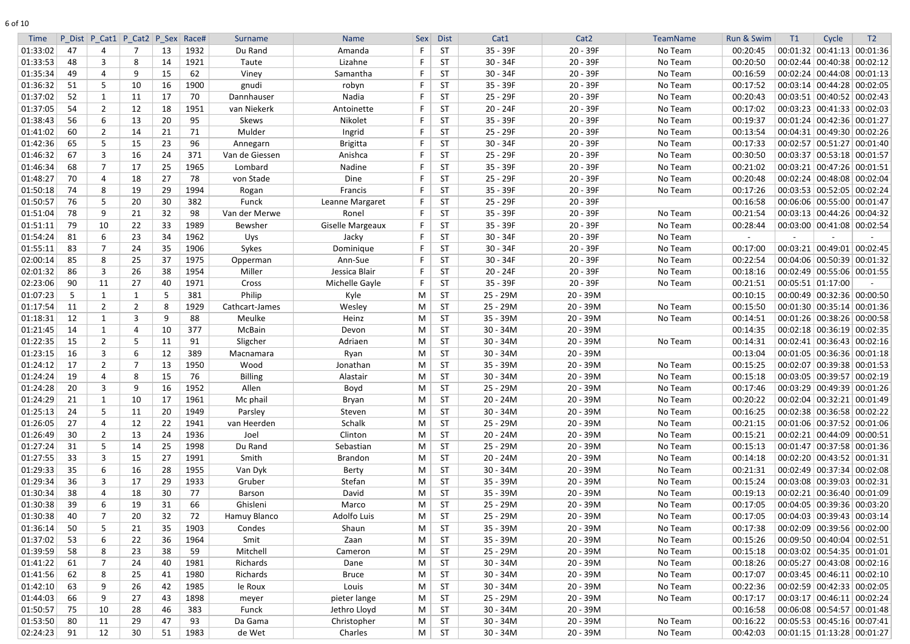| <b>Time</b> |    | P Dist P Cat1 P Cat2 P Sex |                |     | Race# | Surname        | <b>Name</b>             | <b>Sex</b> | <b>Dist</b> | Cat1       | Cat <sub>2</sub> | TeamName | Run & Swim | T1 | Cycle                                  | T <sub>2</sub>               |
|-------------|----|----------------------------|----------------|-----|-------|----------------|-------------------------|------------|-------------|------------|------------------|----------|------------|----|----------------------------------------|------------------------------|
| 01:33:02    | 47 | 4                          |                | -13 | 1932  | Du Rand        | Amanda                  |            | <b>ST</b>   | 35 - 39F   | $20 - 39F$       | No Team  | 00:20:45   |    | $00:01:32 \mid 00:41:13 \mid 00:01:36$ |                              |
| 01:33:53    | 48 | 3                          | 8              | 14  | 1921  | Taute          | Lizahne                 |            | <b>ST</b>   | $30 - 34F$ | 20 - 39F         | No Team  | 00:20:50   |    | $00:02:44$ 00:40:38 00:02:12           |                              |
| 01:35:34    | 49 | 4                          | 9              | 15  | 62    | Viney          | Samantha                | -F         | <b>ST</b>   | $30 - 34F$ | 20 - 39F         | No Team  | 00:16:59   |    | $00:02:24$ 00:44:08 00:01:13           |                              |
| 01:36:32    | 51 | .5                         | 10             | 16  | 1900  | gnudi          | robyn                   |            | <b>ST</b>   | 35 - 39F   | $20 - 39F$       | No Team  | 00:17:52   |    | 00:03:14 00:44:28 00:02:05             |                              |
| 01:37:02    | 52 | 1                          | 11             | 17  | 70    | Dannhauser     | Nadia                   |            | <b>ST</b>   | 25 - 29F   | 20 - 39F         | No Team  | 00:20:43   |    | $00:03:51$ 00:40:52 00:02:43           |                              |
| 01:37:05    | 54 | $\overline{2}$             | 12             | 18  | 1951  | van Niekerk    | Antoinette              |            | <b>ST</b>   | $20 - 24F$ | $20 - 39F$       | No Team  | 00:17:02   |    | $00:03:23$ 00:41:33 00:02:03           |                              |
| 01:38:43    | 56 | 6                          | 13             | 20  | 95    | Skews          | Nikolet                 |            | <b>ST</b>   | 35 - 39F   | 20 - 39F         | No Team  | 00:19:37   |    | $00:01:24$ 00:42:36 00:01:27           |                              |
| 01:41:02    | 60 | $\overline{2}$             | 14             | 21  | 71    | Mulder         | Ingrid                  | -F         | <b>ST</b>   | 25 - 29F   | $20 - 39F$       | No Team  | 00:13:54   |    | $00:04:31$ 00:49:30 00:02:26           |                              |
| 01:42:36    | 65 | 5                          | 15             | 23  | 96    | Annegarn       | <b>Brigitta</b>         | F          | <b>ST</b>   | $30 - 34F$ | $20 - 39F$       | No Team  | 00:17:33   |    |                                        | $00:02:57$ 00:51:27 00:01:40 |
| 01:46:32    | 67 | 3                          | 16             | 24  | 371   | Van de Giessen | Anishca                 | F          | <b>ST</b>   | 25 - 29F   | $20 - 39F$       | No Team  | 00:30:50   |    | 00:03:37 00:53:18 00:01:57             |                              |
| 01:46:34    | 68 | $\overline{7}$             | 17             | 25  | 1965  | Lombard        | Nadine                  |            | <b>ST</b>   | 35 - 39F   | $20 - 39F$       | No Team  | 00:21:02   |    | 00:03:21 00:47:26 00:01:51             |                              |
| 01:48:27    | 70 | 4                          | 18             | 27  | 78    | von Stade      | Dine                    | F          | <b>ST</b>   | 25 - 29F   | $20 - 39F$       | No Team  | 00:20:48   |    | 00:02:24 00:48:08 00:02:04             |                              |
| 01:50:18    | 74 | 8                          | 19             | 29  | 1994  | Rogan          | Francis                 |            | <b>ST</b>   | 35 - 39F   | $20 - 39F$       | No Team  | 00:17:26   |    | $00:03:53$ 00:52:05 00:02:24           |                              |
| 01:50:57    | 76 | 5                          | 20             | 30  | 382   | Funck          | Leanne Margaret         | F          | <b>ST</b>   | 25 - 29F   | 20 - 39F         |          | 00:16:58   |    | $00:06:06$   $00:55:00$   $00:01:47$   |                              |
| 01:51:04    | 78 | 9                          | 21             | 32  | 98    | Van der Merwe  | Ronel                   | F          | <b>ST</b>   | 35 - 39F   | 20 - 39F         | No Team  | 00:21:54   |    | $00:03:13$ 00:44:26 00:04:32           |                              |
| 01:51:11    | 79 | 10                         | 22             | 33  | 1989  | Bewsher        | <b>Giselle Margeaux</b> | F          | <b>ST</b>   | 35 - 39F   | $20 - 39F$       | No Team  | 00:28:44   |    | 00:03:00 00:41:08 00:02:54             |                              |
| 01:54:24    | 81 | 6                          | 23             | 34  | 1962  | Uys            | Jacky                   | F          | <b>ST</b>   | $30 - 34F$ | 20 - 39F         | No Team  |            |    |                                        |                              |
| 01:55:11    | 83 | $\overline{7}$             | 24             | 35  | 1906  | Sykes          | Dominique               |            | <b>ST</b>   | $30 - 34F$ | $20 - 39F$       | No Team  | 00:17:00   |    | $00:03:21$ 00:49:01 00:02:45           |                              |
| 02:00:14    | 85 | 8                          | 25             | 37  | 1975  | Opperman       | Ann-Sue                 | F          | <b>ST</b>   | $30 - 34F$ | $20 - 39F$       | No Team  | 00:22:54   |    | 00:04:06 00:50:39 00:01:32             |                              |
| 02:01:32    | 86 | 3                          | 26             | 38  | 1954  | Miller         | Jessica Blair           |            | <b>ST</b>   | $20 - 24F$ | $20 - 39F$       | No Team  | 00:18:16   |    | 00:02:49 00:55:06 00:01:55             |                              |
| 02:23:06    | 90 | 11                         | 27             | 40  | 1971  | Cross          | Michelle Gayle          | F          | <b>ST</b>   | 35 - 39F   | $20 - 39F$       | No Team  | 00:21:51   |    | $00:05:51$ 01:17:00                    |                              |
| 01:07:23    | 5  | 1                          | 1              |     | 381   | Philip         | Kyle                    | M          | <b>ST</b>   | 25 - 29M   | $20 - 39M$       |          | 00:10:15   |    | 00:00:49 00:32:36 00:00:50             |                              |
| 01:17:54    | 11 | $\overline{2}$             | $\overline{2}$ | -8  | 1929  | Cathcart-James | Wesley                  | M          | <b>ST</b>   | 25 - 29M   | $20 - 39M$       | No Team  | 00:15:50   |    |                                        | $00:01:30$ 00:35:14 00:01:36 |
| 01:18:31    | 12 | $\mathbf{1}$               | 3              | q   | 88    | Meulke         | Heinz                   | M          | <b>ST</b>   | 35 - 39M   | $20 - 39M$       | No Team  | 00:14:51   |    | $00:01:26$ 00:38:26 00:00:58           |                              |
| 01:21:45    | 14 | 1                          | 4              | 10  | 377   | McBain         | Devon                   | M          | <b>ST</b>   | $30 - 34M$ | $20 - 39M$       |          | 00:14:35   |    | $00:02:18$ 00:36:19 00:02:35           |                              |
| 01:22:35    | 15 | $\overline{2}$             | 5              | 11  | 91    | Sligcher       | Adriaen                 | M          | <b>ST</b>   | $30 - 34M$ | $20 - 39M$       | No Team  | 00:14:31   |    | $00:02:41$ 00:36:43 00:02:16           |                              |
| 01:23:15    | 16 | 3                          | 6              | 12  | 389   | Macnamara      | Ryan                    | M          | <b>ST</b>   | $30 - 34M$ | $20 - 39M$       |          | 00:13:04   |    | $00:01:05$ 00:36:36 00:01:18           |                              |
| 01:24:12    | 17 | $\overline{2}$             | $\overline{7}$ | 13  | 1950  | Wood           | Jonathan                | M          | <b>ST</b>   | 35 - 39M   | $20 - 39M$       | No Team  | 00:15:25   |    | 00:02:07 00:39:38 00:01:53             |                              |
| 01:24:24    | 19 | 4                          | 8              | 15  | 76    | <b>Billing</b> | Alastair                | M          | <b>ST</b>   | $30 - 34M$ | $20 - 39M$       | No Team  | 00:15:18   |    | 00:03:05 00:39:57 00:02:19             |                              |
| 01:24:28    | 20 | 3                          | 9              | 16  | 1952  | Allen          | Boyd                    | M          | <b>ST</b>   | 25 - 29M   | 20 - 39M         | No Team  | 00:17:46   |    |                                        | $00:03:29$ 00:49:39 00:01:26 |
| 01:24:29    | 21 | $\mathbf{1}$               | 10             | 17  | 1961  | Mc phail       | Bryan                   | M          | <b>ST</b>   | $20 - 24M$ | 20 - 39M         | No Team  | 00:20:22   |    | $00:02:04$ 00:32:21 00:01:49           |                              |
| 01:25:13    | 24 | 5                          | 11             | 20  | 1949  | Parsley        | Steven                  | M          | <b>ST</b>   | $30 - 34M$ | 20 - 39M         | No Team  | 00:16:25   |    |                                        | $00:02:38$ 00:36:58 00:02:22 |
| 01:26:05    | 27 | 4                          | 12             | 22  | 1941  | van Heerden    | Schalk                  | M          | <b>ST</b>   | 25 - 29M   | 20 - 39M         | No Team  | 00:21:15   |    |                                        | 00:01:06 00:37:52 00:01:06   |
| 01:26:49    | 30 | $\overline{2}$             | 13             | 24  | 1936  | Joel           | Clinton                 | M          | <b>ST</b>   | $20 - 24M$ | $20 - 39M$       | No Team  | 00:15:21   |    |                                        | $00:02:21$ 00:44:09 00:00:51 |
| 01:27:24    | 31 | 5                          | 14             | 25  | 1998  | Du Rand        | Sebastian               | M          | <b>ST</b>   | 25 - 29M   | 20 - 39M         | No Team  | 00:15:13   |    |                                        | 00:01:47 00:37:58 00:01:36   |
| 01:27:55    | 33 | 3                          | 15             | 27  | 1991  | Smith          | Brandon                 | M          | <b>ST</b>   | 20 - 24M   | $20 - 39M$       | No Team  | 00:14:18   |    |                                        | $00:02:20$ 00:43:52 00:01:31 |
| 01:29:33    | 35 | 6                          | 16             | 28  | 1955  | Van Dyk        | Berty                   | M          | <b>ST</b>   | $30 - 34M$ | $20 - 39M$       | No Team  | 00:21:31   |    |                                        | $00:02:49$ 00:37:34 00:02:08 |
| 01:29:34    | 36 | 3                          | 17             | 29  | 1933  | Gruber         | Stefan                  | M          | <b>ST</b>   | 35 - 39M   | 20 - 39M         | No Team  | 00:15:24   |    |                                        | $00:03:08$ 00:39:03 00:02:31 |
| 01:30:34    | 38 | 4                          | 18             | 30  | 77    | Barson         | David                   | M          | <b>ST</b>   | 35 - 39M   | $20 - 39M$       | No Team  | 00:19:13   |    | $00:02:21$ 00:36:40 00:01:09           |                              |
| 01:30:38    | 39 | 6                          | 19             | 31  | 66    | Ghisleni       | Marco                   | M          | <b>ST</b>   | 25 - 29M   | 20 - 39M         | No Team  | 00:17:05   |    |                                        | $00:04:05$ 00:39:36 00:03:20 |
| 01:30:38    | 40 | 7                          | 20             |     | 72    | Hamuy Blanco   | <b>Adolfo Luis</b>      | M          | <b>ST</b>   | 25 - 29M   | 20 - 39M         | No Team  | 00:17:05   |    |                                        | $00:04:03$ 00:39:43 00:03:14 |
| 01:36:14    | 50 | 5                          |                | 32  | 1903  |                | Shaun                   | M          | <b>ST</b>   | 35 - 39M   | $20 - 39M$       | No Team  | 00:17:38   |    |                                        | $00:02:09$ 00:39:56 00:02:00 |
|             |    |                            | 21             | 35  |       | Condes         |                         |            |             |            |                  |          |            |    |                                        |                              |
| 01:37:02    | 53 | 6                          | 22             | 36  | 1964  | Smit           | Zaan                    | M          | <b>ST</b>   | 35 - 39M   | 20 - 39M         | No Team  | 00:15:26   |    |                                        | $00:09:50$ 00:40:04 00:02:51 |
| 01:39:59    | 58 | 8                          | 23             | 38  | 59    | Mitchell       | Cameron                 | M          | <b>ST</b>   | 25 - 29M   | 20 - 39M         | No Team  | 00:15:18   |    |                                        | $00:03:02$ 00:54:35 00:01:01 |
| 01:41:22    | 61 | 7                          | 24             | 40  | 1981  | Richards       | Dane                    | M          | <b>ST</b>   | $30 - 34M$ | 20 - 39M         | No Team  | 00:18:26   |    |                                        | $00:05:27$ 00:43:08 00:02:16 |
| 01:41:56    | 62 | 8                          | 25             | 41  | 1980  | Richards       | <b>Bruce</b>            | M          | <b>ST</b>   | $30 - 34M$ | 20 - 39M         | No Team  | 00:17:07   |    |                                        | $00:03:45$ 00:46:11 00:02:10 |
| 01:42:10    | 63 | 9                          | 26             | 42  | 1985  | le Roux        | Louis                   | M          | <b>ST</b>   | $30 - 34M$ | $20 - 39M$       | No Team  | 00:22:36   |    | $00:02:59$ 00:42:33 00:02:05           |                              |
| 01:44:03    | 66 | 9                          | 27             | 43  | 1898  | meyer          | pieter lange            | M          | <b>ST</b>   | 25 - 29M   | $20 - 39M$       | No Team  | 00:17:17   |    | $00:03:17$ 00:46:11 00:02:24           |                              |
| 01:50:57    | 75 | 10                         | 28             | 46  | 383   | Funck          | Jethro Lloyd            | M          | <b>ST</b>   | $30 - 34M$ | $20 - 39M$       |          | 00:16:58   |    |                                        | 00:06:08 00:54:57 00:01:48   |
| 01:53:50    | 80 | 11                         | 29             | 47  | 93    | Da Gama        | Christopher             | M          | <b>ST</b>   | $30 - 34M$ | $20 - 39M$       | No Team  | 00:16:22   |    |                                        | $00:05:53$ 00:45:16 00:07:41 |
| 02:24:23    | 91 | 12                         | 30             | 51  | 1983  | de Wet         | Charles                 | M          | <b>ST</b>   | $30 - 34M$ | $20 - 39M$       | No Team  | 00:42:03   |    |                                        | 00:01:15 01:13:28 00:01:27   |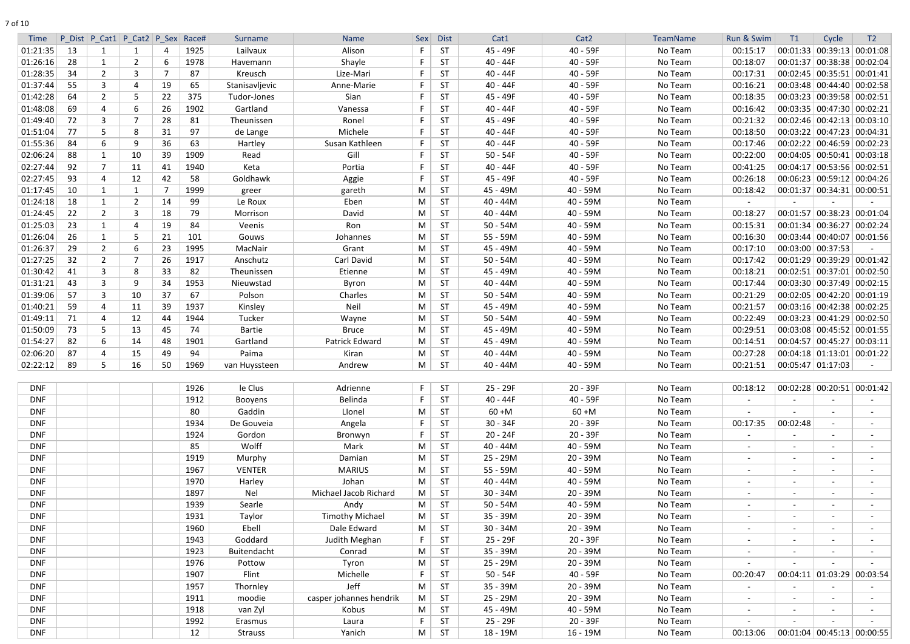| I |
|---|
|---|

| P Dist P Cat1 P Cat2 P Sex<br> 00:39:13 00:01:08<br>01:21:35<br>13<br>1925<br>Alison<br><b>ST</b><br>45 - 49F<br>40 - 59F<br>No Team<br>00:15:17<br>00:01:33<br>Lailvaux<br>1<br>01:26:16<br>28<br>Shayle<br>$00:01:37 \mid 00:38:38 \mid 00:02:04$<br>-1<br>2<br>1978<br>ST<br>40 - 44F<br>40 - 59F<br>No Team<br>00:18:07<br>Havemann<br>6<br>01:28:35<br>34<br>$\overline{2}$<br>3<br>Lize-Mari<br>40 - 44F<br>No Team<br>00:17:31<br>00:02:45   00:35:51   00:01:41<br>87<br>Kreusch<br>F<br>ST<br>40 - 59F<br>01:37:44<br>55<br>3<br>19<br>65<br>Anne-Marie<br><b>ST</b><br>40 - 44F<br>40 - 59F<br>No Team<br>00:16:21<br>$00:03:48$ 00:44:40 00:02:58<br>4<br>Stanisavljevic<br>F<br>$\overline{2}$<br>01:42:28<br>64<br>22<br>375<br>Sian<br><b>ST</b><br>45 - 49F<br>40 - 59F<br>No Team<br>00:18:35<br>$00:03:23$ 00:39:58 00:02:51<br>5.<br>Tudor-Jones<br>01:48:08<br>69<br>1902<br>$00:03:35$ 00:47:30 00:02:21<br>Gartland<br><b>ST</b><br>40 - 44F<br>40 - 59F<br>No Team<br>00:16:42<br>4<br>6<br>26<br>Vanessa<br>01:49:40<br>$00:02:46$ 00:42:13 00:03:10<br>72<br>3<br>7<br>28<br>81<br><b>ST</b><br>45 - 49F<br>40 - 59F<br>No Team<br>00:21:32<br>Theunissen<br>Ronel<br>01:51:04<br>77<br>97<br>Michele<br>$40 - 44F$<br>40 - 59F<br>No Team<br>$00:03:22$ 00:47:23 00:04:31<br>5<br>8<br>31<br><b>ST</b><br>00:18:50<br>de Lange<br>F<br>01:55:36<br>63<br>84<br>9<br>36<br>Hartley<br>Susan Kathleen<br><b>ST</b><br>$40 - 44F$<br>40 - 59F<br>No Team<br>00:17:46<br>00:02:22   00:46:59   00:02:23<br>6<br>02:06:24<br>1909<br>Gill<br>$50 - 54F$<br>40 - 59F<br>No Team<br>00:22:00<br>$00:04:05$ 00:50:41 00:03:18<br>88<br>10<br>39<br>F.<br><b>ST</b><br>-1<br>Read<br>02:27:44<br>92<br>-7<br>1940<br>F<br><b>ST</b><br>$40 - 44F$<br>40 - 59F<br>No Team<br>00:41:25<br>00:04:17 00:53:56 00:02:51<br>11<br>41<br>Keta<br>Portia<br>02:27:45<br>93<br>42<br>58<br>45 - 49F<br>40 - 59F<br>00:26:18<br>$00:06:23 \mid 00:59:12 \mid 00:04:26$<br>12<br>Goldhawk<br>Aggie<br>F<br><b>ST</b><br>No Team<br>4<br>01:17:45<br>10<br>1999<br><b>ST</b><br>45 - 49M<br>40 - 59M<br>00:18:42<br>$00:01:37$ 00:34:31 00:00:51<br>-1<br>M<br>No Team<br>1<br>gareth<br>greer<br>18<br>01:24:18<br>$\mathbf{1}$<br>$2^{\circ}$<br>14<br>99<br>Eben<br><b>ST</b><br>$40 - 44M$<br>40 - 59M<br>No Team<br>Le Roux<br>M<br>01:24:45<br>22<br>$\overline{2}$<br>79<br><b>ST</b><br>40 - 59M<br>No Team<br>00:01:57   00:38:23   00:01:04<br>3<br>18<br>Morrison<br>David<br>M<br>$40 - 44M$<br>00:18:27<br>01:25:03<br>23<br>19<br>84<br><b>ST</b><br>$50 - 54M$<br>40 - 59M<br>No Team<br>00:15:31<br>00:01:34   00:36:27   00:02:24<br>$\mathbf 1$<br>4<br>Veenis<br>Ron<br>M<br>01:26:04<br>26<br><b>ST</b><br>55 - 59M<br>40 - 59M<br>No Team<br>00:16:30<br>$00:03:44$   00:40:07   00:01:56<br>5<br>21<br>101<br>Johannes<br>M<br>Gouws<br>01:26:37<br>29<br>1995<br>$\overline{2}$<br>23<br>Grant<br><b>ST</b><br>45 - 49M<br>40 - 59M<br>No Team<br>00:17:10<br>$00:03:00$ 00:37:53<br>6<br>MacNair<br>M<br>01:27:25<br>32<br>$\overline{2}$<br>7<br>1917<br><b>ST</b><br>40 - 59M<br>$00:01:29$ 00:39:29 00:01:42<br>26<br>Anschutz<br>Carl David<br>$50 - 54M$<br>No Team<br>00:17:42<br>M<br>01:30:42<br><b>ST</b><br>$00:02:51$ 00:37:01 00:02:50<br>41<br>3<br>8<br>33<br>82<br>45 - 49M<br>40 - 59M<br>No Team<br>00:18:21<br>Theunissen<br>Etienne<br>M<br>01:31:21<br>1953<br><b>ST</b><br>40 - 59M<br>No Team<br>$00:03:30$ 00:37:49 00:02:15<br>43<br>3<br>9<br>34<br>Nieuwstad<br>Byron<br>M<br>$40 - 44M$<br>00:17:44<br>01:39:06<br>37<br>67<br>57<br>3<br>10<br>Polson<br>Charles<br><b>ST</b><br>$50 - 54M$<br>40 - 59M<br>No Team<br>00:21:29<br>$00:02:05$ 00:42:20 00:01:19<br>M<br>01:40:21<br>59<br>39<br>1937<br>Neil<br>45 - 49M<br>40 - 59M<br>00:21:57<br>Kinsley<br>M<br><b>ST</b><br>No Team<br>00:03:16 00:42:38 00:02:25<br>4<br>11<br>01:49:11<br><b>ST</b><br>$00:03:23$ 00:41:29 00:02:50<br>71<br>1944<br>Tucker<br>$50 - 54M$<br>40 - 59M<br>No Team<br>00:22:49<br>12<br>M<br>4<br>44<br>Wayne<br>01:50:09<br>73<br>5<br>45 - 49M<br>$00:03:08$ 00:45:52 00:01:55<br>13<br>45<br>74<br><b>Bartie</b><br>M<br><b>ST</b><br>40 - 59M<br>No Team<br>00:29:51<br><b>Bruce</b><br>82<br>00:04:57 00:45:27 00:03:11<br>01:54:27<br>6<br>1901<br>Patrick Edward<br><b>ST</b><br>45 - 49M<br>40 - 59M<br>14<br>48<br>Gartland<br>M<br>No Team<br>00:14:51<br>02:06:20<br>87<br>94<br>$40 - 44M$<br>40 - 59M<br>No Team<br>00:27:28<br>$00:04:18$ 01:13:01 00:01:22<br>15<br>49<br>Paima<br>Kiran<br>M<br><b>ST</b><br>4<br>02:22:12<br>89<br>5<br>1969<br>Andrew<br>$00:05:47$ 01:17:03<br>16<br>50<br>M<br><b>ST</b><br>$40 - 44M$<br>40 - 59M<br>No Team<br>00:21:51<br>van Huyssteen<br>1926<br><b>DNF</b><br>le Clus<br>Adrienne<br>F<br><b>ST</b><br>25 - 29F<br>$20 - 39F$<br>$00:02:28$ 00:20:51 00:01:42<br>No Team<br>00:18:12<br><b>DNF</b><br>1912<br>Belinda<br><b>ST</b><br>40 - 44F<br>40 - 59F<br>No Team<br>F.<br>Booyens<br>$\blacksquare$<br><b>DNF</b><br>80<br>Gaddin<br>Llonel<br>M<br><b>ST</b><br>$60 + M$<br>$60 + M$<br>No Team<br>$\sim$<br><b>DNF</b><br>1934<br><b>ST</b><br>$30 - 34F$<br>$20 - 39F$<br>No Team<br>00:17:35<br>00:02:48<br>De Gouveia<br>Angela<br>F<br>$\sim$<br><b>ST</b><br>$20 - 24F$<br>$20 - 39F$<br>No Team<br><b>DNF</b><br>Gordon<br>F<br>1924<br>Bronwyn<br>$\sim$<br>$\sim$<br>$\sim$<br><b>DNF</b><br>85<br>Wolff<br>Mark<br>M<br><b>ST</b><br>$40 - 44M$<br>40 - 59M<br>No Team<br>$\sim$<br>$\sim$<br>$\sim$<br>$\sim$<br><b>DNF</b><br>1919<br>M<br><b>ST</b><br>25 - 29M<br>20 - 39M<br>No Team<br>Murphy<br>Damian<br>$\sim$<br>$\sim$<br>$\sim$<br>$\sim$<br><b>DNF</b><br>1967<br><b>VENTER</b><br>M<br><b>ST</b><br>55 - 59M<br>40 - 59M<br>No Team<br><b>MARIUS</b><br>$\sim$<br>$\sim$<br>$\sim$<br>$\sim$<br><b>DNF</b><br>1970<br>Johan<br>M<br><b>ST</b><br>$40 - 44M$<br>40 - 59M<br>No Team<br>Harley<br>$\sim$<br>$\sim$<br>$\sim$<br>$\sim$<br>Michael Jacob Richard<br>M<br>20 - 39M<br>DNF<br>1897<br>Nel<br><b>ST</b><br>$30 - 34M$<br>No Team<br>$\sim$<br>$\sim$<br>$\sim$<br>$\sim$<br>Searle<br>M<br>40 - 59M<br>No Team<br><b>DNF</b><br>1939<br>Andy<br><b>ST</b><br>$50 - 54M$<br>$\blacksquare$<br>$\blacksquare$<br>$\sim$<br><b>Timothy Michael</b><br><b>ST</b><br>No Team<br><b>DNF</b><br>1931<br>Taylor<br>M<br>35 - 39M<br>20 - 39M<br>$\blacksquare$<br>$\sim$<br>$\sim$<br>$\sim$<br>1960<br>Ebell<br>Dale Edward<br><b>ST</b><br>$30 - 34M$<br>20 - 39M<br>No Team<br><b>DNF</b><br>M<br>$\blacksquare$<br>$\sim$<br><b>DNF</b><br>Goddard<br>Judith Meghan<br>$\mathsf{F}$<br><b>ST</b><br>25 - 29F<br>$20 - 39F$<br>No Team<br>1943<br>$\sim$<br>$\sim$<br>$\sim$<br>1923<br>Buitendacht<br>M<br><b>ST</b><br>35 - 39M<br>20 - 39M<br><b>DNF</b><br>Conrad<br>No Team<br>$\blacksquare$<br>$\sim$<br>$\sim$<br>$\sim$<br><b>ST</b><br>25 - 29M<br>$20 - 39M$<br><b>DNF</b><br>1976<br>Tyron<br>M<br>No Team<br>Pottow<br>$\sim$<br>1907<br>Flint<br>Michelle<br><b>ST</b><br>$50 - 54F$<br>40 - 59F<br>$00:04:11$ 01:03:29 00:03:54<br><b>DNF</b><br>F<br>No Team<br>00:20:47<br>Jeff<br>20 - 39M<br><b>DNF</b><br>1957<br>M<br><b>ST</b><br>35 - 39M<br>No Team<br>Thornley<br>$\sim$<br><b>DNF</b><br>casper johannes hendrik<br>M<br><b>ST</b><br>25 - 29M<br>20 - 39M<br>1911<br>No Team<br>moodie<br>$\sim$<br>$\sim$<br>$\sim$<br>$\sim$<br>45 - 49M<br><b>DNF</b><br>1918<br>van Zyl<br>Kobus<br>M<br><b>ST</b><br>40 - 59M<br>No Team<br>$\sim$<br>$\sim$<br>$\sim$<br>$\sim$<br><b>DNF</b><br><b>ST</b><br>25 - 29F<br>20 - 39F<br>No Team<br>1992<br>F.<br>Erasmus<br>Laura<br>$\sim$<br>$\sim$<br>M<br><b>ST</b><br>18 - 19M<br>$16 - 19M$<br>$00:01:04$ 00:45:13 00:00:55<br>DNF<br>12<br>Yanich<br>No Team<br>00:13:06<br><b>Strauss</b> |             |  |  |       |         |             |     |             |      |                  |          |            |    |       |                |
|-----------------------------------------------------------------------------------------------------------------------------------------------------------------------------------------------------------------------------------------------------------------------------------------------------------------------------------------------------------------------------------------------------------------------------------------------------------------------------------------------------------------------------------------------------------------------------------------------------------------------------------------------------------------------------------------------------------------------------------------------------------------------------------------------------------------------------------------------------------------------------------------------------------------------------------------------------------------------------------------------------------------------------------------------------------------------------------------------------------------------------------------------------------------------------------------------------------------------------------------------------------------------------------------------------------------------------------------------------------------------------------------------------------------------------------------------------------------------------------------------------------------------------------------------------------------------------------------------------------------------------------------------------------------------------------------------------------------------------------------------------------------------------------------------------------------------------------------------------------------------------------------------------------------------------------------------------------------------------------------------------------------------------------------------------------------------------------------------------------------------------------------------------------------------------------------------------------------------------------------------------------------------------------------------------------------------------------------------------------------------------------------------------------------------------------------------------------------------------------------------------------------------------------------------------------------------------------------------------------------------------------------------------------------------------------------------------------------------------------------------------------------------------------------------------------------------------------------------------------------------------------------------------------------------------------------------------------------------------------------------------------------------------------------------------------------------------------------------------------------------------------------------------------------------------------------------------------------------------------------------------------------------------------------------------------------------------------------------------------------------------------------------------------------------------------------------------------------------------------------------------------------------------------------------------------------------------------------------------------------------------------------------------------------------------------------------------------------------------------------------------------------------------------------------------------------------------------------------------------------------------------------------------------------------------------------------------------------------------------------------------------------------------------------------------------------------------------------------------------------------------------------------------------------------------------------------------------------------------------------------------------------------------------------------------------------------------------------------------------------------------------------------------------------------------------------------------------------------------------------------------------------------------------------------------------------------------------------------------------------------------------------------------------------------------------------------------------------------------------------------------------------------------------------------------------------------------------------------------------------------------------------------------------------------------------------------------------------------------------------------------------------------------------------------------------------------------------------------------------------------------------------------------------------------------------------------------------------------------------------------------------------------------------------------------------------------------------------------------------------------------------------------------------------------------------------------------------------------------------------------------------------------------------------------------------------------------------------------------------------------------------------------------------------------------------------------------------------------------------------------------------------------------------------------------------------------------------------------------------------------------------------------------------------------------------------------------------------------------------------------------------------------------------------------------------------------------------------------------------------------------------------------------------------------------------------------------------------------------------------------------------------------------------------------------------------------------------------------------------------------------------------------------------------------------------------------------------------------------------------------------------------------------------------------------------------------------------------------------------------------------------------------------------------------------------------------------------------------------------------------------------------------------------------------------------------------------------------------------------------------------------------------------------------------------------------------------------------------------------------------------------------------------------------------------------------------------------------------------------------------------------------------------------------------------------------------------------------------------------------------------------------------------------------------------------------------------------------------------------------------------------------------------------------------------------------------------------------------------------------------------------------------------------------------------------------------------------------------------------------------------------------------------------------------------------------------------------------------------------------------------------------------------------------------------------|-------------|--|--|-------|---------|-------------|-----|-------------|------|------------------|----------|------------|----|-------|----------------|
|                                                                                                                                                                                                                                                                                                                                                                                                                                                                                                                                                                                                                                                                                                                                                                                                                                                                                                                                                                                                                                                                                                                                                                                                                                                                                                                                                                                                                                                                                                                                                                                                                                                                                                                                                                                                                                                                                                                                                                                                                                                                                                                                                                                                                                                                                                                                                                                                                                                                                                                                                                                                                                                                                                                                                                                                                                                                                                                                                                                                                                                                                                                                                                                                                                                                                                                                                                                                                                                                                                                                                                                                                                                                                                                                                                                                                                                                                                                                                                                                                                                                                                                                                                                                                                                                                                                                                                                                                                                                                                                                                                                                                                                                                                                                                                                                                                                                                                                                                                                                                                                                                                                                                                                                                                                                                                                                                                                                                                                                                                                                                                                                                                                                                                                                                                                                                                                                                                                                                                                                                                                                                                                                                                                                                                                                                                                                                                                                                                                                                                                                                                                                                                                                                                                                                                                                                                                                                                                                                                                                                                                                                                                                                                                                                                                                                                                                                                                                                                                                                                                                                                                                                                                                                                                                                                                                           | <b>Time</b> |  |  | Race# | Surname | <b>Name</b> | Sex | <b>Dist</b> | Cat1 | Cat <sub>2</sub> | TeamName | Run & Swim | T1 | Cycle | T <sub>2</sub> |
|                                                                                                                                                                                                                                                                                                                                                                                                                                                                                                                                                                                                                                                                                                                                                                                                                                                                                                                                                                                                                                                                                                                                                                                                                                                                                                                                                                                                                                                                                                                                                                                                                                                                                                                                                                                                                                                                                                                                                                                                                                                                                                                                                                                                                                                                                                                                                                                                                                                                                                                                                                                                                                                                                                                                                                                                                                                                                                                                                                                                                                                                                                                                                                                                                                                                                                                                                                                                                                                                                                                                                                                                                                                                                                                                                                                                                                                                                                                                                                                                                                                                                                                                                                                                                                                                                                                                                                                                                                                                                                                                                                                                                                                                                                                                                                                                                                                                                                                                                                                                                                                                                                                                                                                                                                                                                                                                                                                                                                                                                                                                                                                                                                                                                                                                                                                                                                                                                                                                                                                                                                                                                                                                                                                                                                                                                                                                                                                                                                                                                                                                                                                                                                                                                                                                                                                                                                                                                                                                                                                                                                                                                                                                                                                                                                                                                                                                                                                                                                                                                                                                                                                                                                                                                                                                                                                                           |             |  |  |       |         |             |     |             |      |                  |          |            |    |       |                |
|                                                                                                                                                                                                                                                                                                                                                                                                                                                                                                                                                                                                                                                                                                                                                                                                                                                                                                                                                                                                                                                                                                                                                                                                                                                                                                                                                                                                                                                                                                                                                                                                                                                                                                                                                                                                                                                                                                                                                                                                                                                                                                                                                                                                                                                                                                                                                                                                                                                                                                                                                                                                                                                                                                                                                                                                                                                                                                                                                                                                                                                                                                                                                                                                                                                                                                                                                                                                                                                                                                                                                                                                                                                                                                                                                                                                                                                                                                                                                                                                                                                                                                                                                                                                                                                                                                                                                                                                                                                                                                                                                                                                                                                                                                                                                                                                                                                                                                                                                                                                                                                                                                                                                                                                                                                                                                                                                                                                                                                                                                                                                                                                                                                                                                                                                                                                                                                                                                                                                                                                                                                                                                                                                                                                                                                                                                                                                                                                                                                                                                                                                                                                                                                                                                                                                                                                                                                                                                                                                                                                                                                                                                                                                                                                                                                                                                                                                                                                                                                                                                                                                                                                                                                                                                                                                                                                           |             |  |  |       |         |             |     |             |      |                  |          |            |    |       |                |
|                                                                                                                                                                                                                                                                                                                                                                                                                                                                                                                                                                                                                                                                                                                                                                                                                                                                                                                                                                                                                                                                                                                                                                                                                                                                                                                                                                                                                                                                                                                                                                                                                                                                                                                                                                                                                                                                                                                                                                                                                                                                                                                                                                                                                                                                                                                                                                                                                                                                                                                                                                                                                                                                                                                                                                                                                                                                                                                                                                                                                                                                                                                                                                                                                                                                                                                                                                                                                                                                                                                                                                                                                                                                                                                                                                                                                                                                                                                                                                                                                                                                                                                                                                                                                                                                                                                                                                                                                                                                                                                                                                                                                                                                                                                                                                                                                                                                                                                                                                                                                                                                                                                                                                                                                                                                                                                                                                                                                                                                                                                                                                                                                                                                                                                                                                                                                                                                                                                                                                                                                                                                                                                                                                                                                                                                                                                                                                                                                                                                                                                                                                                                                                                                                                                                                                                                                                                                                                                                                                                                                                                                                                                                                                                                                                                                                                                                                                                                                                                                                                                                                                                                                                                                                                                                                                                                           |             |  |  |       |         |             |     |             |      |                  |          |            |    |       |                |
|                                                                                                                                                                                                                                                                                                                                                                                                                                                                                                                                                                                                                                                                                                                                                                                                                                                                                                                                                                                                                                                                                                                                                                                                                                                                                                                                                                                                                                                                                                                                                                                                                                                                                                                                                                                                                                                                                                                                                                                                                                                                                                                                                                                                                                                                                                                                                                                                                                                                                                                                                                                                                                                                                                                                                                                                                                                                                                                                                                                                                                                                                                                                                                                                                                                                                                                                                                                                                                                                                                                                                                                                                                                                                                                                                                                                                                                                                                                                                                                                                                                                                                                                                                                                                                                                                                                                                                                                                                                                                                                                                                                                                                                                                                                                                                                                                                                                                                                                                                                                                                                                                                                                                                                                                                                                                                                                                                                                                                                                                                                                                                                                                                                                                                                                                                                                                                                                                                                                                                                                                                                                                                                                                                                                                                                                                                                                                                                                                                                                                                                                                                                                                                                                                                                                                                                                                                                                                                                                                                                                                                                                                                                                                                                                                                                                                                                                                                                                                                                                                                                                                                                                                                                                                                                                                                                                           |             |  |  |       |         |             |     |             |      |                  |          |            |    |       |                |
|                                                                                                                                                                                                                                                                                                                                                                                                                                                                                                                                                                                                                                                                                                                                                                                                                                                                                                                                                                                                                                                                                                                                                                                                                                                                                                                                                                                                                                                                                                                                                                                                                                                                                                                                                                                                                                                                                                                                                                                                                                                                                                                                                                                                                                                                                                                                                                                                                                                                                                                                                                                                                                                                                                                                                                                                                                                                                                                                                                                                                                                                                                                                                                                                                                                                                                                                                                                                                                                                                                                                                                                                                                                                                                                                                                                                                                                                                                                                                                                                                                                                                                                                                                                                                                                                                                                                                                                                                                                                                                                                                                                                                                                                                                                                                                                                                                                                                                                                                                                                                                                                                                                                                                                                                                                                                                                                                                                                                                                                                                                                                                                                                                                                                                                                                                                                                                                                                                                                                                                                                                                                                                                                                                                                                                                                                                                                                                                                                                                                                                                                                                                                                                                                                                                                                                                                                                                                                                                                                                                                                                                                                                                                                                                                                                                                                                                                                                                                                                                                                                                                                                                                                                                                                                                                                                                                           |             |  |  |       |         |             |     |             |      |                  |          |            |    |       |                |
|                                                                                                                                                                                                                                                                                                                                                                                                                                                                                                                                                                                                                                                                                                                                                                                                                                                                                                                                                                                                                                                                                                                                                                                                                                                                                                                                                                                                                                                                                                                                                                                                                                                                                                                                                                                                                                                                                                                                                                                                                                                                                                                                                                                                                                                                                                                                                                                                                                                                                                                                                                                                                                                                                                                                                                                                                                                                                                                                                                                                                                                                                                                                                                                                                                                                                                                                                                                                                                                                                                                                                                                                                                                                                                                                                                                                                                                                                                                                                                                                                                                                                                                                                                                                                                                                                                                                                                                                                                                                                                                                                                                                                                                                                                                                                                                                                                                                                                                                                                                                                                                                                                                                                                                                                                                                                                                                                                                                                                                                                                                                                                                                                                                                                                                                                                                                                                                                                                                                                                                                                                                                                                                                                                                                                                                                                                                                                                                                                                                                                                                                                                                                                                                                                                                                                                                                                                                                                                                                                                                                                                                                                                                                                                                                                                                                                                                                                                                                                                                                                                                                                                                                                                                                                                                                                                                                           |             |  |  |       |         |             |     |             |      |                  |          |            |    |       |                |
|                                                                                                                                                                                                                                                                                                                                                                                                                                                                                                                                                                                                                                                                                                                                                                                                                                                                                                                                                                                                                                                                                                                                                                                                                                                                                                                                                                                                                                                                                                                                                                                                                                                                                                                                                                                                                                                                                                                                                                                                                                                                                                                                                                                                                                                                                                                                                                                                                                                                                                                                                                                                                                                                                                                                                                                                                                                                                                                                                                                                                                                                                                                                                                                                                                                                                                                                                                                                                                                                                                                                                                                                                                                                                                                                                                                                                                                                                                                                                                                                                                                                                                                                                                                                                                                                                                                                                                                                                                                                                                                                                                                                                                                                                                                                                                                                                                                                                                                                                                                                                                                                                                                                                                                                                                                                                                                                                                                                                                                                                                                                                                                                                                                                                                                                                                                                                                                                                                                                                                                                                                                                                                                                                                                                                                                                                                                                                                                                                                                                                                                                                                                                                                                                                                                                                                                                                                                                                                                                                                                                                                                                                                                                                                                                                                                                                                                                                                                                                                                                                                                                                                                                                                                                                                                                                                                                           |             |  |  |       |         |             |     |             |      |                  |          |            |    |       |                |
|                                                                                                                                                                                                                                                                                                                                                                                                                                                                                                                                                                                                                                                                                                                                                                                                                                                                                                                                                                                                                                                                                                                                                                                                                                                                                                                                                                                                                                                                                                                                                                                                                                                                                                                                                                                                                                                                                                                                                                                                                                                                                                                                                                                                                                                                                                                                                                                                                                                                                                                                                                                                                                                                                                                                                                                                                                                                                                                                                                                                                                                                                                                                                                                                                                                                                                                                                                                                                                                                                                                                                                                                                                                                                                                                                                                                                                                                                                                                                                                                                                                                                                                                                                                                                                                                                                                                                                                                                                                                                                                                                                                                                                                                                                                                                                                                                                                                                                                                                                                                                                                                                                                                                                                                                                                                                                                                                                                                                                                                                                                                                                                                                                                                                                                                                                                                                                                                                                                                                                                                                                                                                                                                                                                                                                                                                                                                                                                                                                                                                                                                                                                                                                                                                                                                                                                                                                                                                                                                                                                                                                                                                                                                                                                                                                                                                                                                                                                                                                                                                                                                                                                                                                                                                                                                                                                                           |             |  |  |       |         |             |     |             |      |                  |          |            |    |       |                |
|                                                                                                                                                                                                                                                                                                                                                                                                                                                                                                                                                                                                                                                                                                                                                                                                                                                                                                                                                                                                                                                                                                                                                                                                                                                                                                                                                                                                                                                                                                                                                                                                                                                                                                                                                                                                                                                                                                                                                                                                                                                                                                                                                                                                                                                                                                                                                                                                                                                                                                                                                                                                                                                                                                                                                                                                                                                                                                                                                                                                                                                                                                                                                                                                                                                                                                                                                                                                                                                                                                                                                                                                                                                                                                                                                                                                                                                                                                                                                                                                                                                                                                                                                                                                                                                                                                                                                                                                                                                                                                                                                                                                                                                                                                                                                                                                                                                                                                                                                                                                                                                                                                                                                                                                                                                                                                                                                                                                                                                                                                                                                                                                                                                                                                                                                                                                                                                                                                                                                                                                                                                                                                                                                                                                                                                                                                                                                                                                                                                                                                                                                                                                                                                                                                                                                                                                                                                                                                                                                                                                                                                                                                                                                                                                                                                                                                                                                                                                                                                                                                                                                                                                                                                                                                                                                                                                           |             |  |  |       |         |             |     |             |      |                  |          |            |    |       |                |
|                                                                                                                                                                                                                                                                                                                                                                                                                                                                                                                                                                                                                                                                                                                                                                                                                                                                                                                                                                                                                                                                                                                                                                                                                                                                                                                                                                                                                                                                                                                                                                                                                                                                                                                                                                                                                                                                                                                                                                                                                                                                                                                                                                                                                                                                                                                                                                                                                                                                                                                                                                                                                                                                                                                                                                                                                                                                                                                                                                                                                                                                                                                                                                                                                                                                                                                                                                                                                                                                                                                                                                                                                                                                                                                                                                                                                                                                                                                                                                                                                                                                                                                                                                                                                                                                                                                                                                                                                                                                                                                                                                                                                                                                                                                                                                                                                                                                                                                                                                                                                                                                                                                                                                                                                                                                                                                                                                                                                                                                                                                                                                                                                                                                                                                                                                                                                                                                                                                                                                                                                                                                                                                                                                                                                                                                                                                                                                                                                                                                                                                                                                                                                                                                                                                                                                                                                                                                                                                                                                                                                                                                                                                                                                                                                                                                                                                                                                                                                                                                                                                                                                                                                                                                                                                                                                                                           |             |  |  |       |         |             |     |             |      |                  |          |            |    |       |                |
|                                                                                                                                                                                                                                                                                                                                                                                                                                                                                                                                                                                                                                                                                                                                                                                                                                                                                                                                                                                                                                                                                                                                                                                                                                                                                                                                                                                                                                                                                                                                                                                                                                                                                                                                                                                                                                                                                                                                                                                                                                                                                                                                                                                                                                                                                                                                                                                                                                                                                                                                                                                                                                                                                                                                                                                                                                                                                                                                                                                                                                                                                                                                                                                                                                                                                                                                                                                                                                                                                                                                                                                                                                                                                                                                                                                                                                                                                                                                                                                                                                                                                                                                                                                                                                                                                                                                                                                                                                                                                                                                                                                                                                                                                                                                                                                                                                                                                                                                                                                                                                                                                                                                                                                                                                                                                                                                                                                                                                                                                                                                                                                                                                                                                                                                                                                                                                                                                                                                                                                                                                                                                                                                                                                                                                                                                                                                                                                                                                                                                                                                                                                                                                                                                                                                                                                                                                                                                                                                                                                                                                                                                                                                                                                                                                                                                                                                                                                                                                                                                                                                                                                                                                                                                                                                                                                                           |             |  |  |       |         |             |     |             |      |                  |          |            |    |       |                |
|                                                                                                                                                                                                                                                                                                                                                                                                                                                                                                                                                                                                                                                                                                                                                                                                                                                                                                                                                                                                                                                                                                                                                                                                                                                                                                                                                                                                                                                                                                                                                                                                                                                                                                                                                                                                                                                                                                                                                                                                                                                                                                                                                                                                                                                                                                                                                                                                                                                                                                                                                                                                                                                                                                                                                                                                                                                                                                                                                                                                                                                                                                                                                                                                                                                                                                                                                                                                                                                                                                                                                                                                                                                                                                                                                                                                                                                                                                                                                                                                                                                                                                                                                                                                                                                                                                                                                                                                                                                                                                                                                                                                                                                                                                                                                                                                                                                                                                                                                                                                                                                                                                                                                                                                                                                                                                                                                                                                                                                                                                                                                                                                                                                                                                                                                                                                                                                                                                                                                                                                                                                                                                                                                                                                                                                                                                                                                                                                                                                                                                                                                                                                                                                                                                                                                                                                                                                                                                                                                                                                                                                                                                                                                                                                                                                                                                                                                                                                                                                                                                                                                                                                                                                                                                                                                                                                           |             |  |  |       |         |             |     |             |      |                  |          |            |    |       |                |
|                                                                                                                                                                                                                                                                                                                                                                                                                                                                                                                                                                                                                                                                                                                                                                                                                                                                                                                                                                                                                                                                                                                                                                                                                                                                                                                                                                                                                                                                                                                                                                                                                                                                                                                                                                                                                                                                                                                                                                                                                                                                                                                                                                                                                                                                                                                                                                                                                                                                                                                                                                                                                                                                                                                                                                                                                                                                                                                                                                                                                                                                                                                                                                                                                                                                                                                                                                                                                                                                                                                                                                                                                                                                                                                                                                                                                                                                                                                                                                                                                                                                                                                                                                                                                                                                                                                                                                                                                                                                                                                                                                                                                                                                                                                                                                                                                                                                                                                                                                                                                                                                                                                                                                                                                                                                                                                                                                                                                                                                                                                                                                                                                                                                                                                                                                                                                                                                                                                                                                                                                                                                                                                                                                                                                                                                                                                                                                                                                                                                                                                                                                                                                                                                                                                                                                                                                                                                                                                                                                                                                                                                                                                                                                                                                                                                                                                                                                                                                                                                                                                                                                                                                                                                                                                                                                                                           |             |  |  |       |         |             |     |             |      |                  |          |            |    |       |                |
|                                                                                                                                                                                                                                                                                                                                                                                                                                                                                                                                                                                                                                                                                                                                                                                                                                                                                                                                                                                                                                                                                                                                                                                                                                                                                                                                                                                                                                                                                                                                                                                                                                                                                                                                                                                                                                                                                                                                                                                                                                                                                                                                                                                                                                                                                                                                                                                                                                                                                                                                                                                                                                                                                                                                                                                                                                                                                                                                                                                                                                                                                                                                                                                                                                                                                                                                                                                                                                                                                                                                                                                                                                                                                                                                                                                                                                                                                                                                                                                                                                                                                                                                                                                                                                                                                                                                                                                                                                                                                                                                                                                                                                                                                                                                                                                                                                                                                                                                                                                                                                                                                                                                                                                                                                                                                                                                                                                                                                                                                                                                                                                                                                                                                                                                                                                                                                                                                                                                                                                                                                                                                                                                                                                                                                                                                                                                                                                                                                                                                                                                                                                                                                                                                                                                                                                                                                                                                                                                                                                                                                                                                                                                                                                                                                                                                                                                                                                                                                                                                                                                                                                                                                                                                                                                                                                                           |             |  |  |       |         |             |     |             |      |                  |          |            |    |       |                |
|                                                                                                                                                                                                                                                                                                                                                                                                                                                                                                                                                                                                                                                                                                                                                                                                                                                                                                                                                                                                                                                                                                                                                                                                                                                                                                                                                                                                                                                                                                                                                                                                                                                                                                                                                                                                                                                                                                                                                                                                                                                                                                                                                                                                                                                                                                                                                                                                                                                                                                                                                                                                                                                                                                                                                                                                                                                                                                                                                                                                                                                                                                                                                                                                                                                                                                                                                                                                                                                                                                                                                                                                                                                                                                                                                                                                                                                                                                                                                                                                                                                                                                                                                                                                                                                                                                                                                                                                                                                                                                                                                                                                                                                                                                                                                                                                                                                                                                                                                                                                                                                                                                                                                                                                                                                                                                                                                                                                                                                                                                                                                                                                                                                                                                                                                                                                                                                                                                                                                                                                                                                                                                                                                                                                                                                                                                                                                                                                                                                                                                                                                                                                                                                                                                                                                                                                                                                                                                                                                                                                                                                                                                                                                                                                                                                                                                                                                                                                                                                                                                                                                                                                                                                                                                                                                                                                           |             |  |  |       |         |             |     |             |      |                  |          |            |    |       |                |
|                                                                                                                                                                                                                                                                                                                                                                                                                                                                                                                                                                                                                                                                                                                                                                                                                                                                                                                                                                                                                                                                                                                                                                                                                                                                                                                                                                                                                                                                                                                                                                                                                                                                                                                                                                                                                                                                                                                                                                                                                                                                                                                                                                                                                                                                                                                                                                                                                                                                                                                                                                                                                                                                                                                                                                                                                                                                                                                                                                                                                                                                                                                                                                                                                                                                                                                                                                                                                                                                                                                                                                                                                                                                                                                                                                                                                                                                                                                                                                                                                                                                                                                                                                                                                                                                                                                                                                                                                                                                                                                                                                                                                                                                                                                                                                                                                                                                                                                                                                                                                                                                                                                                                                                                                                                                                                                                                                                                                                                                                                                                                                                                                                                                                                                                                                                                                                                                                                                                                                                                                                                                                                                                                                                                                                                                                                                                                                                                                                                                                                                                                                                                                                                                                                                                                                                                                                                                                                                                                                                                                                                                                                                                                                                                                                                                                                                                                                                                                                                                                                                                                                                                                                                                                                                                                                                                           |             |  |  |       |         |             |     |             |      |                  |          |            |    |       |                |
|                                                                                                                                                                                                                                                                                                                                                                                                                                                                                                                                                                                                                                                                                                                                                                                                                                                                                                                                                                                                                                                                                                                                                                                                                                                                                                                                                                                                                                                                                                                                                                                                                                                                                                                                                                                                                                                                                                                                                                                                                                                                                                                                                                                                                                                                                                                                                                                                                                                                                                                                                                                                                                                                                                                                                                                                                                                                                                                                                                                                                                                                                                                                                                                                                                                                                                                                                                                                                                                                                                                                                                                                                                                                                                                                                                                                                                                                                                                                                                                                                                                                                                                                                                                                                                                                                                                                                                                                                                                                                                                                                                                                                                                                                                                                                                                                                                                                                                                                                                                                                                                                                                                                                                                                                                                                                                                                                                                                                                                                                                                                                                                                                                                                                                                                                                                                                                                                                                                                                                                                                                                                                                                                                                                                                                                                                                                                                                                                                                                                                                                                                                                                                                                                                                                                                                                                                                                                                                                                                                                                                                                                                                                                                                                                                                                                                                                                                                                                                                                                                                                                                                                                                                                                                                                                                                                                           |             |  |  |       |         |             |     |             |      |                  |          |            |    |       |                |
|                                                                                                                                                                                                                                                                                                                                                                                                                                                                                                                                                                                                                                                                                                                                                                                                                                                                                                                                                                                                                                                                                                                                                                                                                                                                                                                                                                                                                                                                                                                                                                                                                                                                                                                                                                                                                                                                                                                                                                                                                                                                                                                                                                                                                                                                                                                                                                                                                                                                                                                                                                                                                                                                                                                                                                                                                                                                                                                                                                                                                                                                                                                                                                                                                                                                                                                                                                                                                                                                                                                                                                                                                                                                                                                                                                                                                                                                                                                                                                                                                                                                                                                                                                                                                                                                                                                                                                                                                                                                                                                                                                                                                                                                                                                                                                                                                                                                                                                                                                                                                                                                                                                                                                                                                                                                                                                                                                                                                                                                                                                                                                                                                                                                                                                                                                                                                                                                                                                                                                                                                                                                                                                                                                                                                                                                                                                                                                                                                                                                                                                                                                                                                                                                                                                                                                                                                                                                                                                                                                                                                                                                                                                                                                                                                                                                                                                                                                                                                                                                                                                                                                                                                                                                                                                                                                                                           |             |  |  |       |         |             |     |             |      |                  |          |            |    |       |                |
|                                                                                                                                                                                                                                                                                                                                                                                                                                                                                                                                                                                                                                                                                                                                                                                                                                                                                                                                                                                                                                                                                                                                                                                                                                                                                                                                                                                                                                                                                                                                                                                                                                                                                                                                                                                                                                                                                                                                                                                                                                                                                                                                                                                                                                                                                                                                                                                                                                                                                                                                                                                                                                                                                                                                                                                                                                                                                                                                                                                                                                                                                                                                                                                                                                                                                                                                                                                                                                                                                                                                                                                                                                                                                                                                                                                                                                                                                                                                                                                                                                                                                                                                                                                                                                                                                                                                                                                                                                                                                                                                                                                                                                                                                                                                                                                                                                                                                                                                                                                                                                                                                                                                                                                                                                                                                                                                                                                                                                                                                                                                                                                                                                                                                                                                                                                                                                                                                                                                                                                                                                                                                                                                                                                                                                                                                                                                                                                                                                                                                                                                                                                                                                                                                                                                                                                                                                                                                                                                                                                                                                                                                                                                                                                                                                                                                                                                                                                                                                                                                                                                                                                                                                                                                                                                                                                                           |             |  |  |       |         |             |     |             |      |                  |          |            |    |       |                |
|                                                                                                                                                                                                                                                                                                                                                                                                                                                                                                                                                                                                                                                                                                                                                                                                                                                                                                                                                                                                                                                                                                                                                                                                                                                                                                                                                                                                                                                                                                                                                                                                                                                                                                                                                                                                                                                                                                                                                                                                                                                                                                                                                                                                                                                                                                                                                                                                                                                                                                                                                                                                                                                                                                                                                                                                                                                                                                                                                                                                                                                                                                                                                                                                                                                                                                                                                                                                                                                                                                                                                                                                                                                                                                                                                                                                                                                                                                                                                                                                                                                                                                                                                                                                                                                                                                                                                                                                                                                                                                                                                                                                                                                                                                                                                                                                                                                                                                                                                                                                                                                                                                                                                                                                                                                                                                                                                                                                                                                                                                                                                                                                                                                                                                                                                                                                                                                                                                                                                                                                                                                                                                                                                                                                                                                                                                                                                                                                                                                                                                                                                                                                                                                                                                                                                                                                                                                                                                                                                                                                                                                                                                                                                                                                                                                                                                                                                                                                                                                                                                                                                                                                                                                                                                                                                                                                           |             |  |  |       |         |             |     |             |      |                  |          |            |    |       |                |
|                                                                                                                                                                                                                                                                                                                                                                                                                                                                                                                                                                                                                                                                                                                                                                                                                                                                                                                                                                                                                                                                                                                                                                                                                                                                                                                                                                                                                                                                                                                                                                                                                                                                                                                                                                                                                                                                                                                                                                                                                                                                                                                                                                                                                                                                                                                                                                                                                                                                                                                                                                                                                                                                                                                                                                                                                                                                                                                                                                                                                                                                                                                                                                                                                                                                                                                                                                                                                                                                                                                                                                                                                                                                                                                                                                                                                                                                                                                                                                                                                                                                                                                                                                                                                                                                                                                                                                                                                                                                                                                                                                                                                                                                                                                                                                                                                                                                                                                                                                                                                                                                                                                                                                                                                                                                                                                                                                                                                                                                                                                                                                                                                                                                                                                                                                                                                                                                                                                                                                                                                                                                                                                                                                                                                                                                                                                                                                                                                                                                                                                                                                                                                                                                                                                                                                                                                                                                                                                                                                                                                                                                                                                                                                                                                                                                                                                                                                                                                                                                                                                                                                                                                                                                                                                                                                                                           |             |  |  |       |         |             |     |             |      |                  |          |            |    |       |                |
|                                                                                                                                                                                                                                                                                                                                                                                                                                                                                                                                                                                                                                                                                                                                                                                                                                                                                                                                                                                                                                                                                                                                                                                                                                                                                                                                                                                                                                                                                                                                                                                                                                                                                                                                                                                                                                                                                                                                                                                                                                                                                                                                                                                                                                                                                                                                                                                                                                                                                                                                                                                                                                                                                                                                                                                                                                                                                                                                                                                                                                                                                                                                                                                                                                                                                                                                                                                                                                                                                                                                                                                                                                                                                                                                                                                                                                                                                                                                                                                                                                                                                                                                                                                                                                                                                                                                                                                                                                                                                                                                                                                                                                                                                                                                                                                                                                                                                                                                                                                                                                                                                                                                                                                                                                                                                                                                                                                                                                                                                                                                                                                                                                                                                                                                                                                                                                                                                                                                                                                                                                                                                                                                                                                                                                                                                                                                                                                                                                                                                                                                                                                                                                                                                                                                                                                                                                                                                                                                                                                                                                                                                                                                                                                                                                                                                                                                                                                                                                                                                                                                                                                                                                                                                                                                                                                                           |             |  |  |       |         |             |     |             |      |                  |          |            |    |       |                |
|                                                                                                                                                                                                                                                                                                                                                                                                                                                                                                                                                                                                                                                                                                                                                                                                                                                                                                                                                                                                                                                                                                                                                                                                                                                                                                                                                                                                                                                                                                                                                                                                                                                                                                                                                                                                                                                                                                                                                                                                                                                                                                                                                                                                                                                                                                                                                                                                                                                                                                                                                                                                                                                                                                                                                                                                                                                                                                                                                                                                                                                                                                                                                                                                                                                                                                                                                                                                                                                                                                                                                                                                                                                                                                                                                                                                                                                                                                                                                                                                                                                                                                                                                                                                                                                                                                                                                                                                                                                                                                                                                                                                                                                                                                                                                                                                                                                                                                                                                                                                                                                                                                                                                                                                                                                                                                                                                                                                                                                                                                                                                                                                                                                                                                                                                                                                                                                                                                                                                                                                                                                                                                                                                                                                                                                                                                                                                                                                                                                                                                                                                                                                                                                                                                                                                                                                                                                                                                                                                                                                                                                                                                                                                                                                                                                                                                                                                                                                                                                                                                                                                                                                                                                                                                                                                                                                           |             |  |  |       |         |             |     |             |      |                  |          |            |    |       |                |
|                                                                                                                                                                                                                                                                                                                                                                                                                                                                                                                                                                                                                                                                                                                                                                                                                                                                                                                                                                                                                                                                                                                                                                                                                                                                                                                                                                                                                                                                                                                                                                                                                                                                                                                                                                                                                                                                                                                                                                                                                                                                                                                                                                                                                                                                                                                                                                                                                                                                                                                                                                                                                                                                                                                                                                                                                                                                                                                                                                                                                                                                                                                                                                                                                                                                                                                                                                                                                                                                                                                                                                                                                                                                                                                                                                                                                                                                                                                                                                                                                                                                                                                                                                                                                                                                                                                                                                                                                                                                                                                                                                                                                                                                                                                                                                                                                                                                                                                                                                                                                                                                                                                                                                                                                                                                                                                                                                                                                                                                                                                                                                                                                                                                                                                                                                                                                                                                                                                                                                                                                                                                                                                                                                                                                                                                                                                                                                                                                                                                                                                                                                                                                                                                                                                                                                                                                                                                                                                                                                                                                                                                                                                                                                                                                                                                                                                                                                                                                                                                                                                                                                                                                                                                                                                                                                                                           |             |  |  |       |         |             |     |             |      |                  |          |            |    |       |                |
|                                                                                                                                                                                                                                                                                                                                                                                                                                                                                                                                                                                                                                                                                                                                                                                                                                                                                                                                                                                                                                                                                                                                                                                                                                                                                                                                                                                                                                                                                                                                                                                                                                                                                                                                                                                                                                                                                                                                                                                                                                                                                                                                                                                                                                                                                                                                                                                                                                                                                                                                                                                                                                                                                                                                                                                                                                                                                                                                                                                                                                                                                                                                                                                                                                                                                                                                                                                                                                                                                                                                                                                                                                                                                                                                                                                                                                                                                                                                                                                                                                                                                                                                                                                                                                                                                                                                                                                                                                                                                                                                                                                                                                                                                                                                                                                                                                                                                                                                                                                                                                                                                                                                                                                                                                                                                                                                                                                                                                                                                                                                                                                                                                                                                                                                                                                                                                                                                                                                                                                                                                                                                                                                                                                                                                                                                                                                                                                                                                                                                                                                                                                                                                                                                                                                                                                                                                                                                                                                                                                                                                                                                                                                                                                                                                                                                                                                                                                                                                                                                                                                                                                                                                                                                                                                                                                                           |             |  |  |       |         |             |     |             |      |                  |          |            |    |       |                |
|                                                                                                                                                                                                                                                                                                                                                                                                                                                                                                                                                                                                                                                                                                                                                                                                                                                                                                                                                                                                                                                                                                                                                                                                                                                                                                                                                                                                                                                                                                                                                                                                                                                                                                                                                                                                                                                                                                                                                                                                                                                                                                                                                                                                                                                                                                                                                                                                                                                                                                                                                                                                                                                                                                                                                                                                                                                                                                                                                                                                                                                                                                                                                                                                                                                                                                                                                                                                                                                                                                                                                                                                                                                                                                                                                                                                                                                                                                                                                                                                                                                                                                                                                                                                                                                                                                                                                                                                                                                                                                                                                                                                                                                                                                                                                                                                                                                                                                                                                                                                                                                                                                                                                                                                                                                                                                                                                                                                                                                                                                                                                                                                                                                                                                                                                                                                                                                                                                                                                                                                                                                                                                                                                                                                                                                                                                                                                                                                                                                                                                                                                                                                                                                                                                                                                                                                                                                                                                                                                                                                                                                                                                                                                                                                                                                                                                                                                                                                                                                                                                                                                                                                                                                                                                                                                                                                           |             |  |  |       |         |             |     |             |      |                  |          |            |    |       |                |
|                                                                                                                                                                                                                                                                                                                                                                                                                                                                                                                                                                                                                                                                                                                                                                                                                                                                                                                                                                                                                                                                                                                                                                                                                                                                                                                                                                                                                                                                                                                                                                                                                                                                                                                                                                                                                                                                                                                                                                                                                                                                                                                                                                                                                                                                                                                                                                                                                                                                                                                                                                                                                                                                                                                                                                                                                                                                                                                                                                                                                                                                                                                                                                                                                                                                                                                                                                                                                                                                                                                                                                                                                                                                                                                                                                                                                                                                                                                                                                                                                                                                                                                                                                                                                                                                                                                                                                                                                                                                                                                                                                                                                                                                                                                                                                                                                                                                                                                                                                                                                                                                                                                                                                                                                                                                                                                                                                                                                                                                                                                                                                                                                                                                                                                                                                                                                                                                                                                                                                                                                                                                                                                                                                                                                                                                                                                                                                                                                                                                                                                                                                                                                                                                                                                                                                                                                                                                                                                                                                                                                                                                                                                                                                                                                                                                                                                                                                                                                                                                                                                                                                                                                                                                                                                                                                                                           |             |  |  |       |         |             |     |             |      |                  |          |            |    |       |                |
|                                                                                                                                                                                                                                                                                                                                                                                                                                                                                                                                                                                                                                                                                                                                                                                                                                                                                                                                                                                                                                                                                                                                                                                                                                                                                                                                                                                                                                                                                                                                                                                                                                                                                                                                                                                                                                                                                                                                                                                                                                                                                                                                                                                                                                                                                                                                                                                                                                                                                                                                                                                                                                                                                                                                                                                                                                                                                                                                                                                                                                                                                                                                                                                                                                                                                                                                                                                                                                                                                                                                                                                                                                                                                                                                                                                                                                                                                                                                                                                                                                                                                                                                                                                                                                                                                                                                                                                                                                                                                                                                                                                                                                                                                                                                                                                                                                                                                                                                                                                                                                                                                                                                                                                                                                                                                                                                                                                                                                                                                                                                                                                                                                                                                                                                                                                                                                                                                                                                                                                                                                                                                                                                                                                                                                                                                                                                                                                                                                                                                                                                                                                                                                                                                                                                                                                                                                                                                                                                                                                                                                                                                                                                                                                                                                                                                                                                                                                                                                                                                                                                                                                                                                                                                                                                                                                                           |             |  |  |       |         |             |     |             |      |                  |          |            |    |       |                |
|                                                                                                                                                                                                                                                                                                                                                                                                                                                                                                                                                                                                                                                                                                                                                                                                                                                                                                                                                                                                                                                                                                                                                                                                                                                                                                                                                                                                                                                                                                                                                                                                                                                                                                                                                                                                                                                                                                                                                                                                                                                                                                                                                                                                                                                                                                                                                                                                                                                                                                                                                                                                                                                                                                                                                                                                                                                                                                                                                                                                                                                                                                                                                                                                                                                                                                                                                                                                                                                                                                                                                                                                                                                                                                                                                                                                                                                                                                                                                                                                                                                                                                                                                                                                                                                                                                                                                                                                                                                                                                                                                                                                                                                                                                                                                                                                                                                                                                                                                                                                                                                                                                                                                                                                                                                                                                                                                                                                                                                                                                                                                                                                                                                                                                                                                                                                                                                                                                                                                                                                                                                                                                                                                                                                                                                                                                                                                                                                                                                                                                                                                                                                                                                                                                                                                                                                                                                                                                                                                                                                                                                                                                                                                                                                                                                                                                                                                                                                                                                                                                                                                                                                                                                                                                                                                                                                           |             |  |  |       |         |             |     |             |      |                  |          |            |    |       |                |
|                                                                                                                                                                                                                                                                                                                                                                                                                                                                                                                                                                                                                                                                                                                                                                                                                                                                                                                                                                                                                                                                                                                                                                                                                                                                                                                                                                                                                                                                                                                                                                                                                                                                                                                                                                                                                                                                                                                                                                                                                                                                                                                                                                                                                                                                                                                                                                                                                                                                                                                                                                                                                                                                                                                                                                                                                                                                                                                                                                                                                                                                                                                                                                                                                                                                                                                                                                                                                                                                                                                                                                                                                                                                                                                                                                                                                                                                                                                                                                                                                                                                                                                                                                                                                                                                                                                                                                                                                                                                                                                                                                                                                                                                                                                                                                                                                                                                                                                                                                                                                                                                                                                                                                                                                                                                                                                                                                                                                                                                                                                                                                                                                                                                                                                                                                                                                                                                                                                                                                                                                                                                                                                                                                                                                                                                                                                                                                                                                                                                                                                                                                                                                                                                                                                                                                                                                                                                                                                                                                                                                                                                                                                                                                                                                                                                                                                                                                                                                                                                                                                                                                                                                                                                                                                                                                                                           |             |  |  |       |         |             |     |             |      |                  |          |            |    |       |                |
|                                                                                                                                                                                                                                                                                                                                                                                                                                                                                                                                                                                                                                                                                                                                                                                                                                                                                                                                                                                                                                                                                                                                                                                                                                                                                                                                                                                                                                                                                                                                                                                                                                                                                                                                                                                                                                                                                                                                                                                                                                                                                                                                                                                                                                                                                                                                                                                                                                                                                                                                                                                                                                                                                                                                                                                                                                                                                                                                                                                                                                                                                                                                                                                                                                                                                                                                                                                                                                                                                                                                                                                                                                                                                                                                                                                                                                                                                                                                                                                                                                                                                                                                                                                                                                                                                                                                                                                                                                                                                                                                                                                                                                                                                                                                                                                                                                                                                                                                                                                                                                                                                                                                                                                                                                                                                                                                                                                                                                                                                                                                                                                                                                                                                                                                                                                                                                                                                                                                                                                                                                                                                                                                                                                                                                                                                                                                                                                                                                                                                                                                                                                                                                                                                                                                                                                                                                                                                                                                                                                                                                                                                                                                                                                                                                                                                                                                                                                                                                                                                                                                                                                                                                                                                                                                                                                                           |             |  |  |       |         |             |     |             |      |                  |          |            |    |       |                |
|                                                                                                                                                                                                                                                                                                                                                                                                                                                                                                                                                                                                                                                                                                                                                                                                                                                                                                                                                                                                                                                                                                                                                                                                                                                                                                                                                                                                                                                                                                                                                                                                                                                                                                                                                                                                                                                                                                                                                                                                                                                                                                                                                                                                                                                                                                                                                                                                                                                                                                                                                                                                                                                                                                                                                                                                                                                                                                                                                                                                                                                                                                                                                                                                                                                                                                                                                                                                                                                                                                                                                                                                                                                                                                                                                                                                                                                                                                                                                                                                                                                                                                                                                                                                                                                                                                                                                                                                                                                                                                                                                                                                                                                                                                                                                                                                                                                                                                                                                                                                                                                                                                                                                                                                                                                                                                                                                                                                                                                                                                                                                                                                                                                                                                                                                                                                                                                                                                                                                                                                                                                                                                                                                                                                                                                                                                                                                                                                                                                                                                                                                                                                                                                                                                                                                                                                                                                                                                                                                                                                                                                                                                                                                                                                                                                                                                                                                                                                                                                                                                                                                                                                                                                                                                                                                                                                           |             |  |  |       |         |             |     |             |      |                  |          |            |    |       |                |
|                                                                                                                                                                                                                                                                                                                                                                                                                                                                                                                                                                                                                                                                                                                                                                                                                                                                                                                                                                                                                                                                                                                                                                                                                                                                                                                                                                                                                                                                                                                                                                                                                                                                                                                                                                                                                                                                                                                                                                                                                                                                                                                                                                                                                                                                                                                                                                                                                                                                                                                                                                                                                                                                                                                                                                                                                                                                                                                                                                                                                                                                                                                                                                                                                                                                                                                                                                                                                                                                                                                                                                                                                                                                                                                                                                                                                                                                                                                                                                                                                                                                                                                                                                                                                                                                                                                                                                                                                                                                                                                                                                                                                                                                                                                                                                                                                                                                                                                                                                                                                                                                                                                                                                                                                                                                                                                                                                                                                                                                                                                                                                                                                                                                                                                                                                                                                                                                                                                                                                                                                                                                                                                                                                                                                                                                                                                                                                                                                                                                                                                                                                                                                                                                                                                                                                                                                                                                                                                                                                                                                                                                                                                                                                                                                                                                                                                                                                                                                                                                                                                                                                                                                                                                                                                                                                                                           |             |  |  |       |         |             |     |             |      |                  |          |            |    |       |                |
|                                                                                                                                                                                                                                                                                                                                                                                                                                                                                                                                                                                                                                                                                                                                                                                                                                                                                                                                                                                                                                                                                                                                                                                                                                                                                                                                                                                                                                                                                                                                                                                                                                                                                                                                                                                                                                                                                                                                                                                                                                                                                                                                                                                                                                                                                                                                                                                                                                                                                                                                                                                                                                                                                                                                                                                                                                                                                                                                                                                                                                                                                                                                                                                                                                                                                                                                                                                                                                                                                                                                                                                                                                                                                                                                                                                                                                                                                                                                                                                                                                                                                                                                                                                                                                                                                                                                                                                                                                                                                                                                                                                                                                                                                                                                                                                                                                                                                                                                                                                                                                                                                                                                                                                                                                                                                                                                                                                                                                                                                                                                                                                                                                                                                                                                                                                                                                                                                                                                                                                                                                                                                                                                                                                                                                                                                                                                                                                                                                                                                                                                                                                                                                                                                                                                                                                                                                                                                                                                                                                                                                                                                                                                                                                                                                                                                                                                                                                                                                                                                                                                                                                                                                                                                                                                                                                                           |             |  |  |       |         |             |     |             |      |                  |          |            |    |       |                |
|                                                                                                                                                                                                                                                                                                                                                                                                                                                                                                                                                                                                                                                                                                                                                                                                                                                                                                                                                                                                                                                                                                                                                                                                                                                                                                                                                                                                                                                                                                                                                                                                                                                                                                                                                                                                                                                                                                                                                                                                                                                                                                                                                                                                                                                                                                                                                                                                                                                                                                                                                                                                                                                                                                                                                                                                                                                                                                                                                                                                                                                                                                                                                                                                                                                                                                                                                                                                                                                                                                                                                                                                                                                                                                                                                                                                                                                                                                                                                                                                                                                                                                                                                                                                                                                                                                                                                                                                                                                                                                                                                                                                                                                                                                                                                                                                                                                                                                                                                                                                                                                                                                                                                                                                                                                                                                                                                                                                                                                                                                                                                                                                                                                                                                                                                                                                                                                                                                                                                                                                                                                                                                                                                                                                                                                                                                                                                                                                                                                                                                                                                                                                                                                                                                                                                                                                                                                                                                                                                                                                                                                                                                                                                                                                                                                                                                                                                                                                                                                                                                                                                                                                                                                                                                                                                                                                           |             |  |  |       |         |             |     |             |      |                  |          |            |    |       |                |
|                                                                                                                                                                                                                                                                                                                                                                                                                                                                                                                                                                                                                                                                                                                                                                                                                                                                                                                                                                                                                                                                                                                                                                                                                                                                                                                                                                                                                                                                                                                                                                                                                                                                                                                                                                                                                                                                                                                                                                                                                                                                                                                                                                                                                                                                                                                                                                                                                                                                                                                                                                                                                                                                                                                                                                                                                                                                                                                                                                                                                                                                                                                                                                                                                                                                                                                                                                                                                                                                                                                                                                                                                                                                                                                                                                                                                                                                                                                                                                                                                                                                                                                                                                                                                                                                                                                                                                                                                                                                                                                                                                                                                                                                                                                                                                                                                                                                                                                                                                                                                                                                                                                                                                                                                                                                                                                                                                                                                                                                                                                                                                                                                                                                                                                                                                                                                                                                                                                                                                                                                                                                                                                                                                                                                                                                                                                                                                                                                                                                                                                                                                                                                                                                                                                                                                                                                                                                                                                                                                                                                                                                                                                                                                                                                                                                                                                                                                                                                                                                                                                                                                                                                                                                                                                                                                                                           |             |  |  |       |         |             |     |             |      |                  |          |            |    |       |                |
|                                                                                                                                                                                                                                                                                                                                                                                                                                                                                                                                                                                                                                                                                                                                                                                                                                                                                                                                                                                                                                                                                                                                                                                                                                                                                                                                                                                                                                                                                                                                                                                                                                                                                                                                                                                                                                                                                                                                                                                                                                                                                                                                                                                                                                                                                                                                                                                                                                                                                                                                                                                                                                                                                                                                                                                                                                                                                                                                                                                                                                                                                                                                                                                                                                                                                                                                                                                                                                                                                                                                                                                                                                                                                                                                                                                                                                                                                                                                                                                                                                                                                                                                                                                                                                                                                                                                                                                                                                                                                                                                                                                                                                                                                                                                                                                                                                                                                                                                                                                                                                                                                                                                                                                                                                                                                                                                                                                                                                                                                                                                                                                                                                                                                                                                                                                                                                                                                                                                                                                                                                                                                                                                                                                                                                                                                                                                                                                                                                                                                                                                                                                                                                                                                                                                                                                                                                                                                                                                                                                                                                                                                                                                                                                                                                                                                                                                                                                                                                                                                                                                                                                                                                                                                                                                                                                                           |             |  |  |       |         |             |     |             |      |                  |          |            |    |       |                |
|                                                                                                                                                                                                                                                                                                                                                                                                                                                                                                                                                                                                                                                                                                                                                                                                                                                                                                                                                                                                                                                                                                                                                                                                                                                                                                                                                                                                                                                                                                                                                                                                                                                                                                                                                                                                                                                                                                                                                                                                                                                                                                                                                                                                                                                                                                                                                                                                                                                                                                                                                                                                                                                                                                                                                                                                                                                                                                                                                                                                                                                                                                                                                                                                                                                                                                                                                                                                                                                                                                                                                                                                                                                                                                                                                                                                                                                                                                                                                                                                                                                                                                                                                                                                                                                                                                                                                                                                                                                                                                                                                                                                                                                                                                                                                                                                                                                                                                                                                                                                                                                                                                                                                                                                                                                                                                                                                                                                                                                                                                                                                                                                                                                                                                                                                                                                                                                                                                                                                                                                                                                                                                                                                                                                                                                                                                                                                                                                                                                                                                                                                                                                                                                                                                                                                                                                                                                                                                                                                                                                                                                                                                                                                                                                                                                                                                                                                                                                                                                                                                                                                                                                                                                                                                                                                                                                           |             |  |  |       |         |             |     |             |      |                  |          |            |    |       |                |
|                                                                                                                                                                                                                                                                                                                                                                                                                                                                                                                                                                                                                                                                                                                                                                                                                                                                                                                                                                                                                                                                                                                                                                                                                                                                                                                                                                                                                                                                                                                                                                                                                                                                                                                                                                                                                                                                                                                                                                                                                                                                                                                                                                                                                                                                                                                                                                                                                                                                                                                                                                                                                                                                                                                                                                                                                                                                                                                                                                                                                                                                                                                                                                                                                                                                                                                                                                                                                                                                                                                                                                                                                                                                                                                                                                                                                                                                                                                                                                                                                                                                                                                                                                                                                                                                                                                                                                                                                                                                                                                                                                                                                                                                                                                                                                                                                                                                                                                                                                                                                                                                                                                                                                                                                                                                                                                                                                                                                                                                                                                                                                                                                                                                                                                                                                                                                                                                                                                                                                                                                                                                                                                                                                                                                                                                                                                                                                                                                                                                                                                                                                                                                                                                                                                                                                                                                                                                                                                                                                                                                                                                                                                                                                                                                                                                                                                                                                                                                                                                                                                                                                                                                                                                                                                                                                                                           |             |  |  |       |         |             |     |             |      |                  |          |            |    |       |                |
|                                                                                                                                                                                                                                                                                                                                                                                                                                                                                                                                                                                                                                                                                                                                                                                                                                                                                                                                                                                                                                                                                                                                                                                                                                                                                                                                                                                                                                                                                                                                                                                                                                                                                                                                                                                                                                                                                                                                                                                                                                                                                                                                                                                                                                                                                                                                                                                                                                                                                                                                                                                                                                                                                                                                                                                                                                                                                                                                                                                                                                                                                                                                                                                                                                                                                                                                                                                                                                                                                                                                                                                                                                                                                                                                                                                                                                                                                                                                                                                                                                                                                                                                                                                                                                                                                                                                                                                                                                                                                                                                                                                                                                                                                                                                                                                                                                                                                                                                                                                                                                                                                                                                                                                                                                                                                                                                                                                                                                                                                                                                                                                                                                                                                                                                                                                                                                                                                                                                                                                                                                                                                                                                                                                                                                                                                                                                                                                                                                                                                                                                                                                                                                                                                                                                                                                                                                                                                                                                                                                                                                                                                                                                                                                                                                                                                                                                                                                                                                                                                                                                                                                                                                                                                                                                                                                                           |             |  |  |       |         |             |     |             |      |                  |          |            |    |       |                |
|                                                                                                                                                                                                                                                                                                                                                                                                                                                                                                                                                                                                                                                                                                                                                                                                                                                                                                                                                                                                                                                                                                                                                                                                                                                                                                                                                                                                                                                                                                                                                                                                                                                                                                                                                                                                                                                                                                                                                                                                                                                                                                                                                                                                                                                                                                                                                                                                                                                                                                                                                                                                                                                                                                                                                                                                                                                                                                                                                                                                                                                                                                                                                                                                                                                                                                                                                                                                                                                                                                                                                                                                                                                                                                                                                                                                                                                                                                                                                                                                                                                                                                                                                                                                                                                                                                                                                                                                                                                                                                                                                                                                                                                                                                                                                                                                                                                                                                                                                                                                                                                                                                                                                                                                                                                                                                                                                                                                                                                                                                                                                                                                                                                                                                                                                                                                                                                                                                                                                                                                                                                                                                                                                                                                                                                                                                                                                                                                                                                                                                                                                                                                                                                                                                                                                                                                                                                                                                                                                                                                                                                                                                                                                                                                                                                                                                                                                                                                                                                                                                                                                                                                                                                                                                                                                                                                           |             |  |  |       |         |             |     |             |      |                  |          |            |    |       |                |
|                                                                                                                                                                                                                                                                                                                                                                                                                                                                                                                                                                                                                                                                                                                                                                                                                                                                                                                                                                                                                                                                                                                                                                                                                                                                                                                                                                                                                                                                                                                                                                                                                                                                                                                                                                                                                                                                                                                                                                                                                                                                                                                                                                                                                                                                                                                                                                                                                                                                                                                                                                                                                                                                                                                                                                                                                                                                                                                                                                                                                                                                                                                                                                                                                                                                                                                                                                                                                                                                                                                                                                                                                                                                                                                                                                                                                                                                                                                                                                                                                                                                                                                                                                                                                                                                                                                                                                                                                                                                                                                                                                                                                                                                                                                                                                                                                                                                                                                                                                                                                                                                                                                                                                                                                                                                                                                                                                                                                                                                                                                                                                                                                                                                                                                                                                                                                                                                                                                                                                                                                                                                                                                                                                                                                                                                                                                                                                                                                                                                                                                                                                                                                                                                                                                                                                                                                                                                                                                                                                                                                                                                                                                                                                                                                                                                                                                                                                                                                                                                                                                                                                                                                                                                                                                                                                                                           |             |  |  |       |         |             |     |             |      |                  |          |            |    |       |                |
|                                                                                                                                                                                                                                                                                                                                                                                                                                                                                                                                                                                                                                                                                                                                                                                                                                                                                                                                                                                                                                                                                                                                                                                                                                                                                                                                                                                                                                                                                                                                                                                                                                                                                                                                                                                                                                                                                                                                                                                                                                                                                                                                                                                                                                                                                                                                                                                                                                                                                                                                                                                                                                                                                                                                                                                                                                                                                                                                                                                                                                                                                                                                                                                                                                                                                                                                                                                                                                                                                                                                                                                                                                                                                                                                                                                                                                                                                                                                                                                                                                                                                                                                                                                                                                                                                                                                                                                                                                                                                                                                                                                                                                                                                                                                                                                                                                                                                                                                                                                                                                                                                                                                                                                                                                                                                                                                                                                                                                                                                                                                                                                                                                                                                                                                                                                                                                                                                                                                                                                                                                                                                                                                                                                                                                                                                                                                                                                                                                                                                                                                                                                                                                                                                                                                                                                                                                                                                                                                                                                                                                                                                                                                                                                                                                                                                                                                                                                                                                                                                                                                                                                                                                                                                                                                                                                                           |             |  |  |       |         |             |     |             |      |                  |          |            |    |       |                |
|                                                                                                                                                                                                                                                                                                                                                                                                                                                                                                                                                                                                                                                                                                                                                                                                                                                                                                                                                                                                                                                                                                                                                                                                                                                                                                                                                                                                                                                                                                                                                                                                                                                                                                                                                                                                                                                                                                                                                                                                                                                                                                                                                                                                                                                                                                                                                                                                                                                                                                                                                                                                                                                                                                                                                                                                                                                                                                                                                                                                                                                                                                                                                                                                                                                                                                                                                                                                                                                                                                                                                                                                                                                                                                                                                                                                                                                                                                                                                                                                                                                                                                                                                                                                                                                                                                                                                                                                                                                                                                                                                                                                                                                                                                                                                                                                                                                                                                                                                                                                                                                                                                                                                                                                                                                                                                                                                                                                                                                                                                                                                                                                                                                                                                                                                                                                                                                                                                                                                                                                                                                                                                                                                                                                                                                                                                                                                                                                                                                                                                                                                                                                                                                                                                                                                                                                                                                                                                                                                                                                                                                                                                                                                                                                                                                                                                                                                                                                                                                                                                                                                                                                                                                                                                                                                                                                           |             |  |  |       |         |             |     |             |      |                  |          |            |    |       |                |
|                                                                                                                                                                                                                                                                                                                                                                                                                                                                                                                                                                                                                                                                                                                                                                                                                                                                                                                                                                                                                                                                                                                                                                                                                                                                                                                                                                                                                                                                                                                                                                                                                                                                                                                                                                                                                                                                                                                                                                                                                                                                                                                                                                                                                                                                                                                                                                                                                                                                                                                                                                                                                                                                                                                                                                                                                                                                                                                                                                                                                                                                                                                                                                                                                                                                                                                                                                                                                                                                                                                                                                                                                                                                                                                                                                                                                                                                                                                                                                                                                                                                                                                                                                                                                                                                                                                                                                                                                                                                                                                                                                                                                                                                                                                                                                                                                                                                                                                                                                                                                                                                                                                                                                                                                                                                                                                                                                                                                                                                                                                                                                                                                                                                                                                                                                                                                                                                                                                                                                                                                                                                                                                                                                                                                                                                                                                                                                                                                                                                                                                                                                                                                                                                                                                                                                                                                                                                                                                                                                                                                                                                                                                                                                                                                                                                                                                                                                                                                                                                                                                                                                                                                                                                                                                                                                                                           |             |  |  |       |         |             |     |             |      |                  |          |            |    |       |                |
|                                                                                                                                                                                                                                                                                                                                                                                                                                                                                                                                                                                                                                                                                                                                                                                                                                                                                                                                                                                                                                                                                                                                                                                                                                                                                                                                                                                                                                                                                                                                                                                                                                                                                                                                                                                                                                                                                                                                                                                                                                                                                                                                                                                                                                                                                                                                                                                                                                                                                                                                                                                                                                                                                                                                                                                                                                                                                                                                                                                                                                                                                                                                                                                                                                                                                                                                                                                                                                                                                                                                                                                                                                                                                                                                                                                                                                                                                                                                                                                                                                                                                                                                                                                                                                                                                                                                                                                                                                                                                                                                                                                                                                                                                                                                                                                                                                                                                                                                                                                                                                                                                                                                                                                                                                                                                                                                                                                                                                                                                                                                                                                                                                                                                                                                                                                                                                                                                                                                                                                                                                                                                                                                                                                                                                                                                                                                                                                                                                                                                                                                                                                                                                                                                                                                                                                                                                                                                                                                                                                                                                                                                                                                                                                                                                                                                                                                                                                                                                                                                                                                                                                                                                                                                                                                                                                                           |             |  |  |       |         |             |     |             |      |                  |          |            |    |       |                |
|                                                                                                                                                                                                                                                                                                                                                                                                                                                                                                                                                                                                                                                                                                                                                                                                                                                                                                                                                                                                                                                                                                                                                                                                                                                                                                                                                                                                                                                                                                                                                                                                                                                                                                                                                                                                                                                                                                                                                                                                                                                                                                                                                                                                                                                                                                                                                                                                                                                                                                                                                                                                                                                                                                                                                                                                                                                                                                                                                                                                                                                                                                                                                                                                                                                                                                                                                                                                                                                                                                                                                                                                                                                                                                                                                                                                                                                                                                                                                                                                                                                                                                                                                                                                                                                                                                                                                                                                                                                                                                                                                                                                                                                                                                                                                                                                                                                                                                                                                                                                                                                                                                                                                                                                                                                                                                                                                                                                                                                                                                                                                                                                                                                                                                                                                                                                                                                                                                                                                                                                                                                                                                                                                                                                                                                                                                                                                                                                                                                                                                                                                                                                                                                                                                                                                                                                                                                                                                                                                                                                                                                                                                                                                                                                                                                                                                                                                                                                                                                                                                                                                                                                                                                                                                                                                                                                           |             |  |  |       |         |             |     |             |      |                  |          |            |    |       |                |
|                                                                                                                                                                                                                                                                                                                                                                                                                                                                                                                                                                                                                                                                                                                                                                                                                                                                                                                                                                                                                                                                                                                                                                                                                                                                                                                                                                                                                                                                                                                                                                                                                                                                                                                                                                                                                                                                                                                                                                                                                                                                                                                                                                                                                                                                                                                                                                                                                                                                                                                                                                                                                                                                                                                                                                                                                                                                                                                                                                                                                                                                                                                                                                                                                                                                                                                                                                                                                                                                                                                                                                                                                                                                                                                                                                                                                                                                                                                                                                                                                                                                                                                                                                                                                                                                                                                                                                                                                                                                                                                                                                                                                                                                                                                                                                                                                                                                                                                                                                                                                                                                                                                                                                                                                                                                                                                                                                                                                                                                                                                                                                                                                                                                                                                                                                                                                                                                                                                                                                                                                                                                                                                                                                                                                                                                                                                                                                                                                                                                                                                                                                                                                                                                                                                                                                                                                                                                                                                                                                                                                                                                                                                                                                                                                                                                                                                                                                                                                                                                                                                                                                                                                                                                                                                                                                                                           |             |  |  |       |         |             |     |             |      |                  |          |            |    |       |                |
|                                                                                                                                                                                                                                                                                                                                                                                                                                                                                                                                                                                                                                                                                                                                                                                                                                                                                                                                                                                                                                                                                                                                                                                                                                                                                                                                                                                                                                                                                                                                                                                                                                                                                                                                                                                                                                                                                                                                                                                                                                                                                                                                                                                                                                                                                                                                                                                                                                                                                                                                                                                                                                                                                                                                                                                                                                                                                                                                                                                                                                                                                                                                                                                                                                                                                                                                                                                                                                                                                                                                                                                                                                                                                                                                                                                                                                                                                                                                                                                                                                                                                                                                                                                                                                                                                                                                                                                                                                                                                                                                                                                                                                                                                                                                                                                                                                                                                                                                                                                                                                                                                                                                                                                                                                                                                                                                                                                                                                                                                                                                                                                                                                                                                                                                                                                                                                                                                                                                                                                                                                                                                                                                                                                                                                                                                                                                                                                                                                                                                                                                                                                                                                                                                                                                                                                                                                                                                                                                                                                                                                                                                                                                                                                                                                                                                                                                                                                                                                                                                                                                                                                                                                                                                                                                                                                                           |             |  |  |       |         |             |     |             |      |                  |          |            |    |       |                |
|                                                                                                                                                                                                                                                                                                                                                                                                                                                                                                                                                                                                                                                                                                                                                                                                                                                                                                                                                                                                                                                                                                                                                                                                                                                                                                                                                                                                                                                                                                                                                                                                                                                                                                                                                                                                                                                                                                                                                                                                                                                                                                                                                                                                                                                                                                                                                                                                                                                                                                                                                                                                                                                                                                                                                                                                                                                                                                                                                                                                                                                                                                                                                                                                                                                                                                                                                                                                                                                                                                                                                                                                                                                                                                                                                                                                                                                                                                                                                                                                                                                                                                                                                                                                                                                                                                                                                                                                                                                                                                                                                                                                                                                                                                                                                                                                                                                                                                                                                                                                                                                                                                                                                                                                                                                                                                                                                                                                                                                                                                                                                                                                                                                                                                                                                                                                                                                                                                                                                                                                                                                                                                                                                                                                                                                                                                                                                                                                                                                                                                                                                                                                                                                                                                                                                                                                                                                                                                                                                                                                                                                                                                                                                                                                                                                                                                                                                                                                                                                                                                                                                                                                                                                                                                                                                                                                           |             |  |  |       |         |             |     |             |      |                  |          |            |    |       |                |
|                                                                                                                                                                                                                                                                                                                                                                                                                                                                                                                                                                                                                                                                                                                                                                                                                                                                                                                                                                                                                                                                                                                                                                                                                                                                                                                                                                                                                                                                                                                                                                                                                                                                                                                                                                                                                                                                                                                                                                                                                                                                                                                                                                                                                                                                                                                                                                                                                                                                                                                                                                                                                                                                                                                                                                                                                                                                                                                                                                                                                                                                                                                                                                                                                                                                                                                                                                                                                                                                                                                                                                                                                                                                                                                                                                                                                                                                                                                                                                                                                                                                                                                                                                                                                                                                                                                                                                                                                                                                                                                                                                                                                                                                                                                                                                                                                                                                                                                                                                                                                                                                                                                                                                                                                                                                                                                                                                                                                                                                                                                                                                                                                                                                                                                                                                                                                                                                                                                                                                                                                                                                                                                                                                                                                                                                                                                                                                                                                                                                                                                                                                                                                                                                                                                                                                                                                                                                                                                                                                                                                                                                                                                                                                                                                                                                                                                                                                                                                                                                                                                                                                                                                                                                                                                                                                                                           |             |  |  |       |         |             |     |             |      |                  |          |            |    |       |                |
|                                                                                                                                                                                                                                                                                                                                                                                                                                                                                                                                                                                                                                                                                                                                                                                                                                                                                                                                                                                                                                                                                                                                                                                                                                                                                                                                                                                                                                                                                                                                                                                                                                                                                                                                                                                                                                                                                                                                                                                                                                                                                                                                                                                                                                                                                                                                                                                                                                                                                                                                                                                                                                                                                                                                                                                                                                                                                                                                                                                                                                                                                                                                                                                                                                                                                                                                                                                                                                                                                                                                                                                                                                                                                                                                                                                                                                                                                                                                                                                                                                                                                                                                                                                                                                                                                                                                                                                                                                                                                                                                                                                                                                                                                                                                                                                                                                                                                                                                                                                                                                                                                                                                                                                                                                                                                                                                                                                                                                                                                                                                                                                                                                                                                                                                                                                                                                                                                                                                                                                                                                                                                                                                                                                                                                                                                                                                                                                                                                                                                                                                                                                                                                                                                                                                                                                                                                                                                                                                                                                                                                                                                                                                                                                                                                                                                                                                                                                                                                                                                                                                                                                                                                                                                                                                                                                                           |             |  |  |       |         |             |     |             |      |                  |          |            |    |       |                |
|                                                                                                                                                                                                                                                                                                                                                                                                                                                                                                                                                                                                                                                                                                                                                                                                                                                                                                                                                                                                                                                                                                                                                                                                                                                                                                                                                                                                                                                                                                                                                                                                                                                                                                                                                                                                                                                                                                                                                                                                                                                                                                                                                                                                                                                                                                                                                                                                                                                                                                                                                                                                                                                                                                                                                                                                                                                                                                                                                                                                                                                                                                                                                                                                                                                                                                                                                                                                                                                                                                                                                                                                                                                                                                                                                                                                                                                                                                                                                                                                                                                                                                                                                                                                                                                                                                                                                                                                                                                                                                                                                                                                                                                                                                                                                                                                                                                                                                                                                                                                                                                                                                                                                                                                                                                                                                                                                                                                                                                                                                                                                                                                                                                                                                                                                                                                                                                                                                                                                                                                                                                                                                                                                                                                                                                                                                                                                                                                                                                                                                                                                                                                                                                                                                                                                                                                                                                                                                                                                                                                                                                                                                                                                                                                                                                                                                                                                                                                                                                                                                                                                                                                                                                                                                                                                                                                           |             |  |  |       |         |             |     |             |      |                  |          |            |    |       |                |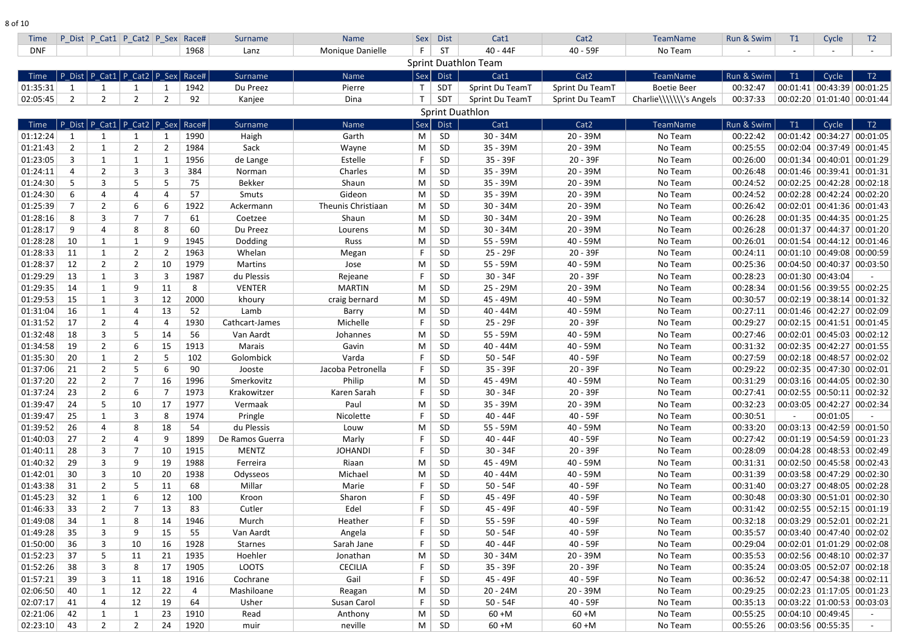| <b>Time</b> |                | P Dist P Cat1 P Cat2 P Sex Race#         |                |                |      | Surname         | Name               | Sex          | <b>Dist</b> | Cat1                        | Cat <sub>2</sub> | <b>TeamName</b>         | Run & Swim | T1                           | Cycle                            | T <sub>2</sub> |
|-------------|----------------|------------------------------------------|----------------|----------------|------|-----------------|--------------------|--------------|-------------|-----------------------------|------------------|-------------------------|------------|------------------------------|----------------------------------|----------------|
| <b>DNF</b>  |                |                                          |                |                | 1968 | Lanz            | Monique Danielle   | F.           | <b>ST</b>   | $40 - 44F$                  | 40 - 59F         | No Team                 |            | $\qquad \qquad \blacksquare$ |                                  |                |
|             |                |                                          |                |                |      |                 |                    |              |             | <b>Sprint Duathlon Team</b> |                  |                         |            |                              |                                  |                |
| <b>Time</b> |                | P Dist   P Cat1   P Cat2   P Sex   Race# |                |                |      | Surname         | Name               | Sex          | <b>Dist</b> | Cat1                        | Cat <sub>2</sub> | TeamName                | Run & Swim | T1                           | Cycle                            | T2             |
| 01:35:31    |                |                                          |                |                | 1942 | Du Preez        | Pierre             | $\mathsf{T}$ | SDT         | Sprint Du TeamT             | Sprint Du TeamT  | <b>Boetie Beer</b>      | 00:32:47   |                              | $00:01:41$ 00:43:39 00:01:25     |                |
| 02:05:45    | $\overline{2}$ | $\overline{2}$                           | 2              | $\overline{2}$ | 92   | Kanjee          | Dina               | $\mathsf{T}$ | SDT         | Sprint Du TeamT             | Sprint Du TeamT  | Charlie\\\\\\\'s Angels | 00:37:33   |                              | $00:02:20$ 01:01:40 00:01:44     |                |
|             |                |                                          |                |                |      |                 |                    |              |             | <b>Sprint Duathlon</b>      |                  |                         |            |                              |                                  |                |
| Time        |                | P_Dist   P_Cat1   P_Cat2   P_Sex   Race# |                |                |      | Surname         | Name               | Sex          | <b>Dist</b> | Cat1                        | Cat <sub>2</sub> | <b>TeamName</b>         | Run & Swim | T1                           | Cycle                            | T2             |
| 01:12:24    |                |                                          |                |                | 1990 | Haigh           | Garth              | M            | SD          | $30 - 34M$                  | 20 - 39M         | No Team                 | 00:22:42   |                              | 00:01:42 00:34:27 00:01:05       |                |
| 01:21:43    | $\overline{2}$ |                                          | 2              | $\overline{2}$ | 1984 | Sack            | Wayne              | M            | SD          | 35 - 39M                    | $20 - 39M$       | No Team                 | 00:25:55   |                              | 00:02:04 00:37:49 00:01:45       |                |
| 01:23:05    | 3              | 1                                        |                | -1             | 1956 | de Lange        | Estelle            |              | <b>SD</b>   | 35 - 39F                    | $20 - 39F$       | No Team                 | 00:26:00   |                              | $00:01:34$ 00:40:01 00:01:29     |                |
| 01:24:11    |                | $\overline{2}$                           |                | 3              | 384  | Norman          | Charles            | M            | <b>SD</b>   | 35 - 39M                    | $20 - 39M$       | No Team                 | 00:26:48   |                              | 00:01:46 00:39:41                | 00:01:31       |
| 01:24:30    |                | 3                                        |                | 5              | 75   | <b>Bekker</b>   | Shaun              | M            | <b>SD</b>   | 35 - 39M                    | $20 - 39M$       | No Team                 | 00:24:52   |                              | $00:02:25$ 00:42:28 00:02:18     |                |
| 01:24:30    | 6              | 4                                        |                | 4              | 57   | Smuts           | Gideon             | M            | <b>SD</b>   | 35 - 39M                    | $20 - 39M$       | No Team                 | 00:24:52   |                              | $00:02:28$ 00:42:24 00:02:20     |                |
| 01:25:39    |                | $\overline{2}$                           | 6              | 6              | 1922 | Ackermann       | Theunis Christiaan | M            | <b>SD</b>   | $30 - 34M$                  | $20 - 39M$       | No Team                 | 00:26:42   |                              | $00:02:01$ 00:41:36 00:01:43     |                |
| 01:28:16    | 8              | $\overline{3}$                           |                | 7              | 61   | Coetzee         | Shaun              | M            | <b>SD</b>   | $30 - 34M$                  | $20 - 39M$       | No Team                 | 00:26:28   |                              | $00:01:35$   00:44:35   00:01:25 |                |
| 01:28:17    | 9              | 4                                        | 8              | 8              | 60   | Du Preez        | Lourens            | M            | SD          | $30 - 34M$                  | $20 - 39M$       | No Team                 | 00:26:28   |                              | 00:01:37 00:44:37 00:01:20       |                |
| 01:28:28    | 10             | $\mathbf{1}$                             |                | 9              | 1945 | Dodding         | Russ               | M            | SD          | 55 - 59M                    | 40 - 59M         | No Team                 | 00:26:01   |                              | 00:01:54 00:44:12 00:01:46       |                |
| 01:28:33    | 11             | $\mathbf{1}$                             | $\overline{2}$ | $\overline{2}$ | 1963 | Whelan          | Megan              | F            | <b>SD</b>   | 25 - 29F                    | 20 - 39F         | No Team                 | 00:24:11   |                              | $00:01:10$ 00:49:08 00:00:59     |                |
| 01:28:37    | 12             | $\overline{2}$                           | $\overline{2}$ | 10             | 1979 | <b>Martins</b>  | Jose               | M            | SD          | 55 - 59M                    | 40 - 59M         | No Team                 | 00:25:36   |                              | 00:04:50 00:40:37 00:03:50       |                |
| 01:29:29    | 13             | $\mathbf{1}$                             |                | 3              | 1987 | du Plessis      | Rejeane            | F.           | <b>SD</b>   | $30 - 34F$                  | 20 - 39F         | No Team                 | 00:28:23   | 00:01:30 00:43:04            |                                  |                |
| 01:29:35    | 14             |                                          | 9              | 11             | 8    | <b>VENTER</b>   | <b>MARTIN</b>      | M            | SD          | 25 - 29M                    | $20 - 39M$       | No Team                 | 00:28:34   |                              | 00:01:56 00:39:55 00:02:25       |                |
| 01:29:53    | 15             | 1                                        |                | 12             | 2000 | khoury          | craig bernard      | M            | SD          | 45 - 49M                    | 40 - 59M         | No Team                 | 00:30:57   |                              | $00:02:19$ 00:38:14              | 00:01:32       |
| 01:31:04    | 16             | $\mathbf{1}$                             |                | 13             | 52   | Lamb            | Barry              | M            | <b>SD</b>   | $40 - 44M$                  | 40 - 59M         | No Team                 | 00:27:11   |                              | 00:01:46 00:42:27 00:02:09       |                |
| 01:31:52    | 17             | $\overline{2}$                           |                | 4              | 1930 | Cathcart-James  | Michelle           |              | <b>SD</b>   | 25 - 29F                    | $20 - 39F$       | No Team                 | 00:29:27   |                              | 00:02:15 00:41:51 00:01:45       |                |
| 01:32:48    | 18             | 3                                        |                | 14             | 56   | Van Aardt       | Johannes           | M            | <b>SD</b>   | 55 - 59M                    | 40 - 59M         | No Team                 | 00:27:46   |                              | $00:02:01$ 00:45:03 00:02:12     |                |
| 01:34:58    | 19             | $\overline{2}$                           | 6              | 15             | 1913 | <b>Marais</b>   | Gavin              | M            | <b>SD</b>   | $40 - 44M$                  | 40 - 59M         | No Team                 | 00:31:32   |                              | $00:02:35$ 00:42:27 00:01:55     |                |
| 01:35:30    | 20             | 1                                        |                | 5              | 102  | Golombick       | Varda              |              | <b>SD</b>   | $50 - 54F$                  | 40 - 59F         | No Team                 | 00:27:59   |                              | $00:02:18$ 00:48:57 00:02:02     |                |
| 01:37:06    | 21             | $\overline{2}$                           |                | 6              | 90   | Jooste          | Jacoba Petronella  | F            | <b>SD</b>   | 35 - 39F                    | $20 - 39F$       | No Team                 | 00:29:22   |                              | $00:02:35$ 00:47:30 00:02:01     |                |
| 01:37:20    | 22             | $\overline{2}$                           |                | 16             | 1996 | Smerkovitz      | Philip             | M            | SD          | 45 - 49M                    | 40 - 59M         | No Team                 | 00:31:29   |                              | $00:03:16$ 00:44:05 00:02:30     |                |
| 01:37:24    | 23             | $\overline{2}$                           | 6              | -7             | 1973 | Krakowitzer     | Karen Sarah        | F.           | SD          | $30 - 34F$                  | $20 - 39F$       | No Team                 | 00:27:41   |                              | 00:02:55 00:50:11 00:02:32       |                |
| 01:39:47    | 24             | 5                                        | 10             | 17             | 1977 | Vermaak         | Paul               | M            | SD          | 35 - 39M                    | $20 - 39M$       | No Team                 | 00:32:23   |                              | $00:03:05$ 00:42:27 00:02:34     |                |
| 01:39:47    | 25             | $\mathbf{1}$                             | 3              | 8              | 1974 | Pringle         | Nicolette          | F.           | SD          | 40 - 44F                    | 40 - 59F         | No Team                 | 00:30:51   |                              | 00:01:05                         |                |
| 01:39:52    | 26             | 4                                        | 8              | 18             | 54   | du Plessis      | Louw               | M            | SD          | 55 - 59M                    | 40 - 59M         | No Team                 | 00:33:20   |                              | $00:03:13$ 00:42:59 00:01:50     |                |
| 01:40:03    | 27             | $\overline{2}$                           |                | 9              | 1899 | De Ramos Guerra | Marly              | F.           | SD          | 40 - 44F                    | 40 - 59F         | No Team                 | 00:27:42   |                              | $00:01:19$ 00:54:59 00:01:23     |                |
| 01:40:11    | 28             | 3                                        |                | 10             | 1915 | <b>MENTZ</b>    | <b>JOHANDI</b>     | F.           | <b>SD</b>   | $30 - 34F$                  | $20 - 39F$       | No Team                 | 00:28:09   |                              | $00:04:28$ 00:48:53 00:02:49     |                |
| 01:40:32    | 29             | 3                                        | 9              | 19             | 1988 | Ferreira        | Riaan              | M            | SD          | 45 - 49M                    | 40 - 59M         | No Team                 | 00:31:31   |                              | $00:02:50$ 00:45:58 00:02:43     |                |
| 01:42:01    | 30             | 3                                        | 10             | 20             | 1938 | Odysseos        | Michael            | M            | <b>SD</b>   | $40 - 44M$                  | 40 - 59M         | No Team                 | 00:31:39   |                              | $00:03:58$ 00:47:29 00:02:30     |                |
| 01:43:38    | 31             | $\overline{2}$                           | 5.             | 11             | 68   | Millar          | Marie              | F.           | SD          | $50 - 54F$                  | 40 - 59F         | No Team                 | 00:31:40   |                              | $00:03:27$ 00:48:05 00:02:28     |                |
| 01:45:23    | 32             | $\mathbf{1}$                             | 6              | 12             | 100  | Kroon           | Sharon             | F            | SD          | 45 - 49F                    | 40 - 59F         | No Team                 | 00:30:48   |                              | $00:03:30$ 00:51:01 00:02:30     |                |
| 01:46:33    | 33             | $\overline{2}$                           |                | 13             | 83   | Cutler          | Edel               | F.           | SD          | 45 - 49F                    | 40 - 59F         | No Team                 | 00:31:42   |                              | 00:02:55 00:52:15 00:01:19       |                |
| 01:49:08    | 34             | $\mathbf{1}$                             | 8              | 14             | 1946 | Murch           | Heather            | F.           | SD          | 55 - 59F                    | 40 - 59F         | No Team                 | 00:32:18   |                              | 00:03:29 00:52:01 00:02:21       |                |
| 01:49:28    | 35             | 3                                        | 9              | 15             | 55   | Van Aardt       | Angela             | F.           | <b>SD</b>   | $50 - 54F$                  | 40 - 59F         | No Team                 | 00:35:57   |                              | $00:03:40$ 00:47:40 00:02:02     |                |
| 01:50:00    | 36             | $\mathbf{3}$                             | 10             | 16             | 1928 | <b>Starnes</b>  | Sarah Jane         | F.           | SD          | 40 - 44F                    | 40 - 59F         | No Team                 | 00:29:04   |                              | 00:02:01 01:01:29 00:02:08       |                |
| 01:52:23    | 37             | 5                                        | 11             | 21             | 1935 | Hoehler         | Jonathan           | M            | SD          | $30 - 34M$                  | $20 - 39M$       | No Team                 | 00:35:53   |                              | $00:02:56$ 00:48:10 00:02:37     |                |
| 01:52:26    | 38             | 3                                        | 8              | 17             | 1905 | <b>LOOTS</b>    | <b>CECILIA</b>     | F.           | SD          | $35 - 39F$                  | $20 - 39F$       | No Team                 | 00:35:24   |                              | $00:03:05$ 00:52:07 00:02:18     |                |
| 01:57:21    | 39             | $\mathbf{3}$                             | 11             | 18             | 1916 | Cochrane        | Gail               | F.           | SD          | 45 - 49F                    | 40 - 59F         | No Team                 | 00:36:52   |                              | 00:02:47 00:54:38 00:02:11       |                |
| 02:06:50    | 40             | $\mathbf{1}$                             | 12             | 22             | 4    | Mashiloane      | Reagan             | M            | SD          | $20 - 24M$                  | $20 - 39M$       | No Team                 | 00:29:25   |                              | $00:02:23$ 01:17:05 00:01:23     |                |
| 02:07:17    | 41             | 4                                        | 12             | 19             | 64   | Usher           | Susan Carol        | F            | SD          | $50 - 54F$                  | $40 - 59F$       | No Team                 | 00:35:13   |                              | $00:03:22$   01:00:53   00:03:03 |                |
| 02:21:06    | 42             | $\mathbf{1}$                             |                | 23             | 1910 | Read            | Anthony            | M            | SD          | $60 + M$                    | $60 + M$         | No Team                 | 00:55:25   |                              | $00:04:10$ 00:49:45              |                |
| 02:23:10    | 43             | $\overline{2}$                           | $\overline{2}$ | 24             | 1920 | muir            | neville            | M            | SD          | $60 + M$                    | $60 + M$         | No Team                 | 00:55:26   |                              | 00:03:56 00:55:35                |                |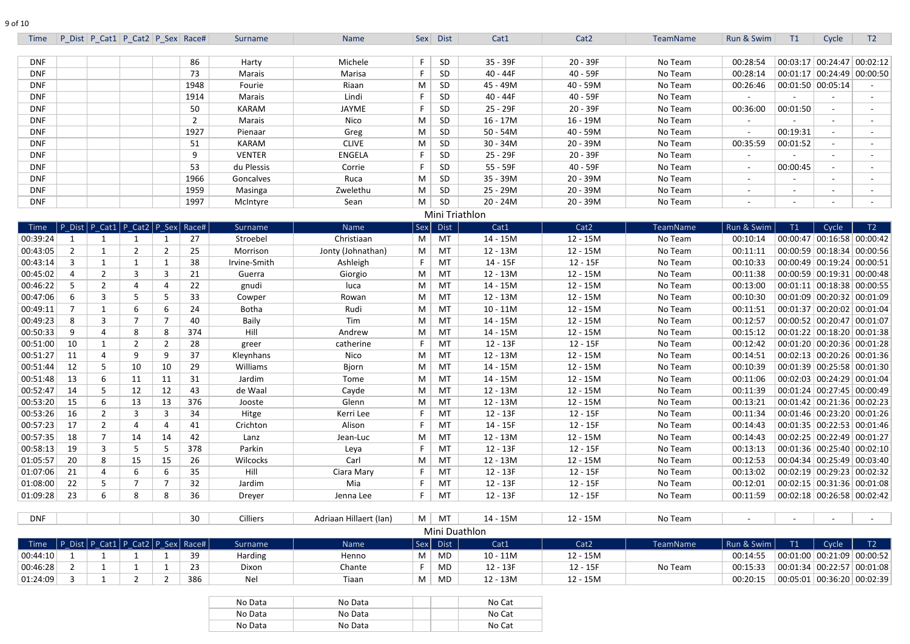| Time                                            |                                  | P Dist   P Cat1   P Cat2   P Sex   Race# |                  |                      |                | Surname         | Name                   |                  | Sex Dist       | Cat1                   | Cat <sub>2</sub>       | TeamName        | Run & Swim             | T1       | Cycle                        | T <sub>2</sub>                         |
|-------------------------------------------------|----------------------------------|------------------------------------------|------------------|----------------------|----------------|-----------------|------------------------|------------------|----------------|------------------------|------------------------|-----------------|------------------------|----------|------------------------------|----------------------------------------|
| <b>DNF</b>                                      |                                  |                                          |                  |                      | 86             | Harty           | Michele                |                  | <b>SD</b>      | 35 - 39F               | $20 - 39F$             | No Team         | 00:28:54               |          |                              | $00:03:17$ 00:24:47 00:02:12           |
| <b>DNF</b>                                      |                                  |                                          |                  |                      | 73             | Marais          | Marisa                 |                  | <b>SD</b>      | 40 - 44F               | 40 - 59F               | No Team         | 00:28:14               |          |                              | $00:01:17$ 00:24:49 00:00:50           |
| <b>DNF</b>                                      |                                  |                                          |                  |                      | 1948           | Fourie          | Riaan                  | M                | <b>SD</b>      | 45 - 49M               | 40 - 59M               | No Team         | 00:26:46               |          | $00:01:50$ 00:05:14          |                                        |
| <b>DNF</b>                                      |                                  |                                          |                  |                      | 1914           | Marais          | Lindi                  |                  | <b>SD</b>      | 40 - 44F               | 40 - 59F               | No Team         |                        |          |                              |                                        |
| <b>DNF</b>                                      |                                  |                                          |                  |                      | 50             | <b>KARAM</b>    | JAYME                  |                  | <b>SD</b>      | 25 - 29F               | 20 - 39F               | No Team         | 00:36:00               | 00:01:50 |                              |                                        |
| <b>DNF</b>                                      |                                  |                                          |                  |                      | $\overline{2}$ | Marais          | Nico                   | M                | <b>SD</b>      | $16 - 17M$             | $16 - 19M$             | No Team         |                        |          |                              |                                        |
| <b>DNF</b>                                      |                                  |                                          |                  |                      | 1927           | Pienaar         | Greg                   | M                | <b>SD</b>      | $50 - 54M$             | 40 - 59M               | No Team         |                        | 00:19:31 |                              |                                        |
| <b>DNF</b>                                      |                                  |                                          |                  |                      | 51             | <b>KARAM</b>    | <b>CLIVE</b>           | M                | <b>SD</b>      | $30 - 34M$             | $20 - 39M$             | No Team         | 00:35:59               | 00:01:52 |                              |                                        |
| <b>DNF</b>                                      |                                  |                                          |                  |                      | 9              | <b>VENTER</b>   | <b>ENGELA</b>          |                  | <b>SD</b>      | 25 - 29F               | $20 - 39F$             | No Team         |                        |          |                              |                                        |
| <b>DNF</b>                                      |                                  |                                          |                  |                      | 53             | du Plessis      | Corrie                 |                  | <b>SD</b>      | 55 - 59F               | 40 - 59F               | No Team         |                        | 00:00:45 |                              |                                        |
| <b>DNF</b>                                      |                                  |                                          |                  |                      | 1966           | Goncalves       | Ruca                   | M                | <b>SD</b>      | 35 - 39M               | 20 - 39M               | No Team         | $\sim$                 | $\sim$   |                              | $\sim$                                 |
| <b>DNF</b>                                      |                                  |                                          |                  |                      | 1959           | Masinga         | Zwelethu               | M                | SD             | 25 - 29M               | 20 - 39M               | No Team         |                        | $\sim$   |                              |                                        |
| <b>DNF</b>                                      |                                  |                                          |                  |                      | 1997           | McIntyre        | Sean                   | M                | <b>SD</b>      | $20 - 24M$             | 20 - 39M               | No Team         |                        | $\sim$   |                              |                                        |
|                                                 |                                  |                                          |                  |                      |                |                 |                        |                  |                | Mini Triathlon         |                        |                 |                        |          |                              |                                        |
| Time                                            |                                  | P Dist   P Cat1   P Cat2   P Sex   Race# |                  |                      |                | <b>Surname</b>  | Name                   | Sex <sup>1</sup> | <b>Dist</b>    | Cat1                   | Cat2                   | <b>TeamName</b> | Run & Swim             | T1       | Cycle                        | T2                                     |
| 00:39:24                                        |                                  |                                          |                  |                      | 27             | Stroebel        | Christiaan             | M                | MT             | 14 - 15M               | $12 - 15M$             | No Team         | 00:10:14               |          |                              | 00:00:47 00:16:58 00:00:42             |
| 00:43:05                                        | $\overline{2}$                   | $\mathbf{1}$                             |                  | -2                   | 25             | Morrison        | Jonty (Johnathan)      | M                | MT             | 12 - 13M               | $12 - 15M$             | No Team         | 00:11:11               |          |                              | 00:00:59 00:18:34 00:00:56             |
| 00:43:14                                        | 3                                | 1                                        |                  |                      | 38             | Irvine-Smith    | Ashleigh               |                  | MT             | 14 - 15F               | $12 - 15F$             | No Team         | 00:10:33               |          |                              | $00:00:49$ 00:19:24 00:00:51           |
| 00:45:02                                        | 4                                | $\overline{2}$                           | 3                | 3                    | 21             | Guerra          | Giorgio                | M                | MT             | 12 - 13M               | $12 - 15M$             | No Team         | 00:11:38               |          |                              | $00:00:59$ 00:19:31 00:00:48           |
| 00:46:22                                        | 5                                | 2                                        | 4                |                      | 22             | gnudi           | luca                   | M                | MT             | 14 - 15M               | $12 - 15M$             | No Team         | 00:13:00               |          | $00:01:11$ 00:18:38 00:00:55 |                                        |
| 00:47:06                                        | 6                                | 3                                        | 5                | -5                   | 33             | Cowper          | Rowan                  | M                | MT             | 12 - 13M               | $12 - 15M$             | No Team         | 00:10:30               |          |                              | 00:01:09 00:20:32 00:01:09             |
| 00:49:11                                        | 7                                | 1                                        | 6                | -6                   | 24             | <b>Botha</b>    | Rudi                   | M                | MT             | $10 - 11M$             | $12 - 15M$             | No Team         | 00:11:51               |          |                              | 00:01:37 00:20:02 00:01:04             |
| 00:49:23                                        | 8                                | 3                                        |                  |                      | 40             | Baily           | Tim                    | M                | MT             | 14 - 15M               | $12 - 15M$             | No Team         | 00:12:57               |          |                              | $00:00:52$ 00:20:47 00:01:07           |
| 00:50:33                                        | 9                                | 4                                        | 8                | -8                   | 374            | Hill            | Andrew                 | M                | MT             | 14 - 15M               | $12 - 15M$             | No Team         | 00:15:12               |          |                              | $00:01:22$ 00:18:20 00:01:38           |
| 00:51:00                                        | 10                               | $\mathbf{1}$                             | 2                | -2                   | 28             | greer           | catherine              |                  | MT             | $12 - 13F$             | $12 - 15F$             | No Team         | 00:12:42               |          |                              | 00:01:20 00:20:36 00:01:28             |
| 00:51:27                                        | 11                               | 4                                        | 9                | -9                   | 37             | Kleynhans       | Nico                   | M                | MT             | 12 - 13M               | $12 - 15M$             | No Team         | 00:14:51               |          |                              | $00:02:13$ 00:20:26 00:01:36           |
| 00:51:44                                        | 12                               | 5                                        | 10               | 10                   | 29             | Williams        | Bjorn                  | $M \mid$         | MT             | 14 - 15M               | $12 - 15M$             | No Team         | 00:10:39               |          |                              | $00:01:39$ 00:25:58 00:01:30           |
| 00:51:48                                        | 13                               | 6                                        | 11               | 11                   | 31             | Jardim          | Tome                   | M                | MT             | 14 - 15M               | $12 - 15M$             | No Team         | 00:11:06               |          |                              | 00:02:03   00:24:29   00:01:04         |
| 00:52:47                                        | 14                               | 5                                        | 12               | 12                   | 43             | de Waal         | Cayde                  | M                | MT             | 12 - 13M               | $12 - 15M$             | No Team         | 00:11:39               |          |                              | $00:01:24$ 00:27:45 00:00:49           |
| 00:53:20                                        | 15                               | 6                                        | 13               | 13                   | 376            | Jooste          | Glenn                  | M                | MT             | 12 - 13M               | 12 - 15M               | No Team         | 00:13:21               |          |                              | $00:01:42$ 00:21:36 00:02:23           |
| 00:53:26                                        | 16                               | $\overline{2}$                           | 3                | 3                    | 34             | Hitge           | Kerri Lee              |                  | MT             | $12 - 13F$             | $12 - 15F$             | No Team         | 00:11:34               |          |                              | $00:01:46$ 00:23:20 00:01:26           |
| 00:57:23                                        | 17                               | $\overline{2}$                           | 4                |                      | 41             | Crichton        | Alison                 |                  | MT             | 14 - 15F               | $12 - 15F$             | No Team         | 00:14:43               |          |                              | $00:01:35$ 00:22:53 00:01:46           |
| 00:57:35                                        | 18                               | 7                                        | 14               | 14                   | 42             | Lanz            | Jean-Luc               | M                | MT             | 12 - 13M               | 12 - 15M               | No Team         | 00:14:43               |          |                              | $00:02:25 \mid 00:22:49 \mid 00:01:27$ |
| 00:58:13                                        | 19                               | 3                                        | 5                |                      | 378            | Parkin          | Leya                   |                  | MT             | 12 - 13F               | $12 - 15F$             | No Team         | 00:13:13               |          |                              | $00:01:36$ 00:25:40 00:02:10           |
| 01:05:57                                        | 20                               | 8                                        | 15               | 15                   | 26             | <b>Wilcocks</b> | Carl                   | M                | MT             | 12 - 13M               | $12 - 15M$             | No Team         | 00:12:53               |          |                              | $00:04:34$ 00:25:49 00:03:40           |
| 01:07:06                                        | 21                               | 4                                        | 6                | 6                    | 35             | Hill            | Ciara Mary             |                  | MT             | 12 - 13F               | 12 - 15F               | No Team         | 00:13:02               |          |                              | $00:02:19$ 00:29:23 00:02:32           |
| 01:08:00                                        | 22                               | 5 <sup>5</sup>                           | $\overline{7}$   |                      | 32             | Jardim          | Mia                    |                  | MT             | 12 - 13F               | 12 - 15F               | No Team         | 00:12:01               |          |                              | $00:02:15$ 00:31:36 00:01:08           |
| 01:09:28                                        | 23                               | 6                                        | 8                | 8                    | 36             | Dreyer          | Jenna Lee              | F.               | MT             | $12 - 13F$             | 12 - 15F               | No Team         | 00:11:59               |          |                              | $00:02:18$ 00:26:58 00:02:42           |
|                                                 |                                  |                                          |                  |                      |                |                 |                        |                  |                |                        |                        |                 |                        |          |                              |                                        |
| DNF                                             |                                  |                                          |                  |                      | 30             | <b>Cilliers</b> | Adriaan Hillaert (Ian) |                  | $M \mid MT$    | 14 - 15M               | $12 - 15M$             | No Team         |                        |          |                              |                                        |
|                                                 |                                  |                                          |                  |                      |                |                 |                        |                  |                | Mini Duathlon          |                        |                 |                        |          |                              |                                        |
| Time   P_Dist   P_Cat1   P_Cat2   P_Sex   Race# |                                  |                                          |                  |                      |                | <b>Surname</b>  | Name                   | M <sub>1</sub>   | Sex Dist<br>MD | Cat1<br>$10 - 11M$     | Cat <sub>2</sub>       | TeamName        | Run & Swim<br>00:14:55 | T1       | Cycle                        | T2<br>$00:01:00$ 00:21:09 00:00:52     |
| 00:44:10                                        | $\mathbf{1}$                     | $\mathbf{1}$                             |                  |                      | 39             | Harding         | Henno                  |                  |                |                        | 12 - 15M               |                 |                        |          |                              | $00:01:34$ 00:22:57 00:01:08           |
| 00:46:28<br>01:24:09                            | $\overline{2}$<br>$\overline{3}$ | $\mathbf{1}$<br>$\mathbf{1}$             | 1<br>$2^{\circ}$ | -1<br>$\overline{2}$ | 23<br>386      | Dixon<br>Nel    | Chante<br>Tiaan        | M                | MD<br>MD       | 12 - 13F<br>$12 - 13M$ | $12 - 15F$<br>12 - 15M | No Team         | 00:15:33<br>00:20:15   |          |                              | $00:05:01$ 00:36:20 00:02:39           |
|                                                 |                                  |                                          |                  |                      |                |                 |                        |                  |                |                        |                        |                 |                        |          |                              |                                        |
|                                                 |                                  |                                          |                  |                      |                | No Data         | No Data                |                  |                | No Cat                 |                        |                 |                        |          |                              |                                        |
|                                                 |                                  |                                          |                  |                      |                | No Data         | No Data                |                  |                | No Cat                 |                        |                 |                        |          |                              |                                        |
|                                                 |                                  |                                          |                  |                      |                | No Data         | No Data                |                  |                | No Cat                 |                        |                 |                        |          |                              |                                        |
|                                                 |                                  |                                          |                  |                      |                |                 |                        |                  |                |                        |                        |                 |                        |          |                              |                                        |